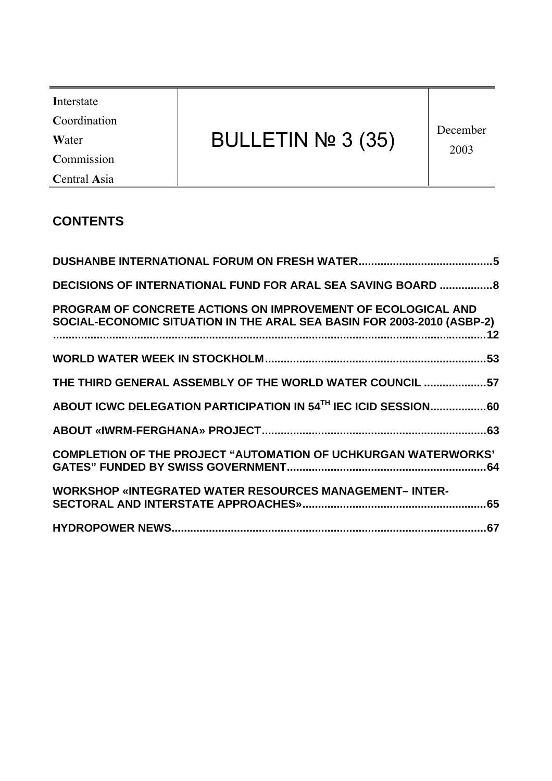| Interstate<br>Coordination<br>BULLETIN Nº 3 (35)<br>Water<br>Commission<br>Central Asia | December<br>2003 |
|-----------------------------------------------------------------------------------------|------------------|
|-----------------------------------------------------------------------------------------|------------------|

# **CONTENTS**

| <b>DECISIONS OF INTERNATIONAL FUND FOR ARAL SEA SAVING BOARD  8</b>                                                                    |  |
|----------------------------------------------------------------------------------------------------------------------------------------|--|
| PROGRAM OF CONCRETE ACTIONS ON IMPROVEMENT OF ECOLOGICAL AND<br>SOCIAL-ECONOMIC SITUATION IN THE ARAL SEA BASIN FOR 2003-2010 (ASBP-2) |  |
|                                                                                                                                        |  |
| THE THIRD GENERAL ASSEMBLY OF THE WORLD WATER COUNCIL 57                                                                               |  |
|                                                                                                                                        |  |
|                                                                                                                                        |  |
| <b>COMPLETION OF THE PROJECT "AUTOMATION OF UCHKURGAN WATERWORKS"</b>                                                                  |  |
| <b>WORKSHOP «INTEGRATED WATER RESOURCES MANAGEMENT-INTER-</b>                                                                          |  |
|                                                                                                                                        |  |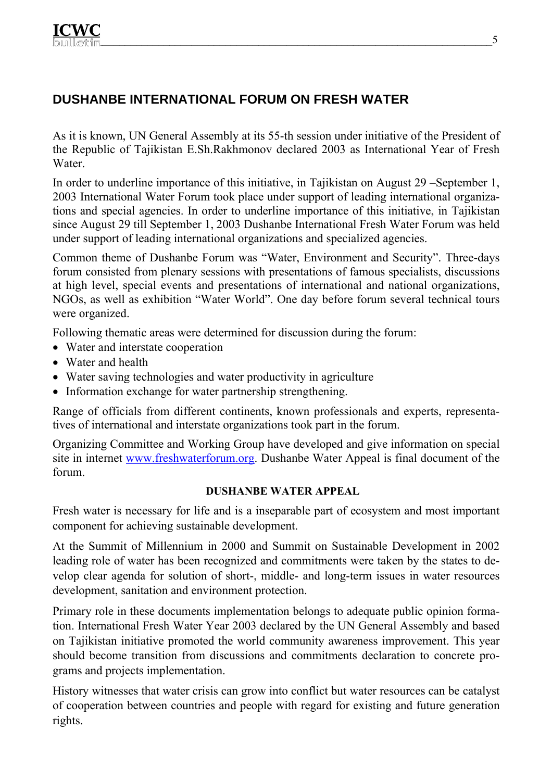# **DUSHANBE INTERNATIONAL FORUM ON FRESH WATER**

As it is known, UN General Assembly at its 55-th session under initiative of the President of the Republic of Tajikistan E.Sh.Rakhmonov declared 2003 as International Year of Fresh Water.

In order to underline importance of this initiative, in Tajikistan on August 29 –September 1, 2003 International Water Forum took place under support of leading international organizations and special agencies. In order to underline importance of this initiative, in Tajikistan since August 29 till September 1, 2003 Dushanbe International Fresh Water Forum was held under support of leading international organizations and specialized agencies.

Common theme of Dushanbe Forum was "Water, Environment and Security". Three-days forum consisted from plenary sessions with presentations of famous specialists, discussions at high level, special events and presentations of international and national organizations, NGOs, as well as exhibition "Water World". One day before forum several technical tours were organized.

Following thematic areas were determined for discussion during the forum:

- Water and interstate cooperation
- Water and health
- Water saving technologies and water productivity in agriculture
- Information exchange for water partnership strengthening.

Range of officials from different continents, known professionals and experts, representatives of international and interstate organizations took part in the forum.

Organizing Committee and Working Group have developed and give information on special site in internet www.freshwaterforum.org. Dushanbe Water Appeal is final document of the forum.

#### **DUSHANBE WATER APPEAL**

Fresh water is necessary for life and is a inseparable part of ecosystem and most important component for achieving sustainable development.

At the Summit of Millennium in 2000 and Summit on Sustainable Development in 2002 leading role of water has been recognized and commitments were taken by the states to develop clear agenda for solution of short-, middle- and long-term issues in water resources development, sanitation and environment protection.

Primary role in these documents implementation belongs to adequate public opinion formation. International Fresh Water Year 2003 declared by the UN General Assembly and based on Tajikistan initiative promoted the world community awareness improvement. This year should become transition from discussions and commitments declaration to concrete programs and projects implementation.

History witnesses that water crisis can grow into conflict but water resources can be catalyst of cooperation between countries and people with regard for existing and future generation rights.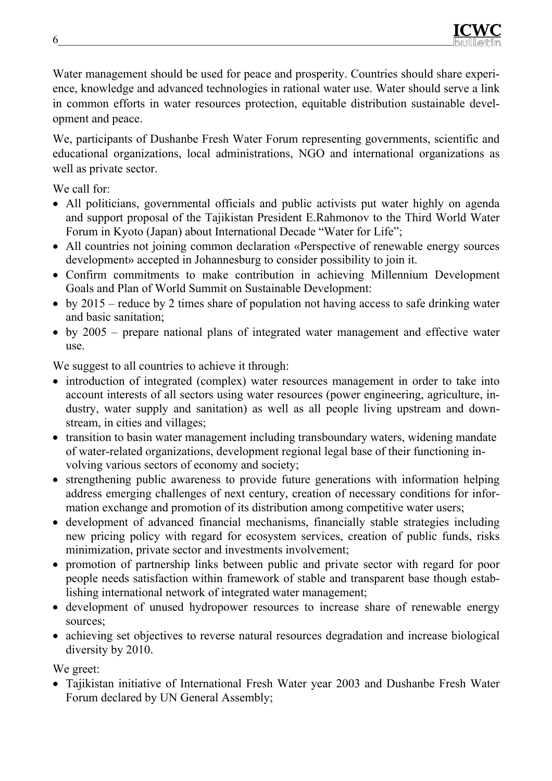

Water management should be used for peace and prosperity. Countries should share experience, knowledge and advanced technologies in rational water use. Water should serve a link in common efforts in water resources protection, equitable distribution sustainable development and peace.

We, participants of Dushanbe Fresh Water Forum representing governments, scientific and educational organizations, local administrations, NGO and international organizations as well as private sector.

We call for:

- All politicians, governmental officials and public activists put water highly on agenda and support proposal of the Tajikistan President E.Rahmonov to the Third World Water Forum in Kyoto (Japan) about International Decade "Water for Life";
- All countries not joining common declaration «Perspective of renewable energy sources development» accepted in Johannesburg to consider possibility to join it.
- Confirm commitments to make contribution in achieving Millennium Development Goals and Plan of World Summit on Sustainable Development:
- by 2015 reduce by 2 times share of population not having access to safe drinking water and basic sanitation;
- by 2005 prepare national plans of integrated water management and effective water use.

We suggest to all countries to achieve it through:

- introduction of integrated (complex) water resources management in order to take into account interests of all sectors using water resources (power engineering, agriculture, industry, water supply and sanitation) as well as all people living upstream and downstream, in cities and villages;
- transition to basin water management including transboundary waters, widening mandate of water-related organizations, development regional legal base of their functioning involving various sectors of economy and society;
- strengthening public awareness to provide future generations with information helping address emerging challenges of next century, creation of necessary conditions for information exchange and promotion of its distribution among competitive water users;
- development of advanced financial mechanisms, financially stable strategies including new pricing policy with regard for ecosystem services, creation of public funds, risks minimization, private sector and investments involvement;
- promotion of partnership links between public and private sector with regard for poor people needs satisfaction within framework of stable and transparent base though establishing international network of integrated water management;
- development of unused hydropower resources to increase share of renewable energy sources;
- achieving set objectives to reverse natural resources degradation and increase biological diversity by 2010.

We greet:

• Tajikistan initiative of International Fresh Water year 2003 and Dushanbe Fresh Water Forum declared by UN General Assembly;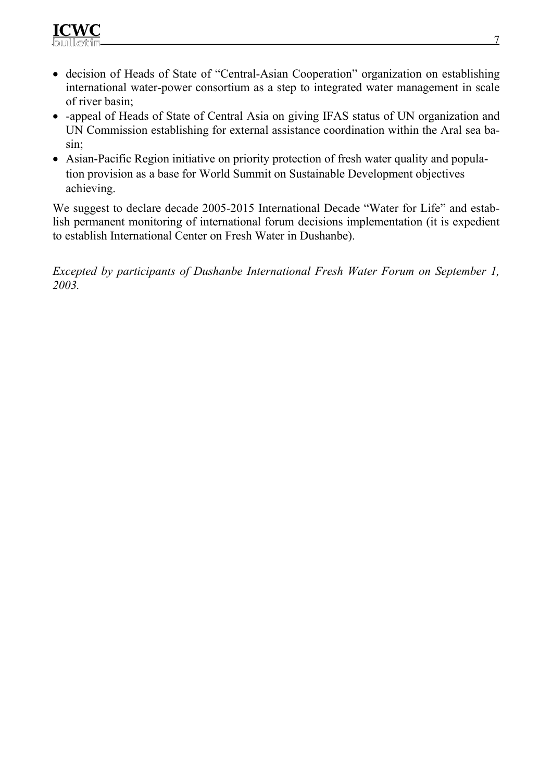

- decision of Heads of State of "Central-Asian Cooperation" organization on establishing international water-power consortium as a step to integrated water management in scale of river basin;
- -appeal of Heads of State of Central Asia on giving IFAS status of UN organization and UN Commission establishing for external assistance coordination within the Aral sea basin;
- Asian-Pacific Region initiative on priority protection of fresh water quality and population provision as a base for World Summit on Sustainable Development objectives achieving.

We suggest to declare decade 2005-2015 International Decade "Water for Life" and establish permanent monitoring of international forum decisions implementation (it is expedient to establish International Center on Fresh Water in Dushanbe).

*Excepted by participants of Dushanbe International Fresh Water Forum on September 1, 2003.*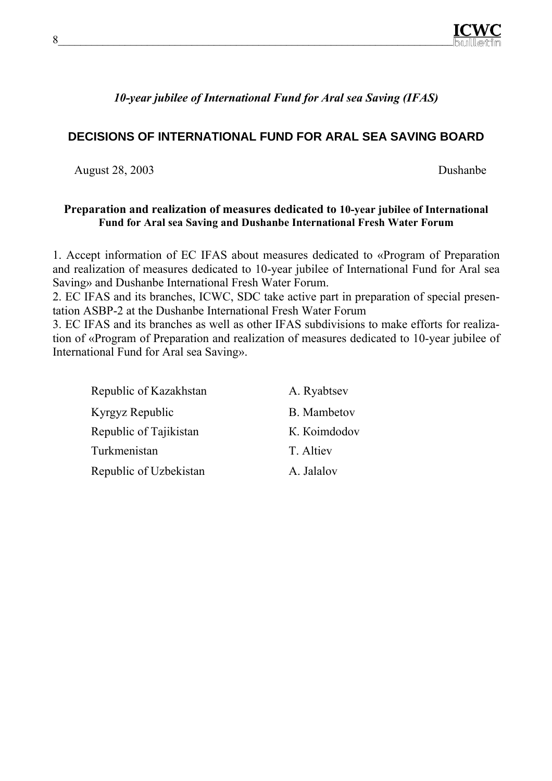

*10-year jubilee of International Fund for Aral sea Saving (IFAS)* 

## **DECISIONS OF INTERNATIONAL FUND FOR ARAL SEA SAVING BOARD**

August 28, 2003 Dushanbe

#### **Preparation and realization of measures dedicated to 10-year jubilee of International Fund for Aral sea Saving and Dushanbe International Fresh Water Forum**

1. Accept information of EC IFAS about measures dedicated to «Program of Preparation and realization of measures dedicated to 10-year jubilee of International Fund for Aral sea Saving» and Dushanbe International Fresh Water Forum.

2. EC IFAS and its branches, ICWC, SDC take active part in preparation of special presentation ASBP-2 at the Dushanbe International Fresh Water Forum

3. EC IFAS and its branches as well as other IFAS subdivisions to make efforts for realization of «Program of Preparation and realization of measures dedicated to 10-year jubilee of International Fund for Aral sea Saving».

| Republic of Kazakhstan | A. Ryabtsev  |
|------------------------|--------------|
| Kyrgyz Republic        | B. Mambetov  |
| Republic of Tajikistan | K. Koimdodov |
| Turkmenistan           | T. Altiev    |
| Republic of Uzbekistan | A. Jalalov   |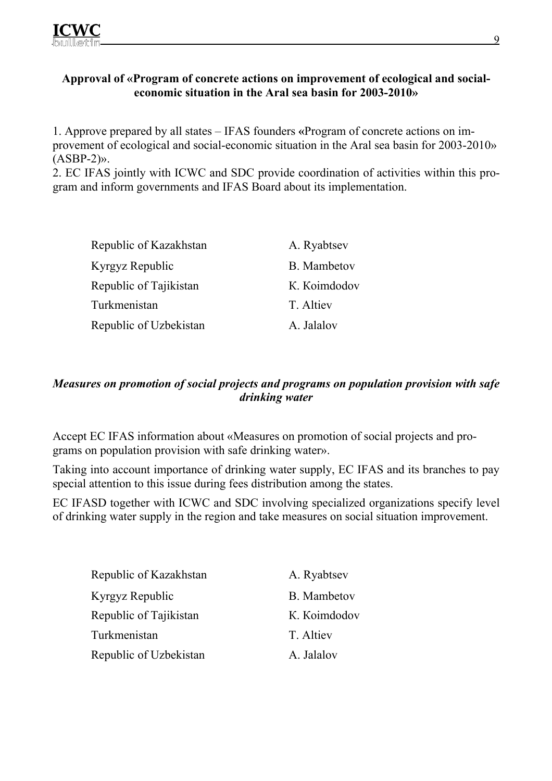### **Approval of «Program of concrete actions on improvement of ecological and socialeconomic situation in the Aral sea basin for 2003-2010»**

1. Approve prepared by all states – IFAS founders **«**Program of concrete actions on improvement of ecological and social-economic situation in the Aral sea basin for 2003-2010»  $(ASBP-2)$ ».

2. EC IFAS jointly with ICWC and SDC provide coordination of activities within this program and inform governments and IFAS Board about its implementation.

| Republic of Kazakhstan | A. Ryabtsev  |
|------------------------|--------------|
| Kyrgyz Republic        | B. Mambetov  |
| Republic of Tajikistan | K. Koimdodov |
| Turkmenistan           | T. Altiev    |
| Republic of Uzbekistan | A. Jalalov   |

## *Measures on promotion of social projects and programs on population provision with safe drinking water*

Accept EC IFAS information about «Measures on promotion of social projects and programs on population provision with safe drinking water».

Taking into account importance of drinking water supply, EC IFAS and its branches to pay special attention to this issue during fees distribution among the states.

EC IFASD together with ICWC and SDC involving specialized organizations specify level of drinking water supply in the region and take measures on social situation improvement.

| Republic of Kazakhstan | A. Ryabtsev  |
|------------------------|--------------|
| Kyrgyz Republic        | B. Mambetov  |
| Republic of Tajikistan | K. Koimdodov |
| Turkmenistan           | T. Altiev    |
| Republic of Uzbekistan | A. Jalalov   |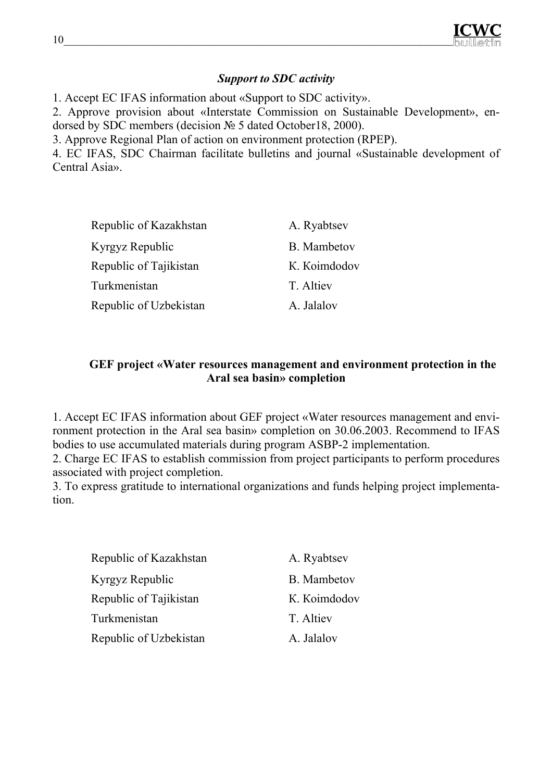

### *Support to SDC activity*

1. Accept EC IFAS information about «Support to SDC activity».

2. Approve provision about «Interstate Commission on Sustainable Development», endorsed by SDC members (decision № 5 dated October18, 2000).

3. Approve Regional Plan of action on environment protection (RPEP).

4. EC IFAS, SDC Chairman facilitate bulletins and journal «Sustainable development of Central Asia».

| Republic of Kazakhstan | A. Ryabtsev  |
|------------------------|--------------|
| Kyrgyz Republic        | B. Mambetov  |
| Republic of Tajikistan | K. Koimdodov |
| Turkmenistan           | T. Altiev    |
| Republic of Uzbekistan | A. Jalalov   |

### **GEF project «Water resources management and environment protection in the Aral sea basin» completion**

1. Accept EC IFAS information about GEF project «Water resources management and environment protection in the Aral sea basin» completion on 30.06.2003. Recommend to IFAS bodies to use accumulated materials during program ASBP-2 implementation.

2. Charge EC IFAS to establish commission from project participants to perform procedures associated with project completion.

3. To express gratitude to international organizations and funds helping project implementation.

| Republic of Kazakhstan | A. Ryabtsev        |
|------------------------|--------------------|
| Kyrgyz Republic        | <b>B.</b> Mambetov |
| Republic of Tajikistan | K. Koimdodov       |
| Turkmenistan           | T. Altiev          |
| Republic of Uzbekistan | A. Jalalov         |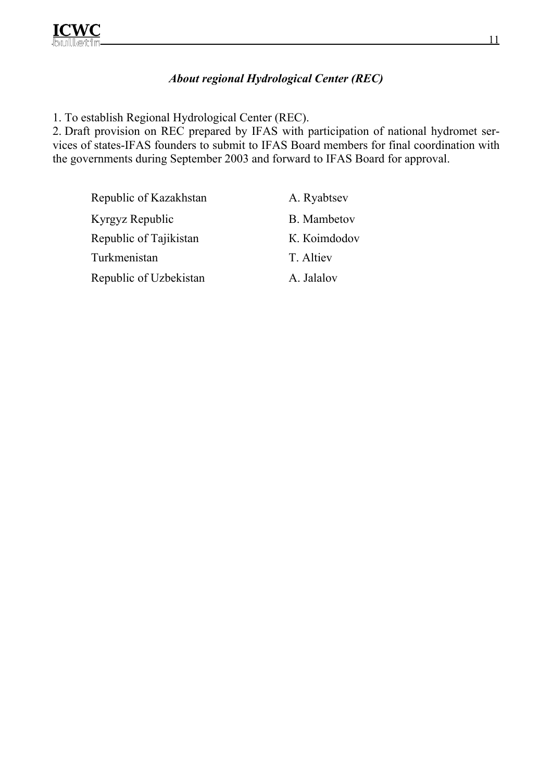### *About regional Hydrological Center (REC)*

1. To establish Regional Hydrological Center (REC).

2. Draft provision on REC prepared by IFAS with participation of national hydromet services of states-IFAS founders to submit to IFAS Board members for final coordination with the governments during September 2003 and forward to IFAS Board for approval.

Republic of Kazakhstan A. Ryabtsev Kyrgyz Republic B. Mambetov Republic of Tajikistan K. Koimdodov Turkmenistan T. Altiev

Republic of Uzbekistan A. Jalalov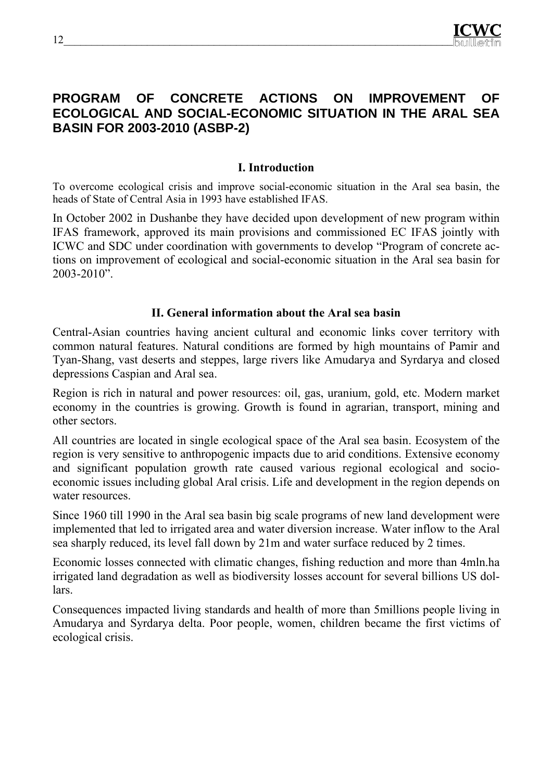# **PROGRAM OF CONCRETE ACTIONS ON IMPROVEMENT OF ECOLOGICAL AND SOCIAL-ECONOMIC SITUATION IN THE ARAL SEA BASIN FOR 2003-2010 (ASBP-2)**

#### **I. Introduction**

To overcome ecological crisis and improve social-economic situation in the Aral sea basin, the heads of State of Central Asia in 1993 have established IFAS.

In October 2002 in Dushanbe they have decided upon development of new program within IFAS framework, approved its main provisions and commissioned EC IFAS jointly with ICWC and SDC under coordination with governments to develop "Program of concrete actions on improvement of ecological and social-economic situation in the Aral sea basin for 2003-2010".

#### **II. General information about the Aral sea basin**

Central-Asian countries having ancient cultural and economic links cover territory with common natural features. Natural conditions are formed by high mountains of Pamir and Tyan-Shang, vast deserts and steppes, large rivers like Amudarya and Syrdarya and closed depressions Caspian and Aral sea.

Region is rich in natural and power resources: oil, gas, uranium, gold, etc. Modern market economy in the countries is growing. Growth is found in agrarian, transport, mining and other sectors.

All countries are located in single ecological space of the Aral sea basin. Ecosystem of the region is very sensitive to anthropogenic impacts due to arid conditions. Extensive economy and significant population growth rate caused various regional ecological and socioeconomic issues including global Aral crisis. Life and development in the region depends on water resources.

Since 1960 till 1990 in the Aral sea basin big scale programs of new land development were implemented that led to irrigated area and water diversion increase. Water inflow to the Aral sea sharply reduced, its level fall down by 21m and water surface reduced by 2 times.

Economic losses connected with climatic changes, fishing reduction and more than 4mln.ha irrigated land degradation as well as biodiversity losses account for several billions US dollars.

Consequences impacted living standards and health of more than 5millions people living in Amudarya and Syrdarya delta. Poor people, women, children became the first victims of ecological crisis.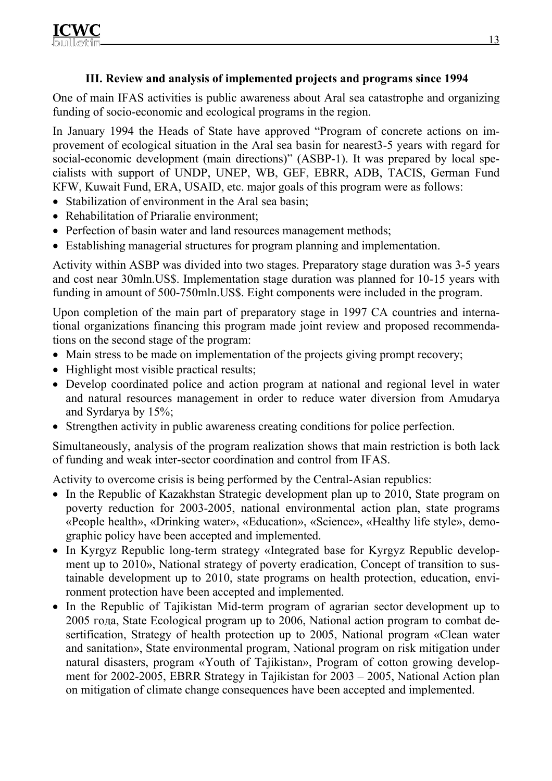## **III. Review and analysis of implemented projects and programs since 1994**

One of main IFAS activities is public awareness about Aral sea catastrophe and organizing funding of socio-economic and ecological programs in the region.

In January 1994 the Heads of State have approved "Program of concrete actions on improvement of ecological situation in the Aral sea basin for nearest3-5 years with regard for social-economic development (main directions)" (ASBP-1). It was prepared by local specialists with support of UNDP, UNEP, WB, GEF, EBRR, ADB, ТАСIS, German Fund КFW, Kuwait Fund, ERA, USAID, etc. major goals of this program were as follows:

- Stabilization of environment in the Aral sea basin:
- Rehabilitation of Priaralie environment:
- Perfection of basin water and land resources management methods;
- Establishing managerial structures for program planning and implementation.

Activity within ASBP was divided into two stages. Preparatory stage duration was 3-5 years and cost near 30mln.US\$. Implementation stage duration was planned for 10-15 years with funding in amount of 500-750mln.US\$. Eight components were included in the program.

Upon completion of the main part of preparatory stage in 1997 CA countries and international organizations financing this program made joint review and proposed recommendations on the second stage of the program:

- Main stress to be made on implementation of the projects giving prompt recovery;
- Highlight most visible practical results;
- Develop coordinated police and action program at national and regional level in water and natural resources management in order to reduce water diversion from Amudarya and Syrdarya by 15%;
- Strengthen activity in public awareness creating conditions for police perfection.

Simultaneously, analysis of the program realization shows that main restriction is both lack of funding and weak inter-sector coordination and control from IFAS.

Activity to overcome crisis is being performed by the Central-Asian republics:

- In the Republic of Kazakhstan Strategic development plan up to 2010, State program on poverty reduction for 2003-2005, national environmental action plan, state programs «People health», «Drinking water», «Education», «Science», «Healthy life style», demographic policy have been accepted and implemented.
- In Kyrgyz Republic long-term strategy «Integrated base for Kyrgyz Republic development up to 2010», National strategy of poverty eradication, Concept of transition to sustainable development up to 2010, state programs on health protection, education, environment protection have been accepted and implemented.
- In the Republic of Tajikistan Mid-term program of agrarian sector development up to 2005 года, State Ecological program up to 2006, National action program to combat desertification, Strategy of health protection up to 2005, National program «Clean water and sanitation», State environmental program, National program on risk mitigation under natural disasters, program «Youth of Tajikistan», Program of cotton growing development for 2002-2005, EBRR Strategy in Tajikistan for 2003 – 2005, National Action plan on mitigation of climate change consequences have been accepted and implemented.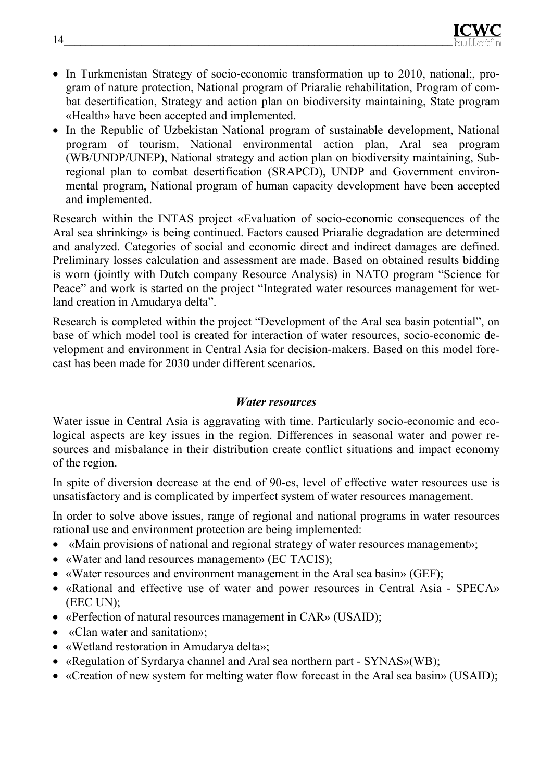- In Turkmenistan Strategy of socio-economic transformation up to 2010, national;, program of nature protection, National program of Priaralie rehabilitation, Program of combat desertification, Strategy and action plan on biodiversity maintaining, State program «Health» have been accepted and implemented.
- In the Republic of Uzbekistan National program of sustainable development, National program of tourism, National environmental action plan, Aral sea program (WB/UNDP/UNEP), National strategy and action plan on biodiversity maintaining, Subregional plan to combat desertification (SRAPCD), UNDP and Government environmental program, National program of human capacity development have been accepted and implemented.

Research within the INTAS project «Evaluation of socio-economic consequences of the Aral sea shrinking» is being continued. Factors caused Priaralie degradation are determined and analyzed. Categories of social and economic direct and indirect damages are defined. Preliminary losses calculation and assessment are made. Based on obtained results bidding is worn (jointly with Dutch company Resource Analysis) in NATO program "Science for Peace" and work is started on the project "Integrated water resources management for wetland creation in Amudarya delta".

Research is completed within the project "Development of the Aral sea basin potential", on base of which model tool is created for interaction of water resources, socio-economic development and environment in Central Asia for decision-makers. Based on this model forecast has been made for 2030 under different scenarios.

#### *Water resources*

Water issue in Central Asia is aggravating with time. Particularly socio-economic and ecological aspects are key issues in the region. Differences in seasonal water and power resources and misbalance in their distribution create conflict situations and impact economy of the region.

In spite of diversion decrease at the end of 90-es, level of effective water resources use is unsatisfactory and is complicated by imperfect system of water resources management.

In order to solve above issues, range of regional and national programs in water resources rational use and environment protection are being implemented:

- «Main provisions of national and regional strategy of water resources management»;
- «Water and land resources management» (ЕС ТАСIS);
- «Water resources and environment management in the Aral sea basin» (GEF);
- «Rational and effective use of water and power resources in Central Asia SPECA» (ЕEC UN);
- «Perfection of natural resources management in CAR» (USAID);
- «Clan water and sanitation»;
- «Wetland restoration in Amudarya delta»;
- «Regulation of Syrdarya channel and Aral sea northern part SYNAS»(WB);
- «Creation of new system for melting water flow forecast in the Aral sea basin» (USAID);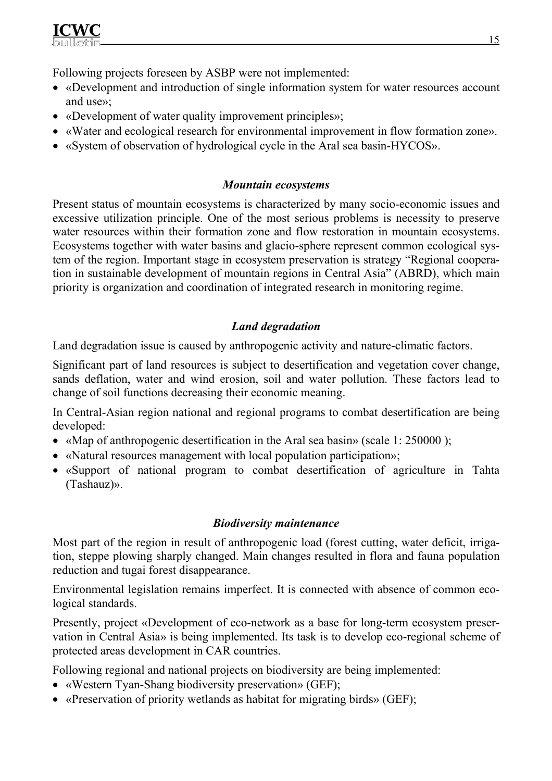

Following projects foreseen by ASBP were not implemented:

- «Development and introduction of single information system for water resources account and use»;
- «Development of water quality improvement principles»;
- «Water and ecological research for environmental improvement in flow formation zone».
- «System of observation of hydrological cycle in the Aral sea basin-HYCOS».

### *Mountain ecosystems*

Present status of mountain ecosystems is characterized by many socio-economic issues and excessive utilization principle. One of the most serious problems is necessity to preserve water resources within their formation zone and flow restoration in mountain ecosystems. Ecosystems together with water basins and glacio-sphere represent common ecological system of the region. Important stage in ecosystem preservation is strategy "Regional cooperation in sustainable development of mountain regions in Central Asia" (ABRD), which main priority is organization and coordination of integrated research in monitoring regime.

## *Land degradation*

Land degradation issue is caused by anthropogenic activity and nature-climatic factors.

Significant part of land resources is subject to desertification and vegetation cover change, sands deflation, water and wind erosion, soil and water pollution. These factors lead to change of soil functions decreasing their economic meaning.

In Central-Asian region national and regional programs to combat desertification are being developed:

- «Map of anthropogenic desertification in the Aral sea basin» (scale 1: 250000 );
- «Natural resources management with local population participation»;
- «Support of national program to combat desertification of agriculture in Tahta (Tashauz)».

#### *Biodiversity maintenance*

Most part of the region in result of anthropogenic load (forest cutting, water deficit, irrigation, steppe plowing sharply changed. Main changes resulted in flora and fauna population reduction and tugai forest disappearance.

Environmental legislation remains imperfect. It is connected with absence of common ecological standards.

Presently, project «Development of eco-network as a base for long-term ecosystem preservation in Central Asia» is being implemented. Its task is to develop eco-regional scheme of protected areas development in CAR countries.

Following regional and national projects on biodiversity are being implemented:

- «Western Tyan-Shang biodiversity preservation» (GEF);
- «Preservation of priority wetlands as habitat for migrating birds» (GEF);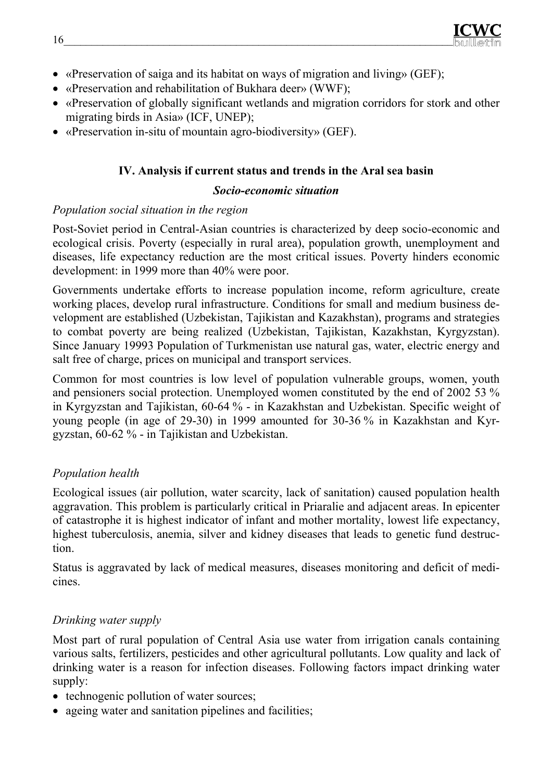- «Preservation of saiga and its habitat on ways of migration and living» (GEF);
- «Preservation and rehabilitation of Bukhara deer» (WWF);
- «Preservation of globally significant wetlands and migration corridors for stork and other migrating birds in Asia» (ICF, UNEP);
- «Preservation in-situ of mountain agro-biodiversity» (GEF).

## **IV. Analysis if current status and trends in the Aral sea basin**

#### *Socio-economic situation*

### *Population social situation in the region*

Post-Soviet period in Central-Asian countries is characterized by deep socio-economic and ecological crisis. Poverty (especially in rural area), population growth, unemployment and diseases, life expectancy reduction are the most critical issues. Poverty hinders economic development: in 1999 more than 40% were poor.

Governments undertake efforts to increase population income, reform agriculture, create working places, develop rural infrastructure. Conditions for small and medium business development are established (Uzbekistan, Tajikistan and Kazakhstan), programs and strategies to combat poverty are being realized (Uzbekistan, Tajikistan, Kazakhstan, Kyrgyzstan). Since January 19993 Population of Turkmenistan use natural gas, water, electric energy and salt free of charge, prices on municipal and transport services.

Common for most countries is low level of population vulnerable groups, women, youth and pensioners social protection. Unemployed women constituted by the end of 2002 53 % in Kyrgyzstan and Tajikistan, 60-64 % - in Kazakhstan and Uzbekistan. Specific weight of young people (in age of 29-30) in 1999 amounted for 30-36 % in Kazakhstan and Kyrgyzstan, 60-62 % - in Tajikistan and Uzbekistan.

### *Population health*

Ecological issues (air pollution, water scarcity, lack of sanitation) caused population health aggravation. This problem is particularly critical in Priaralie and adjacent areas. In epicenter of catastrophe it is highest indicator of infant and mother mortality, lowest life expectancy, highest tuberculosis, anemia, silver and kidney diseases that leads to genetic fund destruction.

Status is aggravated by lack of medical measures, diseases monitoring and deficit of medicines.

# *Drinking water supply*

Most part of rural population of Central Asia use water from irrigation canals containing various salts, fertilizers, pesticides and other agricultural pollutants. Low quality and lack of drinking water is a reason for infection diseases. Following factors impact drinking water supply:

- technogenic pollution of water sources;
- ageing water and sanitation pipelines and facilities;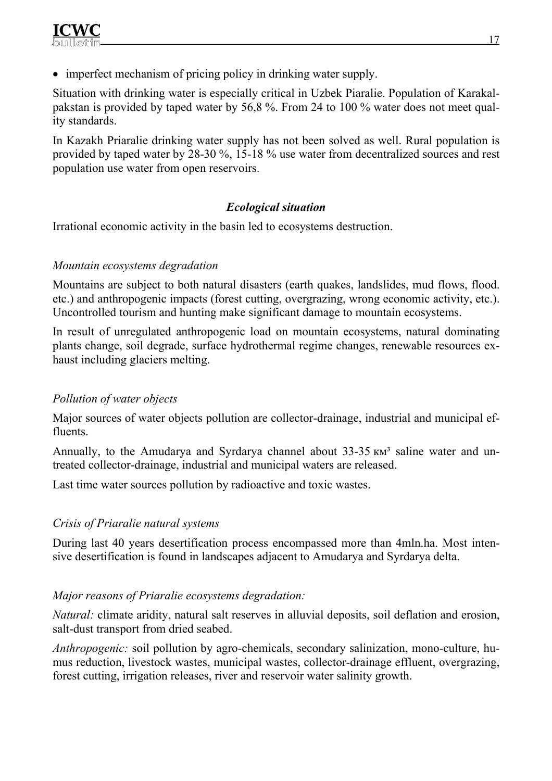• imperfect mechanism of pricing policy in drinking water supply.

Situation with drinking water is especially critical in Uzbek Piaralie. Population of Karakalpakstan is provided by taped water by 56,8 %. From 24 to 100 % water does not meet quality standards.

In Kazakh Priaralie drinking water supply has not been solved as well. Rural population is provided by taped water by 28-30 %, 15-18 % use water from decentralized sources and rest population use water from open reservoirs.

# *Ecological situation*

Irrational economic activity in the basin led to ecosystems destruction.

### *Mountain ecosystems degradation*

Mountains are subject to both natural disasters (earth quakes, landslides, mud flows, flood. etc.) and anthropogenic impacts (forest cutting, overgrazing, wrong economic activity, etc.). Uncontrolled tourism and hunting make significant damage to mountain ecosystems.

In result of unregulated anthropogenic load on mountain ecosystems, natural dominating plants change, soil degrade, surface hydrothermal regime changes, renewable resources exhaust including glaciers melting.

# *Pollution of water objects*

Major sources of water objects pollution are collector-drainage, industrial and municipal effluents.

Annually, to the Amudarya and Syrdarya channel about  $33-35 \text{ km}^3$  saline water and untreated collector-drainage, industrial and municipal waters are released.

Last time water sources pollution by radioactive and toxic wastes.

# *Crisis of Priaralie natural systems*

During last 40 years desertification process encompassed more than 4mln.ha. Most intensive desertification is found in landscapes adjacent to Amudarya and Syrdarya delta.

# *Major reasons of Priaralie ecosystems degradation:*

*Natural:* climate aridity, natural salt reserves in alluvial deposits, soil deflation and erosion, salt-dust transport from dried seabed.

*Anthropogenic:* soil pollution by agro-chemicals, secondary salinization, mono-culture, humus reduction, livestock wastes, municipal wastes, collector-drainage effluent, overgrazing, forest cutting, irrigation releases, river and reservoir water salinity growth.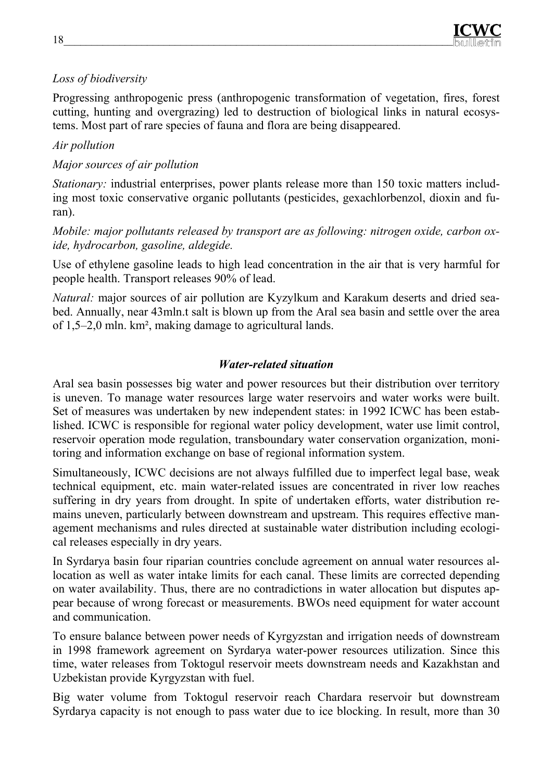## *Loss of biodiversity*

Progressing anthropogenic press (anthropogenic transformation of vegetation, fires, forest cutting, hunting and overgrazing) led to destruction of biological links in natural ecosystems. Most part of rare species of fauna and flora are being disappeared.

### *Air pollution*

## *Major sources of air pollution*

*Stationary:* industrial enterprises, power plants release more than 150 toxic matters including most toxic conservative organic pollutants (pesticides, gexachlorbenzol, dioxin and furan).

*Mobile: major pollutants released by transport are as following: nitrogen oxide, carbon oxide, hydrocarbon, gasoline, aldegide.* 

Use of ethylene gasoline leads to high lead concentration in the air that is very harmful for people health. Transport releases 90% of lead.

*Natural:* major sources of air pollution are Kyzylkum and Karakum deserts and dried seabed. Annually, near 43mln.t salt is blown up from the Aral sea basin and settle over the area of 1,5–2,0 mln. km², making damage to agricultural lands.

### *Water-related situation*

Aral sea basin possesses big water and power resources but their distribution over territory is uneven. To manage water resources large water reservoirs and water works were built. Set of measures was undertaken by new independent states: in 1992 ICWC has been established. ICWC is responsible for regional water policy development, water use limit control, reservoir operation mode regulation, transboundary water conservation organization, monitoring and information exchange on base of regional information system.

Simultaneously, ICWC decisions are not always fulfilled due to imperfect legal base, weak technical equipment, etc. main water-related issues are concentrated in river low reaches suffering in dry years from drought. In spite of undertaken efforts, water distribution remains uneven, particularly between downstream and upstream. This requires effective management mechanisms and rules directed at sustainable water distribution including ecological releases especially in dry years.

In Syrdarya basin four riparian countries conclude agreement on annual water resources allocation as well as water intake limits for each canal. These limits are corrected depending on water availability. Thus, there are no contradictions in water allocation but disputes appear because of wrong forecast or measurements. BWOs need equipment for water account and communication.

To ensure balance between power needs of Kyrgyzstan and irrigation needs of downstream in 1998 framework agreement on Syrdarya water-power resources utilization. Since this time, water releases from Toktogul reservoir meets downstream needs and Kazakhstan and Uzbekistan provide Kyrgyzstan with fuel.

Big water volume from Toktogul reservoir reach Chardara reservoir but downstream Syrdarya capacity is not enough to pass water due to ice blocking. In result, more than 30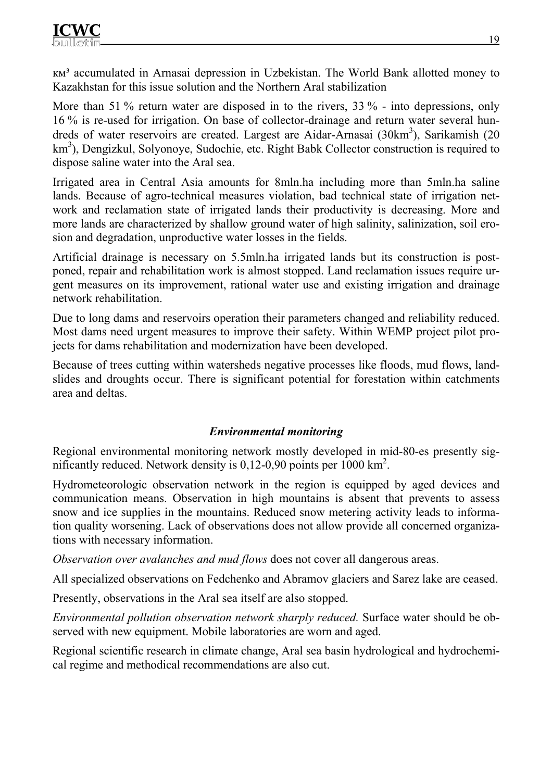км³ accumulated in Arnasai depression in Uzbekistan. The World Bank allotted money to Kazakhstan for this issue solution and the Northern Aral stabilization

More than 51 % return water are disposed in to the rivers, 33 % - into depressions, only 16 % is re-used for irrigation. On base of collector-drainage and return water several hundreds of water reservoirs are created. Largest are Aidar-Arnasai (30km<sup>3</sup>), Sarikamish (20 km<sup>3</sup>), Dengizkul, Solyonoye, Sudochie, etc. Right Babk Collector construction is required to dispose saline water into the Aral sea.

Irrigated area in Central Asia amounts for 8mln.ha including more than 5mln.ha saline lands. Because of agro-technical measures violation, bad technical state of irrigation network and reclamation state of irrigated lands their productivity is decreasing. More and more lands are characterized by shallow ground water of high salinity, salinization, soil erosion and degradation, unproductive water losses in the fields.

Artificial drainage is necessary on 5.5mln.ha irrigated lands but its construction is postponed, repair and rehabilitation work is almost stopped. Land reclamation issues require urgent measures on its improvement, rational water use and existing irrigation and drainage network rehabilitation.

Due to long dams and reservoirs operation their parameters changed and reliability reduced. Most dams need urgent measures to improve their safety. Within WEMP project pilot projects for dams rehabilitation and modernization have been developed.

Because of trees cutting within watersheds negative processes like floods, mud flows, landslides and droughts occur. There is significant potential for forestation within catchments area and deltas.

# *Environmental monitoring*

Regional environmental monitoring network mostly developed in mid-80-es presently significantly reduced. Network density is  $0,12-0,90$  points per  $1000 \text{ km}^2$ .

Hydrometeorologic observation network in the region is equipped by aged devices and communication means. Observation in high mountains is absent that prevents to assess snow and ice supplies in the mountains. Reduced snow metering activity leads to information quality worsening. Lack of observations does not allow provide all concerned organizations with necessary information.

*Observation over avalanches and mud flows* does not cover all dangerous areas.

All specialized observations on Fedchenko and Abramov glaciers and Sarez lake are ceased.

Presently, observations in the Aral sea itself are also stopped.

*Environmental pollution observation network sharply reduced.* Surface water should be observed with new equipment. Mobile laboratories are worn and aged.

Regional scientific research in climate change, Aral sea basin hydrological and hydrochemical regime and methodical recommendations are also cut.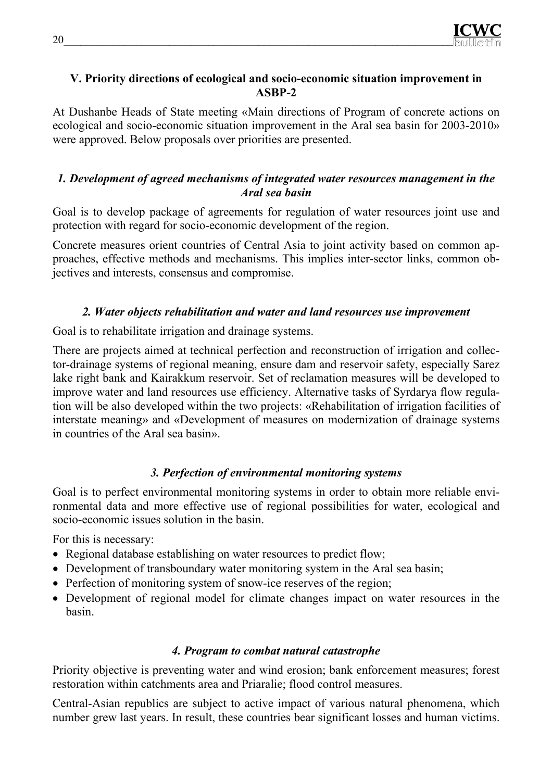

#### **V. Priority directions of ecological and socio-economic situation improvement in ASBP-2**

At Dushanbe Heads of State meeting «Main directions of Program of concrete actions on ecological and socio-economic situation improvement in the Aral sea basin for 2003-2010» were approved. Below proposals over priorities are presented.

#### *1. Development of agreed mechanisms of integrated water resources management in the Aral sea basin*

Goal is to develop package of agreements for regulation of water resources joint use and protection with regard for socio-economic development of the region.

Concrete measures orient countries of Central Asia to joint activity based on common approaches, effective methods and mechanisms. This implies inter-sector links, common objectives and interests, consensus and compromise.

### *2. Water objects rehabilitation and water and land resources use improvement*

Goal is to rehabilitate irrigation and drainage systems.

There are projects aimed at technical perfection and reconstruction of irrigation and collector-drainage systems of regional meaning, ensure dam and reservoir safety, especially Sarez lake right bank and Kairakkum reservoir. Set of reclamation measures will be developed to improve water and land resources use efficiency. Alternative tasks of Syrdarya flow regulation will be also developed within the two projects: «Rehabilitation of irrigation facilities of interstate meaning» and «Development of measures on modernization of drainage systems in countries of the Aral sea basin».

### *3. Perfection of environmental monitoring systems*

Goal is to perfect environmental monitoring systems in order to obtain more reliable environmental data and more effective use of regional possibilities for water, ecological and socio-economic issues solution in the basin.

For this is necessary:

- Regional database establishing on water resources to predict flow;
- Development of transboundary water monitoring system in the Aral sea basin;
- Perfection of monitoring system of snow-ice reserves of the region;
- Development of regional model for climate changes impact on water resources in the basin.

### *4. Program to combat natural catastrophe*

Priority objective is preventing water and wind erosion; bank enforcement measures; forest restoration within catchments area and Priaralie; flood control measures.

Central-Asian republics are subject to active impact of various natural phenomena, which number grew last years. In result, these countries bear significant losses and human victims.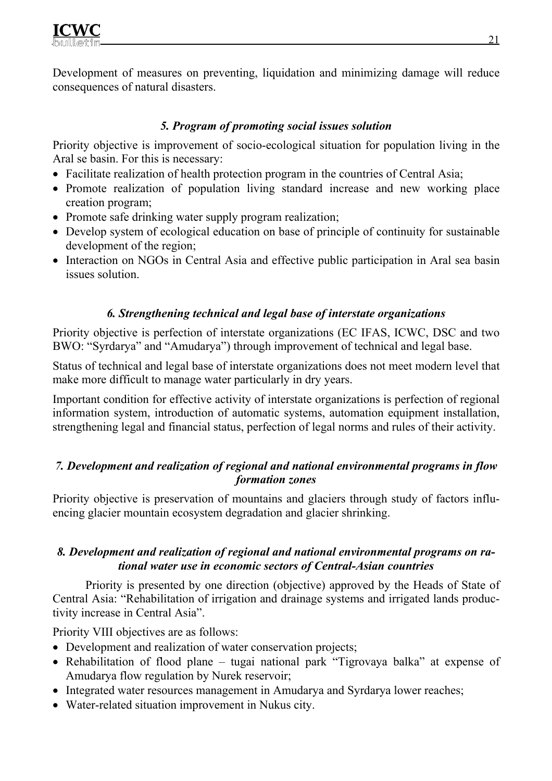Development of measures on preventing, liquidation and minimizing damage will reduce consequences of natural disasters.

## *5. Program of promoting social issues solution*

Priority objective is improvement of socio-ecological situation for population living in the Aral se basin. For this is necessary:

- Facilitate realization of health protection program in the countries of Central Asia;
- Promote realization of population living standard increase and new working place creation program;
- Promote safe drinking water supply program realization;
- Develop system of ecological education on base of principle of continuity for sustainable development of the region;
- Interaction on NGOs in Central Asia and effective public participation in Aral sea basin issues solution.

## *6. Strengthening technical and legal base of interstate organizations*

Priority objective is perfection of interstate organizations (EC IFAS, ICWC, DSC and two BWO: "Syrdarya" and "Amudarya") through improvement of technical and legal base.

Status of technical and legal base of interstate organizations does not meet modern level that make more difficult to manage water particularly in dry years.

Important condition for effective activity of interstate organizations is perfection of regional information system, introduction of automatic systems, automation equipment installation, strengthening legal and financial status, perfection of legal norms and rules of their activity.

## *7. Development and realization of regional and national environmental programs in flow formation zones*

Priority objective is preservation of mountains and glaciers through study of factors influencing glacier mountain ecosystem degradation and glacier shrinking.

### *8. Development and realization of regional and national environmental programs on rational water use in economic sectors of Central-Asian countries*

Priority is presented by one direction (objective) approved by the Heads of State of Central Asia: "Rehabilitation of irrigation and drainage systems and irrigated lands productivity increase in Central Asia".

Priority VIII objectives are as follows:

- Development and realization of water conservation projects;
- Rehabilitation of flood plane tugai national park "Tigrovaya balka" at expense of Amudarya flow regulation by Nurek reservoir;
- Integrated water resources management in Amudarya and Syrdarya lower reaches;
- Water-related situation improvement in Nukus city.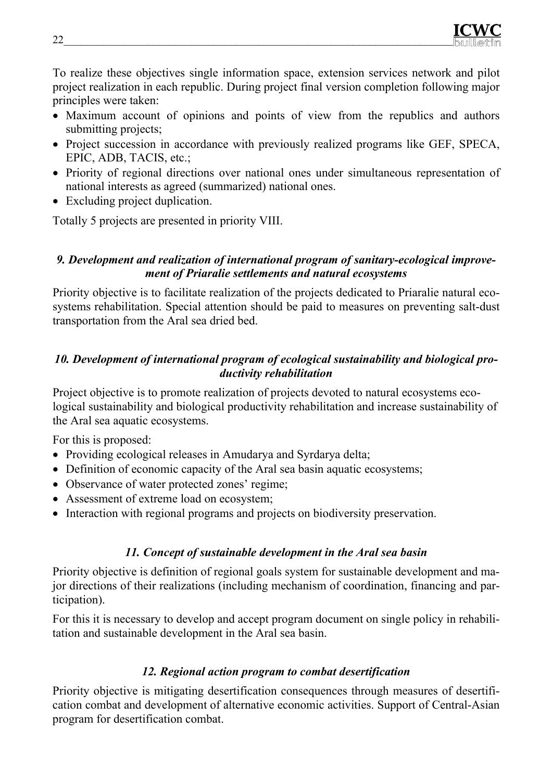To realize these objectives single information space, extension services network and pilot project realization in each republic. During project final version completion following major principles were taken:

- Maximum account of opinions and points of view from the republics and authors submitting projects;
- Project succession in accordance with previously realized programs like GEF, SPECA, EPIC, АDB, ТАСIS, etc.;
- Priority of regional directions over national ones under simultaneous representation of national interests as agreed (summarized) national ones.
- Excluding project duplication.

Totally 5 projects are presented in priority VIII.

## *9. Development and realization of international program of sanitary-ecological improvement of Priaralie settlements and natural ecosystems*

Priority objective is to facilitate realization of the projects dedicated to Priaralie natural ecosystems rehabilitation. Special attention should be paid to measures on preventing salt-dust transportation from the Aral sea dried bed.

## *10. Development of international program of ecological sustainability and biological productivity rehabilitation*

Project objective is to promote realization of projects devoted to natural ecosystems ecological sustainability and biological productivity rehabilitation and increase sustainability of the Aral sea aquatic ecosystems.

For this is proposed:

- Providing ecological releases in Amudarya and Syrdarya delta;
- Definition of economic capacity of the Aral sea basin aquatic ecosystems;
- Observance of water protected zones' regime;
- Assessment of extreme load on ecosystem;
- Interaction with regional programs and projects on biodiversity preservation.

### *11. Concept of sustainable development in the Aral sea basin*

Priority objective is definition of regional goals system for sustainable development and major directions of their realizations (including mechanism of coordination, financing and participation).

For this it is necessary to develop and accept program document on single policy in rehabilitation and sustainable development in the Aral sea basin.

### *12. Regional action program to combat desertification*

Priority objective is mitigating desertification consequences through measures of desertification combat and development of alternative economic activities. Support of Central-Asian program for desertification combat.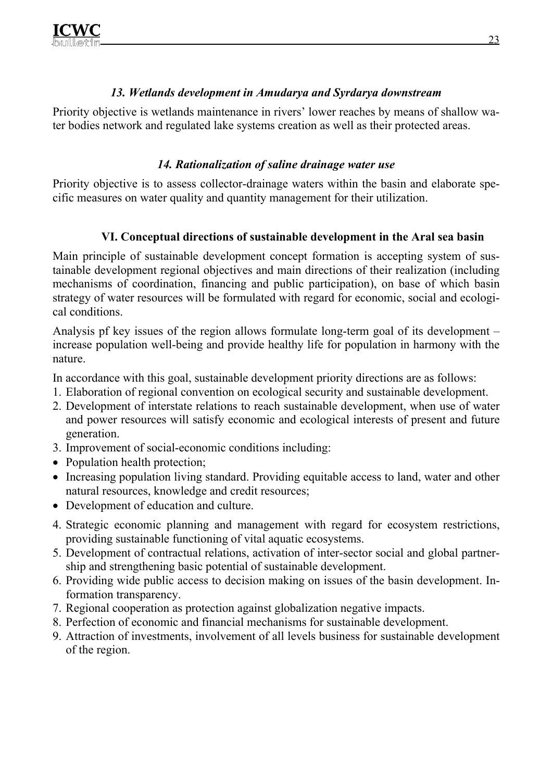## *13. Wetlands development in Amudarya and Syrdarya downstream*

Priority objective is wetlands maintenance in rivers' lower reaches by means of shallow water bodies network and regulated lake systems creation as well as their protected areas.

# *14. Rationalization of saline drainage water use*

Priority objective is to assess collector-drainage waters within the basin and elaborate specific measures on water quality and quantity management for their utilization.

# **VI. Conceptual directions of sustainable development in the Aral sea basin**

Main principle of sustainable development concept formation is accepting system of sustainable development regional objectives and main directions of their realization (including mechanisms of coordination, financing and public participation), on base of which basin strategy of water resources will be formulated with regard for economic, social and ecological conditions.

Analysis pf key issues of the region allows formulate long-term goal of its development – increase population well-being and provide healthy life for population in harmony with the nature.

In accordance with this goal, sustainable development priority directions are as follows:

- 1. Elaboration of regional convention on ecological security and sustainable development.
- 2. Development of interstate relations to reach sustainable development, when use of water and power resources will satisfy economic and ecological interests of present and future generation.
- 3. Improvement of social-economic conditions including:
- Population health protection;
- Increasing population living standard. Providing equitable access to land, water and other natural resources, knowledge and credit resources;
- Development of education and culture.
- 4. Strategic economic planning and management with regard for ecosystem restrictions, providing sustainable functioning of vital aquatic ecosystems.
- 5. Development of contractual relations, activation of inter-sector social and global partnership and strengthening basic potential of sustainable development.
- 6. Providing wide public access to decision making on issues of the basin development. Information transparency.
- 7. Regional cooperation as protection against globalization negative impacts.
- 8. Perfection of economic and financial mechanisms for sustainable development.
- 9. Attraction of investments, involvement of all levels business for sustainable development of the region.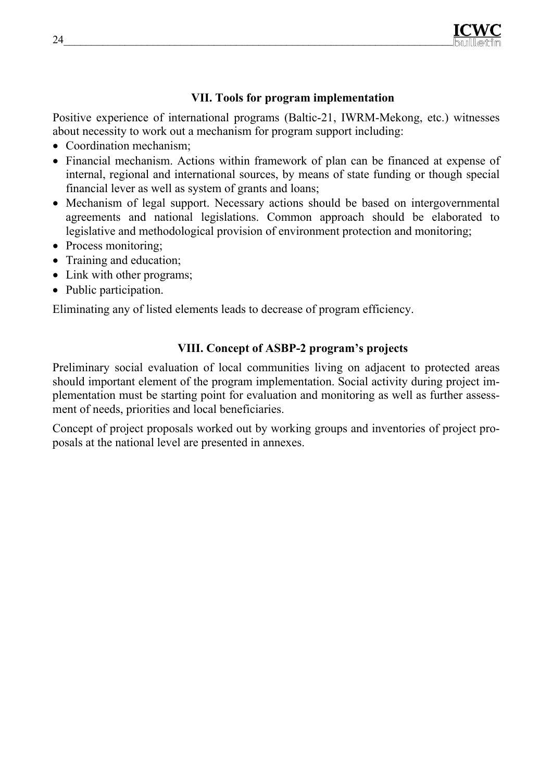

### **VII. Tools for program implementation**

Positive experience of international programs (Baltic-21, IWRM-Mekong, etc.) witnesses about necessity to work out a mechanism for program support including:

- Coordination mechanism;
- Financial mechanism. Actions within framework of plan can be financed at expense of internal, regional and international sources, by means of state funding or though special financial lever as well as system of grants and loans;
- Mechanism of legal support. Necessary actions should be based on intergovernmental agreements and national legislations. Common approach should be elaborated to legislative and methodological provision of environment protection and monitoring;
- Process monitoring;
- Training and education;
- Link with other programs;
- Public participation.

Eliminating any of listed elements leads to decrease of program efficiency.

### **VIII. Concept of ASBP-2 program's projects**

Preliminary social evaluation of local communities living on adjacent to protected areas should important element of the program implementation. Social activity during project implementation must be starting point for evaluation and monitoring as well as further assessment of needs, priorities and local beneficiaries.

Concept of project proposals worked out by working groups and inventories of project proposals at the national level are presented in annexes.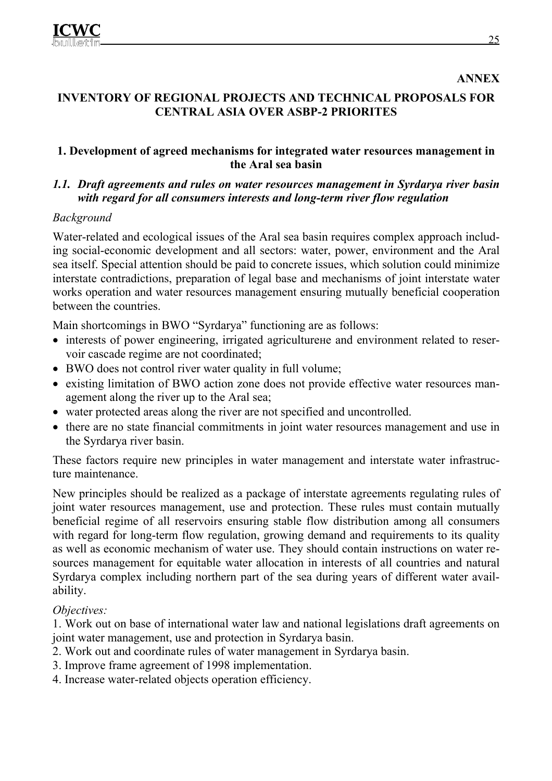#### **ANNEX**

## **INVENTORY OF REGIONAL PROJECTS AND TECHNICAL PROPOSALS FOR CENTRAL ASIA OVER ASBP-2 PRIORITES**

#### **1. Development of agreed mechanisms for integrated water resources management in the Aral sea basin**

### *1.1. Draft agreements and rules on water resources management in Syrdarya river basin with regard for all consumers interests and long-term river flow regulation*

### *Background*

Water-related and ecological issues of the Aral sea basin requires complex approach including social-economic development and all sectors: water, power, environment and the Aral sea itself. Special attention should be paid to concrete issues, which solution could minimize interstate contradictions, preparation of legal base and mechanisms of joint interstate water works operation and water resources management ensuring mutually beneficial cooperation between the countries.

Main shortcomings in BWO "Syrdarya" functioning are as follows:

- interests of power engineering, irrigated agriculturene and environment related to reservoir cascade regime are not coordinated;
- BWO does not control river water quality in full volume;
- existing limitation of BWO action zone does not provide effective water resources management along the river up to the Aral sea;
- water protected areas along the river are not specified and uncontrolled.
- there are no state financial commitments in joint water resources management and use in the Syrdarya river basin.

These factors require new principles in water management and interstate water infrastructure maintenance.

New principles should be realized as a package of interstate agreements regulating rules of joint water resources management, use and protection. These rules must contain mutually beneficial regime of all reservoirs ensuring stable flow distribution among all consumers with regard for long-term flow regulation, growing demand and requirements to its quality as well as economic mechanism of water use. They should contain instructions on water resources management for equitable water allocation in interests of all countries and natural Syrdarya complex including northern part of the sea during years of different water availability.

### *Objectives:*

1. Work out on base of international water law and national legislations draft agreements on joint water management, use and protection in Syrdarya basin.

- 2. Work out and coordinate rules of water management in Syrdarya basin.
- 3. Improve frame agreement of 1998 implementation.
- 4. Increase water-related objects operation efficiency.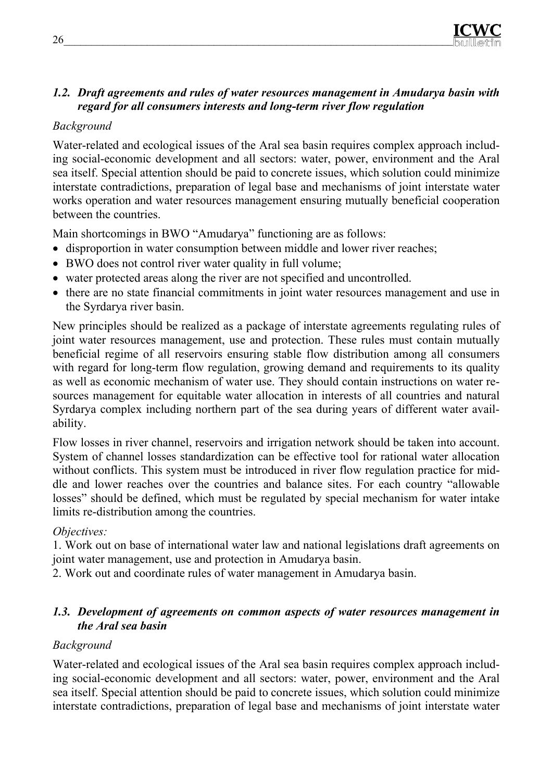

### *1.2. Draft agreements and rules of water resources management in Amudarya basin with regard for all consumers interests and long-term river flow regulation*

### *Background*

Water-related and ecological issues of the Aral sea basin requires complex approach including social-economic development and all sectors: water, power, environment and the Aral sea itself. Special attention should be paid to concrete issues, which solution could minimize interstate contradictions, preparation of legal base and mechanisms of joint interstate water works operation and water resources management ensuring mutually beneficial cooperation between the countries.

Main shortcomings in BWO "Amudarya" functioning are as follows:

- disproportion in water consumption between middle and lower river reaches;
- BWO does not control river water quality in full volume;
- water protected areas along the river are not specified and uncontrolled.
- there are no state financial commitments in joint water resources management and use in the Syrdarya river basin.

New principles should be realized as a package of interstate agreements regulating rules of joint water resources management, use and protection. These rules must contain mutually beneficial regime of all reservoirs ensuring stable flow distribution among all consumers with regard for long-term flow regulation, growing demand and requirements to its quality as well as economic mechanism of water use. They should contain instructions on water resources management for equitable water allocation in interests of all countries and natural Syrdarya complex including northern part of the sea during years of different water availability.

Flow losses in river channel, reservoirs and irrigation network should be taken into account. System of channel losses standardization can be effective tool for rational water allocation without conflicts. This system must be introduced in river flow regulation practice for middle and lower reaches over the countries and balance sites. For each country "allowable losses" should be defined, which must be regulated by special mechanism for water intake limits re-distribution among the countries.

### *Objectives:*

1. Work out on base of international water law and national legislations draft agreements on joint water management, use and protection in Amudarya basin.

2. Work out and coordinate rules of water management in Amudarya basin.

### *1.3. Development of agreements on common aspects of water resources management in the Aral sea basin*

#### *Background*

Water-related and ecological issues of the Aral sea basin requires complex approach including social-economic development and all sectors: water, power, environment and the Aral sea itself. Special attention should be paid to concrete issues, which solution could minimize interstate contradictions, preparation of legal base and mechanisms of joint interstate water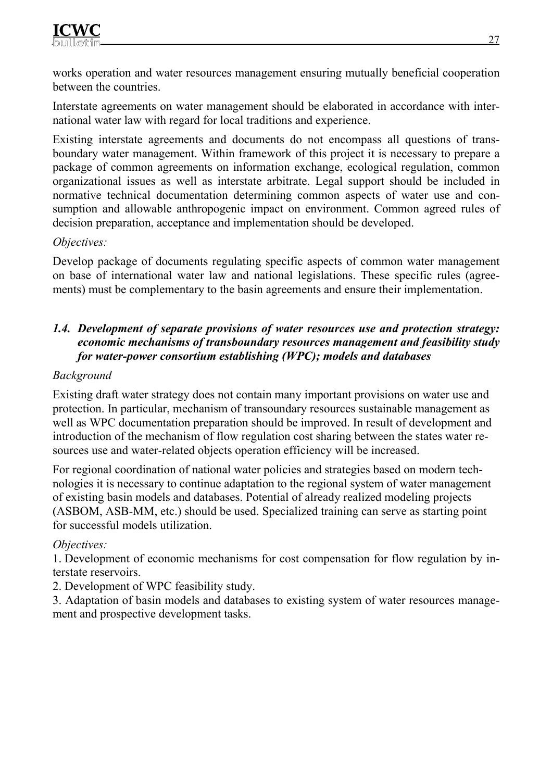works operation and water resources management ensuring mutually beneficial cooperation between the countries.

Interstate agreements on water management should be elaborated in accordance with international water law with regard for local traditions and experience.

Existing interstate agreements and documents do not encompass all questions of transboundary water management. Within framework of this project it is necessary to prepare a package of common agreements on information exchange, ecological regulation, common organizational issues as well as interstate arbitrate. Legal support should be included in normative technical documentation determining common aspects of water use and consumption and allowable anthropogenic impact on environment. Common agreed rules of decision preparation, acceptance and implementation should be developed.

### *Objectives:*

Develop package of documents regulating specific aspects of common water management on base of international water law and national legislations. These specific rules (agreements) must be complementary to the basin agreements and ensure their implementation.

## *1.4. Development of separate provisions of water resources use and protection strategy: economic mechanisms of transboundary resources management and feasibility study for water-power consortium establishing (WPC); models and databases*

## *Background*

Existing draft water strategy does not contain many important provisions on water use and protection. In particular, mechanism of transoundary resources sustainable management as well as WPC documentation preparation should be improved. In result of development and introduction of the mechanism of flow regulation cost sharing between the states water resources use and water-related objects operation efficiency will be increased.

For regional coordination of national water policies and strategies based on modern technologies it is necessary to continue adaptation to the regional system of water management of existing basin models and databases. Potential of already realized modeling projects (ASBOM, ASB-MM, etc.) should be used. Specialized training can serve as starting point for successful models utilization.

# *Objectives:*

1. Development of economic mechanisms for cost compensation for flow regulation by interstate reservoirs.

2. Development of WPC feasibility study.

3. Adaptation of basin models and databases to existing system of water resources management and prospective development tasks.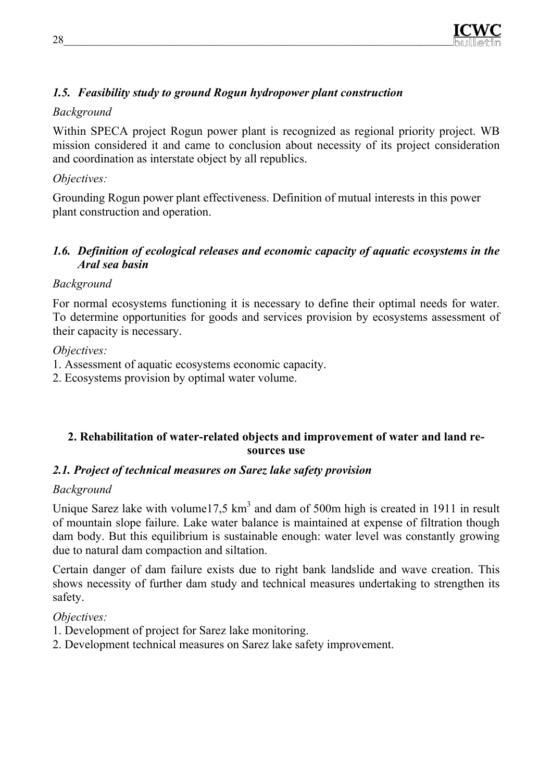# *1.5. Feasibility study to ground Rogun hydropower plant construction*

## *Background*

Within SPECA project Rogun power plant is recognized as regional priority project. WB mission considered it and came to conclusion about necessity of its project consideration and coordination as interstate object by all republics.

## *Objectives:*

Grounding Rogun power plant effectiveness. Definition of mutual interests in this power plant construction and operation.

### *1.6. Definition of ecological releases and economic capacity of aquatic ecosystems in the Aral sea basin*

## *Background*

For normal ecosystems functioning it is necessary to define their optimal needs for water. To determine opportunities for goods and services provision by ecosystems assessment of their capacity is necessary.

## *Objectives:*

- 1. Assessment of aquatic ecosystems economic capacity.
- 2. Ecosystems provision by optimal water volume.

## **2. Rehabilitation of water-related objects and improvement of water and land resources use**

# *2.1. Project of technical measures on Sarez lake safety provision*

# *Background*

Unique Sarez lake with volume 17,5  $km^3$  and dam of 500m high is created in 1911 in result of mountain slope failure. Lake water balance is maintained at expense of filtration though dam body. But this equilibrium is sustainable enough: water level was constantly growing due to natural dam compaction and siltation.

Certain danger of dam failure exists due to right bank landslide and wave creation. This shows necessity of further dam study and technical measures undertaking to strengthen its safety.

*Objectives:*

- 1. Development of project for Sarez lake monitoring.
- 2. Development technical measures on Sarez lake safety improvement.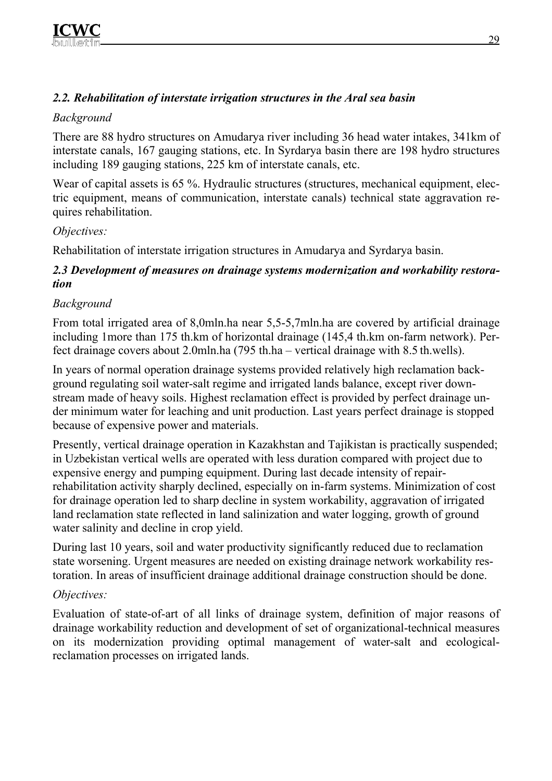# *2.2. Rehabilitation of interstate irrigation structures in the Aral sea basin*

# *Background*

There are 88 hydro structures on Amudarya river including 36 head water intakes, 341km of interstate canals, 167 gauging stations, etc. In Syrdarya basin there are 198 hydro structures including 189 gauging stations, 225 km of interstate canals, etc.

Wear of capital assets is 65 %. Hydraulic structures (structures, mechanical equipment, electric equipment, means of communication, interstate canals) technical state aggravation requires rehabilitation.

# *Objectives:*

Rehabilitation of interstate irrigation structures in Amudarya and Syrdarya basin.

## *2.3 Development of measures on drainage systems modernization and workability restoration*

# *Background*

From total irrigated area of 8,0mln.ha near 5,5-5,7mln.ha are covered by artificial drainage including 1more than 175 th.km of horizontal drainage (145,4 th.km on-farm network). Perfect drainage covers about 2.0mln.ha (795 th.ha – vertical drainage with 8.5 th.wells).

In years of normal operation drainage systems provided relatively high reclamation background regulating soil water-salt regime and irrigated lands balance, except river downstream made of heavy soils. Highest reclamation effect is provided by perfect drainage under minimum water for leaching and unit production. Last years perfect drainage is stopped because of expensive power and materials.

Presently, vertical drainage operation in Kazakhstan and Tajikistan is practically suspended; in Uzbekistan vertical wells are operated with less duration compared with project due to expensive energy and pumping equipment. During last decade intensity of repairrehabilitation activity sharply declined, especially on in-farm systems. Minimization of cost for drainage operation led to sharp decline in system workability, aggravation of irrigated land reclamation state reflected in land salinization and water logging, growth of ground water salinity and decline in crop yield.

During last 10 years, soil and water productivity significantly reduced due to reclamation state worsening. Urgent measures are needed on existing drainage network workability restoration. In areas of insufficient drainage additional drainage construction should be done.

# *Objectives:*

Evaluation of state-of-art of all links of drainage system, definition of major reasons of drainage workability reduction and development of set of organizational-technical measures on its modernization providing optimal management of water-salt and ecologicalreclamation processes on irrigated lands.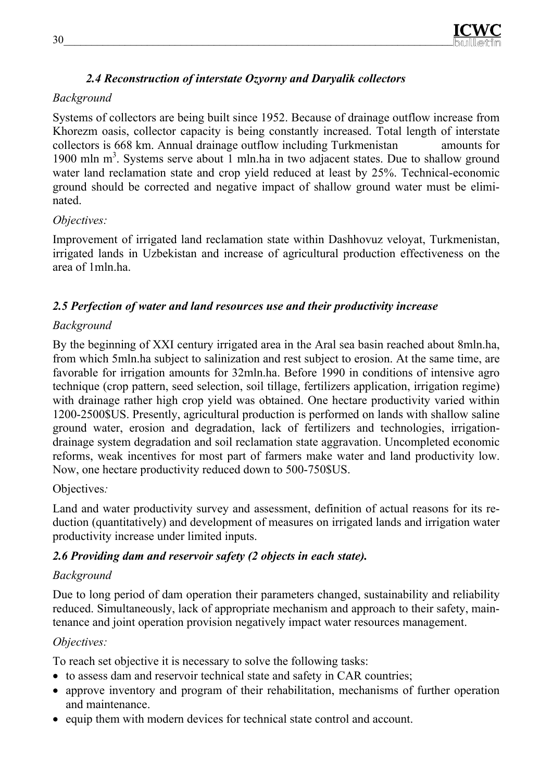# *2.4 Reconstruction of interstate Ozyorny and Daryalik collectors*

# *Background*

Systems of collectors are being built since 1952. Because of drainage outflow increase from Khorezm oasis, collector capacity is being constantly increased. Total length of interstate collectors is 668 km. Annual drainage outflow including Turkmenistan amounts for 1900 mln m<sup>3</sup>. Systems serve about 1 mln.ha in two adjacent states. Due to shallow ground water land reclamation state and crop yield reduced at least by 25%. Technical-economic ground should be corrected and negative impact of shallow ground water must be eliminated.

# *Objectives:*

Improvement of irrigated land reclamation state within Dashhovuz veloyat, Turkmenistan, irrigated lands in Uzbekistan and increase of agricultural production effectiveness on the area of 1mln.ha.

# *2.5 Perfection of water and land resources use and their productivity increase*

# *Background*

By the beginning of XXI century irrigated area in the Aral sea basin reached about 8mln.ha, from which 5mln.ha subject to salinization and rest subject to erosion. At the same time, are favorable for irrigation amounts for 32mln.ha. Before 1990 in conditions of intensive agro technique (crop pattern, seed selection, soil tillage, fertilizers application, irrigation regime) with drainage rather high crop yield was obtained. One hectare productivity varied within 1200-2500\$US. Presently, agricultural production is performed on lands with shallow saline ground water, erosion and degradation, lack of fertilizers and technologies, irrigationdrainage system degradation and soil reclamation state aggravation. Uncompleted economic reforms, weak incentives for most part of farmers make water and land productivity low. Now, one hectare productivity reduced down to 500-750\$US.

# Objectives*:*

Land and water productivity survey and assessment, definition of actual reasons for its reduction (quantitatively) and development of measures on irrigated lands and irrigation water productivity increase under limited inputs.

# *2.6 Providing dam and reservoir safety (2 objects in each state).*

# *Background*

Due to long period of dam operation their parameters changed, sustainability and reliability reduced. Simultaneously, lack of appropriate mechanism and approach to their safety, maintenance and joint operation provision negatively impact water resources management.

# *Objectives:*

To reach set objective it is necessary to solve the following tasks:

- to assess dam and reservoir technical state and safety in CAR countries;
- approve inventory and program of their rehabilitation, mechanisms of further operation and maintenance.
- equip them with modern devices for technical state control and account.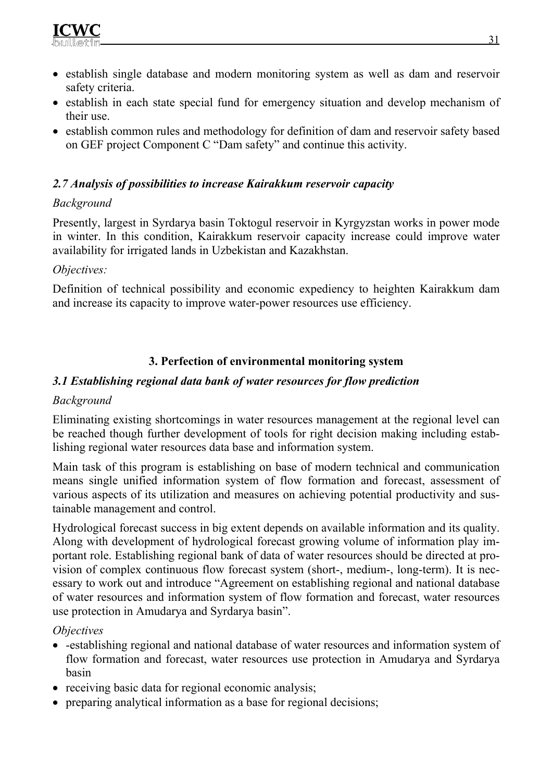- establish single database and modern monitoring system as well as dam and reservoir safety criteria.
- establish in each state special fund for emergency situation and develop mechanism of their use.
- establish common rules and methodology for definition of dam and reservoir safety based on GEF project Component C "Dam safety" and continue this activity.

## *2.7 Analysis of possibilities to increase Kairakkum reservoir capacity*

## *Background*

Presently, largest in Syrdarya basin Toktogul reservoir in Kyrgyzstan works in power mode in winter. In this condition, Kairakkum reservoir capacity increase could improve water availability for irrigated lands in Uzbekistan and Kazakhstan.

### *Objectives:*

Definition of technical possibility and economic expediency to heighten Kairakkum dam and increase its capacity to improve water-power resources use efficiency.

# **3. Perfection of environmental monitoring system**

### *3.1 Establishing regional data bank of water resources for flow prediction*

### *Background*

Eliminating existing shortcomings in water resources management at the regional level can be reached though further development of tools for right decision making including establishing regional water resources data base and information system.

Main task of this program is establishing on base of modern technical and communication means single unified information system of flow formation and forecast, assessment of various aspects of its utilization and measures on achieving potential productivity and sustainable management and control.

Hydrological forecast success in big extent depends on available information and its quality. Along with development of hydrological forecast growing volume of information play important role. Establishing regional bank of data of water resources should be directed at provision of complex continuous flow forecast system (short-, medium-, long-term). It is necessary to work out and introduce "Agreement on establishing regional and national database of water resources and information system of flow formation and forecast, water resources use protection in Amudarya and Syrdarya basin".

### *Objectives*

- -establishing regional and national database of water resources and information system of flow formation and forecast, water resources use protection in Amudarya and Syrdarya basin
- receiving basic data for regional economic analysis;
- preparing analytical information as a base for regional decisions;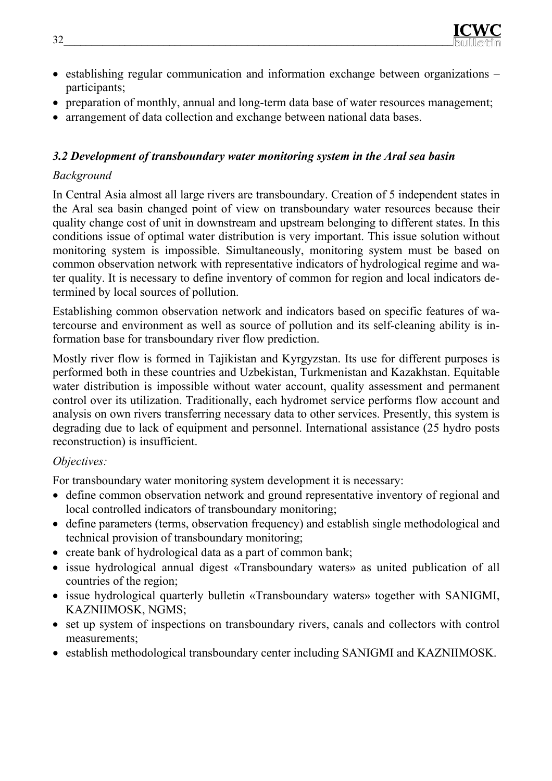- establishing regular communication and information exchange between organizations participants;
- preparation of monthly, annual and long-term data base of water resources management;
- arrangement of data collection and exchange between national data bases.

# *3.2 Development of transboundary water monitoring system in the Aral sea basin*

# *Background*

In Central Asia almost all large rivers are transboundary. Creation of 5 independent states in the Aral sea basin changed point of view on transboundary water resources because their quality change cost of unit in downstream and upstream belonging to different states. In this conditions issue of optimal water distribution is very important. This issue solution without monitoring system is impossible. Simultaneously, monitoring system must be based on common observation network with representative indicators of hydrological regime and water quality. It is necessary to define inventory of common for region and local indicators determined by local sources of pollution.

Establishing common observation network and indicators based on specific features of watercourse and environment as well as source of pollution and its self-cleaning ability is information base for transboundary river flow prediction.

Mostly river flow is formed in Tajikistan and Kyrgyzstan. Its use for different purposes is performed both in these countries and Uzbekistan, Turkmenistan and Kazakhstan. Equitable water distribution is impossible without water account, quality assessment and permanent control over its utilization. Traditionally, each hydromet service performs flow account and analysis on own rivers transferring necessary data to other services. Presently, this system is degrading due to lack of equipment and personnel. International assistance (25 hydro posts reconstruction) is insufficient.

# *Objectives:*

For transboundary water monitoring system development it is necessary:

- define common observation network and ground representative inventory of regional and local controlled indicators of transboundary monitoring;
- define parameters (terms, observation frequency) and establish single methodological and technical provision of transboundary monitoring;
- create bank of hydrological data as a part of common bank;
- issue hydrological annual digest «Transboundary waters» as united publication of all countries of the region;
- issue hydrological quarterly bulletin «Transboundary waters» together with SANIGMI, KAZNIIMOSK, NGMS;
- set up system of inspections on transboundary rivers, canals and collectors with control measurements;
- establish methodological transboundary center including SANIGMI and KAZNIIMOSK.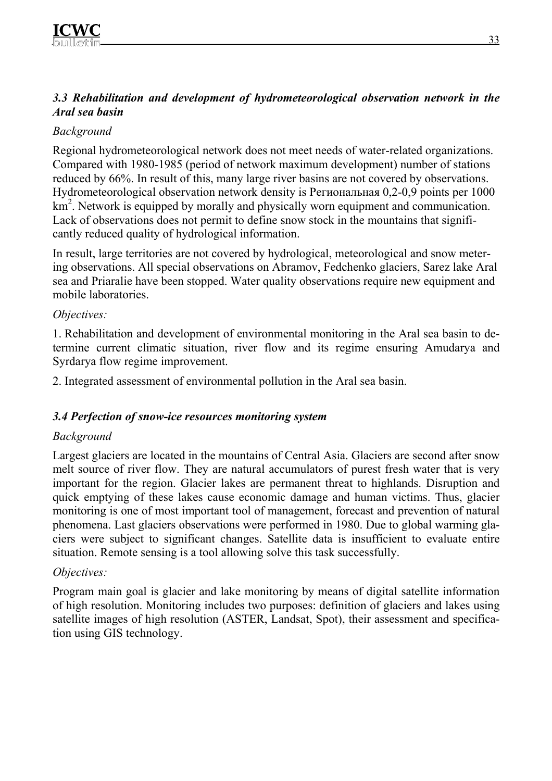## *3.3 Rehabilitation and development of hydrometeorological observation network in the Aral sea basin*

## *Background*

Regional hydrometeorological network does not meet needs of water-related organizations. Compared with 1980-1985 (period of network maximum development) number of stations reduced by 66%. In result of this, many large river basins are not covered by observations. Hydrometeorological observation network density is Региональная 0,2-0,9 points per 1000 km<sup>2</sup>. Network is equipped by morally and physically worn equipment and communication. Lack of observations does not permit to define snow stock in the mountains that significantly reduced quality of hydrological information.

In result, large territories are not covered by hydrological, meteorological and snow metering observations. All special observations on Abramov, Fedchenko glaciers, Sarez lake Aral sea and Priaralie have been stopped. Water quality observations require new equipment and mobile laboratories.

### *Objectives:*

1. Rehabilitation and development of environmental monitoring in the Aral sea basin to determine current climatic situation, river flow and its regime ensuring Amudarya and Syrdarya flow regime improvement.

2. Integrated assessment of environmental pollution in the Aral sea basin.

### *3.4 Perfection of snow-ice resources monitoring system*

### *Background*

Largest glaciers are located in the mountains of Central Asia. Glaciers are second after snow melt source of river flow. They are natural accumulators of purest fresh water that is very important for the region. Glacier lakes are permanent threat to highlands. Disruption and quick emptying of these lakes cause economic damage and human victims. Thus, glacier monitoring is one of most important tool of management, forecast and prevention of natural phenomena. Last glaciers observations were performed in 1980. Due to global warming glaciers were subject to significant changes. Satellite data is insufficient to evaluate entire situation. Remote sensing is a tool allowing solve this task successfully.

### *Objectives:*

Program main goal is glacier and lake monitoring by means of digital satellite information of high resolution. Monitoring includes two purposes: definition of glaciers and lakes using satellite images of high resolution (ASTER, Landsat, Spot), their assessment and specification using GIS technology.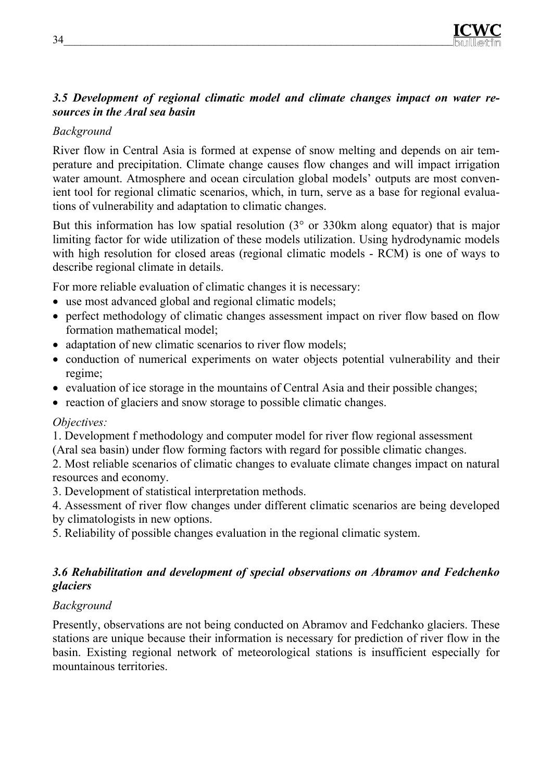## *3.5 Development of regional climatic model and climate changes impact on water resources in the Aral sea basin*

# *Background*

River flow in Central Asia is formed at expense of snow melting and depends on air temperature and precipitation. Climate change causes flow changes and will impact irrigation water amount. Atmosphere and ocean circulation global models' outputs are most convenient tool for regional climatic scenarios, which, in turn, serve as a base for regional evaluations of vulnerability and adaptation to climatic changes.

But this information has low spatial resolution (3° or 330km along equator) that is major limiting factor for wide utilization of these models utilization. Using hydrodynamic models with high resolution for closed areas (regional climatic models - RCM) is one of ways to describe regional climate in details.

For more reliable evaluation of climatic changes it is necessary:

- use most advanced global and regional climatic models;
- perfect methodology of climatic changes assessment impact on river flow based on flow formation mathematical model;
- adaptation of new climatic scenarios to river flow models;
- conduction of numerical experiments on water objects potential vulnerability and their regime;
- evaluation of ice storage in the mountains of Central Asia and their possible changes;
- reaction of glaciers and snow storage to possible climatic changes.

### *Objectives:*

1. Development f methodology and computer model for river flow regional assessment (Aral sea basin) under flow forming factors with regard for possible climatic changes.

2. Most reliable scenarios of climatic changes to evaluate climate changes impact on natural resources and economy.

3. Development of statistical interpretation methods.

4. Assessment of river flow changes under different climatic scenarios are being developed by climatologists in new options.

5. Reliability of possible changes evaluation in the regional climatic system.

### *3.6 Rehabilitation and development of special observations on Abramov and Fedchenko glaciers*

# *Background*

Presently, observations are not being conducted on Abramov and Fedchanko glaciers. These stations are unique because their information is necessary for prediction of river flow in the basin. Existing regional network of meteorological stations is insufficient especially for mountainous territories.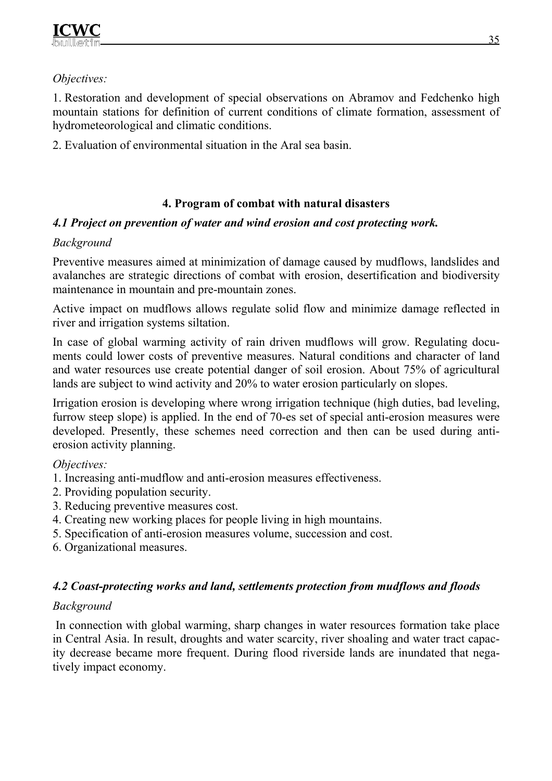## *Objectives:*

1. Restoration and development of special observations on Abramov and Fedchenko high mountain stations for definition of current conditions of climate formation, assessment of hydrometeorological and climatic conditions.

2. Evaluation of environmental situation in the Aral sea basin.

# **4. Program of combat with natural disasters**

## *4.1 Project on prevention of water and wind erosion and cost protecting work.*

## *Background*

Preventive measures aimed at minimization of damage caused by mudflows, landslides and avalanches are strategic directions of combat with erosion, desertification and biodiversity maintenance in mountain and pre-mountain zones.

Active impact on mudflows allows regulate solid flow and minimize damage reflected in river and irrigation systems siltation.

In case of global warming activity of rain driven mudflows will grow. Regulating documents could lower costs of preventive measures. Natural conditions and character of land and water resources use create potential danger of soil erosion. About 75% of agricultural lands are subject to wind activity and 20% to water erosion particularly on slopes.

Irrigation erosion is developing where wrong irrigation technique (high duties, bad leveling, furrow steep slope) is applied. In the end of 70-es set of special anti-erosion measures were developed. Presently, these schemes need correction and then can be used during antierosion activity planning.

### *Objectives:*

- 1. Increasing anti-mudflow and anti-erosion measures effectiveness.
- 2. Providing population security.
- 3. Reducing preventive measures cost.
- 4. Creating new working places for people living in high mountains.
- 5. Specification of anti-erosion measures volume, succession and cost.
- 6. Organizational measures.

# *4.2 Coast-protecting works and land, settlements protection from mudflows and floods*

# *Background*

 In connection with global warming, sharp changes in water resources formation take place in Central Asia. In result, droughts and water scarcity, river shoaling and water tract capacity decrease became more frequent. During flood riverside lands are inundated that negatively impact economy.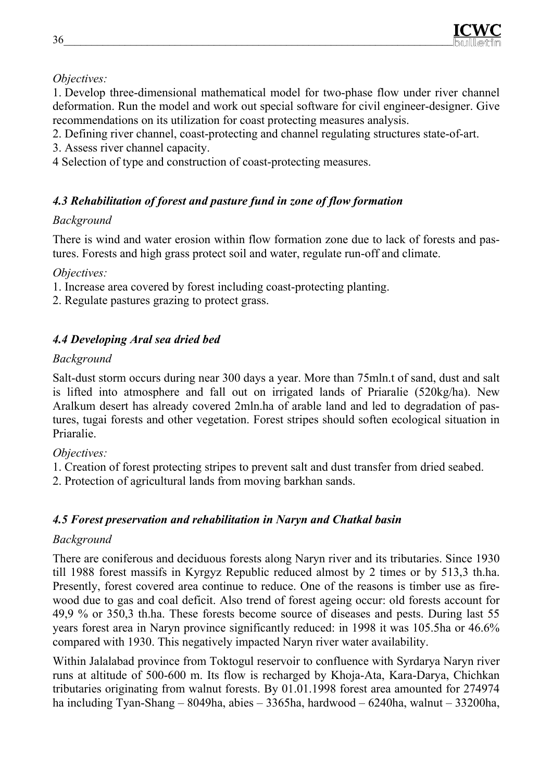

*Objectives:* 

1. Develop three-dimensional mathematical model for two-phase flow under river channel deformation. Run the model and work out special software for civil engineer-designer. Give recommendations on its utilization for coast protecting measures analysis.

- 2. Defining river channel, coast-protecting and channel regulating structures state-of-art.
- 3. Assess river channel capacity.
- 4 Selection of type and construction of coast-protecting measures.

## *4.3 Rehabilitation of forest and pasture fund in zone of flow formation*

### *Background*

There is wind and water erosion within flow formation zone due to lack of forests and pastures. Forests and high grass protect soil and water, regulate run-off and climate.

*Objectives:*

- 1. Increase area covered by forest including coast-protecting planting.
- 2. Regulate pastures grazing to protect grass.

# *4.4 Developing Aral sea dried bed*

## *Background*

Salt-dust storm occurs during near 300 days a year. More than 75mln.t of sand, dust and salt is lifted into atmosphere and fall out on irrigated lands of Priaralie (520kg/ha). New Aralkum desert has already covered 2mln.ha of arable land and led to degradation of pastures, tugai forests and other vegetation. Forest stripes should soften ecological situation in Priaralie.

*Objectives:*

- 1. Creation of forest protecting stripes to prevent salt and dust transfer from dried seabed.
- 2. Protection of agricultural lands from moving barkhan sands.

# *4.5 Forest preservation and rehabilitation in Naryn and Chatkal basin*

# *Background*

There are coniferous and deciduous forests along Naryn river and its tributaries. Since 1930 till 1988 forest massifs in Kyrgyz Republic reduced almost by 2 times or by 513,3 th.ha. Presently, forest covered area continue to reduce. One of the reasons is timber use as firewood due to gas and coal deficit. Also trend of forest ageing occur: old forests account for 49,9 % or 350,3 th.ha. These forests become source of diseases and pests. During last 55 years forest area in Naryn province significantly reduced: in 1998 it was 105.5ha or 46.6% compared with 1930. This negatively impacted Naryn river water availability.

Within Jalalabad province from Toktogul reservoir to confluence with Syrdarya Naryn river runs at altitude of 500-600 m. Its flow is recharged by Khoja-Ata, Kara-Darya, Chichkan tributaries originating from walnut forests. By 01.01.1998 forest area amounted for 274974 ha including Tyan-Shang – 8049ha, abies – 3365ha, hardwood – 6240ha, walnut – 33200ha,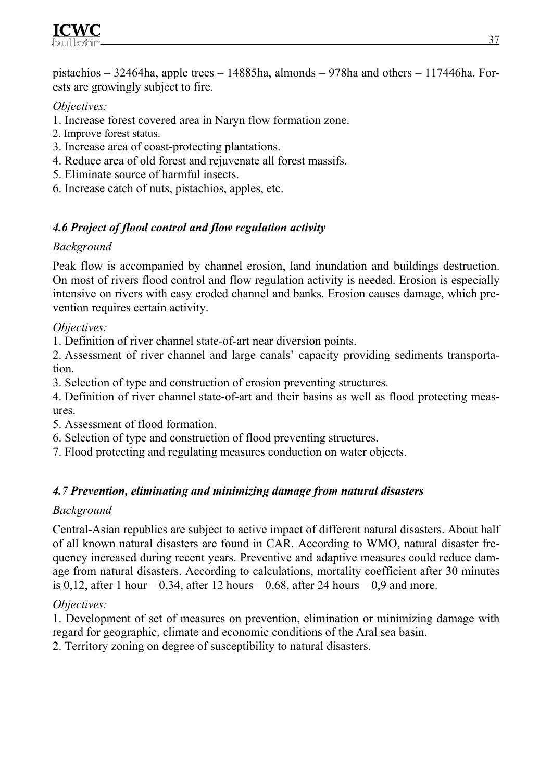

pistachios – 32464ha, apple trees – 14885ha, almonds – 978ha and others – 117446ha. Forests are growingly subject to fire.

### *Objectives:*

- 1. Increase forest covered area in Naryn flow formation zone.
- 2. Improve forest status.
- 3. Increase area of coast-protecting plantations.
- 4. Reduce area of old forest and rejuvenate all forest massifs.
- 5. Eliminate source of harmful insects.
- 6. Increase catch of nuts, pistachios, apples, etc.

## *4.6 Project of flood control and flow regulation activity*

### *Background*

Peak flow is accompanied by channel erosion, land inundation and buildings destruction. On most of rivers flood control and flow regulation activity is needed. Erosion is especially intensive on rivers with easy eroded channel and banks. Erosion causes damage, which prevention requires certain activity.

*Objectives:*

1. Definition of river channel state-of-art near diversion points.

2. Assessment of river channel and large canals' capacity providing sediments transportation.

3. Selection of type and construction of erosion preventing structures.

4. Definition of river channel state-of-art and their basins as well as flood protecting measures.

- 5. Assessment of flood formation.
- 6. Selection of type and construction of flood preventing structures.
- 7. Flood protecting and regulating measures conduction on water objects.

### *4.7 Prevention, eliminating and minimizing damage from natural disasters*

#### *Background*

Central-Asian republics are subject to active impact of different natural disasters. About half of all known natural disasters are found in CAR. According to WMO, natural disaster frequency increased during recent years. Preventive and adaptive measures could reduce damage from natural disasters. According to calculations, mortality coefficient after 30 minutes is 0,12, after 1 hour – 0,34, after 12 hours – 0,68, after 24 hours – 0,9 and more.

### *Objectives:*

1. Development of set of measures on prevention, elimination or minimizing damage with regard for geographic, climate and economic conditions of the Aral sea basin.

2. Territory zoning on degree of susceptibility to natural disasters.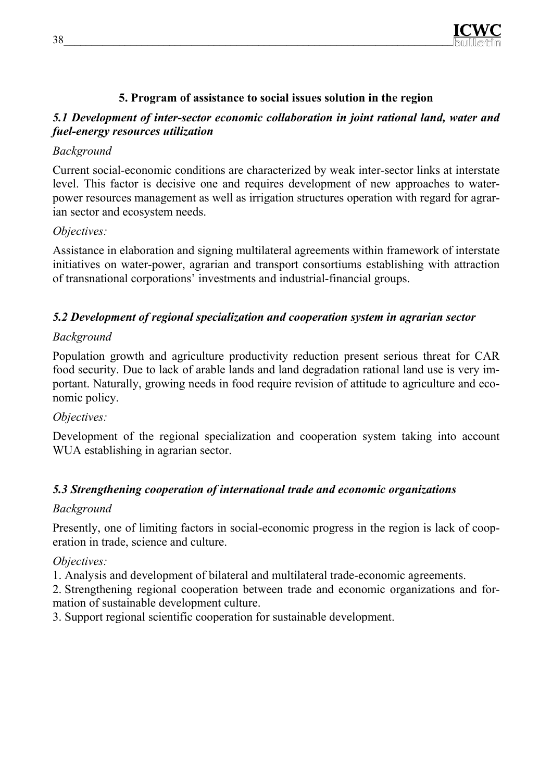

### **5. Program of assistance to social issues solution in the region**

### *5.1 Development of inter-sector economic collaboration in joint rational land, water and fuel-energy resources utilization*

### *Background*

Current social-economic conditions are characterized by weak inter-sector links at interstate level. This factor is decisive one and requires development of new approaches to waterpower resources management as well as irrigation structures operation with regard for agrarian sector and ecosystem needs.

### *Objectives:*

Assistance in elaboration and signing multilateral agreements within framework of interstate initiatives on water-power, agrarian and transport consortiums establishing with attraction of transnational corporations' investments and industrial-financial groups.

### *5.2 Development of regional specialization and cooperation system in agrarian sector*

### *Background*

Population growth and agriculture productivity reduction present serious threat for CAR food security. Due to lack of arable lands and land degradation rational land use is very important. Naturally, growing needs in food require revision of attitude to agriculture and economic policy.

### *Objectives:*

Development of the regional specialization and cooperation system taking into account WUA establishing in agrarian sector.

### *5.3 Strengthening cooperation of international trade and economic organizations*

#### *Background*

Presently, one of limiting factors in social-economic progress in the region is lack of cooperation in trade, science and culture.

### *Objectives:*

1. Analysis and development of bilateral and multilateral trade-economic agreements.

2. Strengthening regional cooperation between trade and economic organizations and formation of sustainable development culture.

3. Support regional scientific cooperation for sustainable development.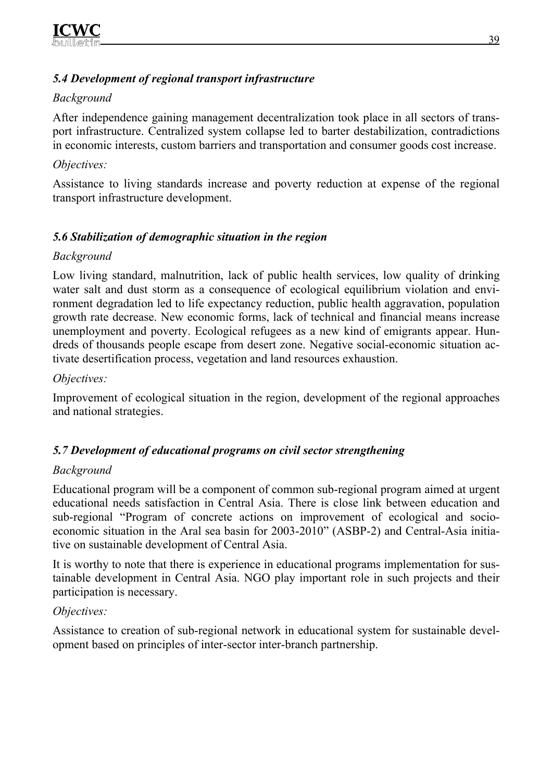## *5.4 Development of regional transport infrastructure*

# *Background*

After independence gaining management decentralization took place in all sectors of transport infrastructure. Centralized system collapse led to barter destabilization, contradictions in economic interests, custom barriers and transportation and consumer goods cost increase.

### *Objectives:*

Assistance to living standards increase and poverty reduction at expense of the regional transport infrastructure development.

# *5.6 Stabilization of demographic situation in the region*

#### *Background*

Low living standard, malnutrition, lack of public health services, low quality of drinking water salt and dust storm as a consequence of ecological equilibrium violation and environment degradation led to life expectancy reduction, public health aggravation, population growth rate decrease. New economic forms, lack of technical and financial means increase unemployment and poverty. Ecological refugees as a new kind of emigrants appear. Hundreds of thousands people escape from desert zone. Negative social-economic situation activate desertification process, vegetation and land resources exhaustion.

#### *Objectives:*

Improvement of ecological situation in the region, development of the regional approaches and national strategies.

# *5.7 Development of educational programs on civil sector strengthening*

#### *Background*

Educational program will be a component of common sub-regional program aimed at urgent educational needs satisfaction in Central Asia. There is close link between education and sub-regional "Program of concrete actions on improvement of ecological and socioeconomic situation in the Aral sea basin for 2003-2010" (ASBP-2) and Central-Asia initiative on sustainable development of Central Asia.

It is worthy to note that there is experience in educational programs implementation for sustainable development in Central Asia. NGO play important role in such projects and their participation is necessary.

#### *Objectives:*

Assistance to creation of sub-regional network in educational system for sustainable development based on principles of inter-sector inter-branch partnership.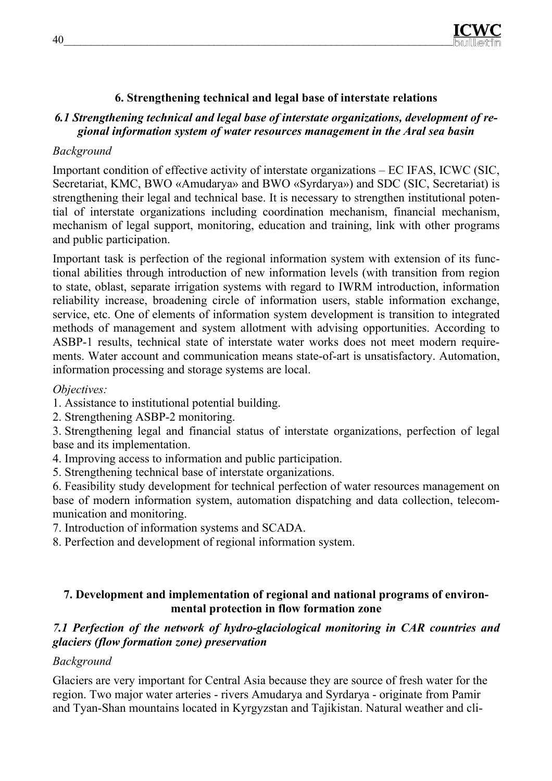#### **6. Strengthening technical and legal base of interstate relations**

# *6.1 Strengthening technical and legal base of interstate organizations, development of regional information system of water resources management in the Aral sea basin*

# *Background*

Important condition of effective activity of interstate organizations – EC IFAS, ICWC (SIC, Secretariat, KMC, BWO «Amudarya» and BWO «Syrdarya») and SDC (SIC, Secretariat) is strengthening their legal and technical base. It is necessary to strengthen institutional potential of interstate organizations including coordination mechanism, financial mechanism, mechanism of legal support, monitoring, education and training, link with other programs and public participation.

Important task is perfection of the regional information system with extension of its functional abilities through introduction of new information levels (with transition from region to state, oblast, separate irrigation systems with regard to IWRM introduction, information reliability increase, broadening circle of information users, stable information exchange, service, etc. One of elements of information system development is transition to integrated methods of management and system allotment with advising opportunities. According to ASBP-1 results, technical state of interstate water works does not meet modern requirements. Water account and communication means state-of-art is unsatisfactory. Automation, information processing and storage systems are local.

#### *Objectives:*

- 1. Assistance to institutional potential building.
- 2. Strengthening ASBP-2 monitoring.
- 3. Strengthening legal and financial status of interstate organizations, perfection of legal base and its implementation.
- 4. Improving access to information and public participation.
- 5. Strengthening technical base of interstate organizations.

6. Feasibility study development for technical perfection of water resources management on base of modern information system, automation dispatching and data collection, telecommunication and monitoring.

- 7. Introduction of information systems and SCADA.
- 8. Perfection and development of regional information system.

## **7. Development and implementation of regional and national programs of environmental protection in flow formation zone**

#### *7.1 Perfection of the network of hydro-glaciological monitoring in CAR countries and glaciers (flow formation zone) preservation*

#### *Background*

Glaciers are very important for Central Asia because they are source of fresh water for the region. Two major water arteries - rivers Amudarya and Syrdarya - originate from Pamir and Tyan-Shan mountains located in Kyrgyzstan and Tajikistan. Natural weather and cli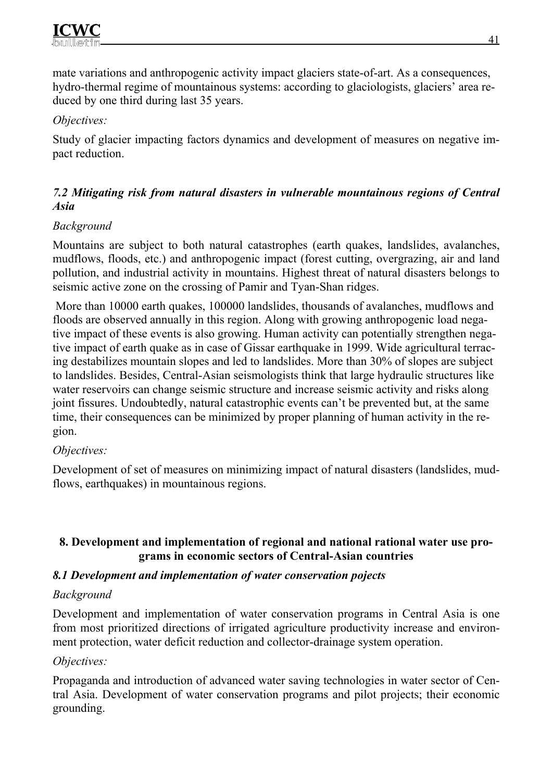mate variations and anthropogenic activity impact glaciers state-of-art. As a consequences, hydro-thermal regime of mountainous systems: according to glaciologists, glaciers' area reduced by one third during last 35 years.

# *Objectives:*

Study of glacier impacting factors dynamics and development of measures on negative impact reduction.

## *7.2 Mitigating risk from natural disasters in vulnerable mountainous regions of Central Asia*

# *Background*

Mountains are subject to both natural catastrophes (earth quakes, landslides, avalanches, mudflows, floods, etc.) and anthropogenic impact (forest cutting, overgrazing, air and land pollution, and industrial activity in mountains. Highest threat of natural disasters belongs to seismic active zone on the crossing of Pamir and Tyan-Shan ridges.

 More than 10000 earth quakes, 100000 landslides, thousands of avalanches, mudflows and floods are observed annually in this region. Along with growing anthropogenic load negative impact of these events is also growing. Human activity can potentially strengthen negative impact of earth quake as in case of Gissar earthquake in 1999. Wide agricultural terracing destabilizes mountain slopes and led to landslides. More than 30% of slopes are subject to landslides. Besides, Central-Asian seismologists think that large hydraulic structures like water reservoirs can change seismic structure and increase seismic activity and risks along joint fissures. Undoubtedly, natural catastrophic events can't be prevented but, at the same time, their consequences can be minimized by proper planning of human activity in the region.

# *Objectives:*

Development of set of measures on minimizing impact of natural disasters (landslides, mudflows, earthquakes) in mountainous regions.

#### **8. Development and implementation of regional and national rational water use programs in economic sectors of Central-Asian countries**

#### *8.1 Development and implementation of water conservation pojects*

#### *Background*

Development and implementation of water conservation programs in Central Asia is one from most prioritized directions of irrigated agriculture productivity increase and environment protection, water deficit reduction and collector-drainage system operation.

# *Objectives:*

Propaganda and introduction of advanced water saving technologies in water sector of Central Asia. Development of water conservation programs and pilot projects; their economic grounding.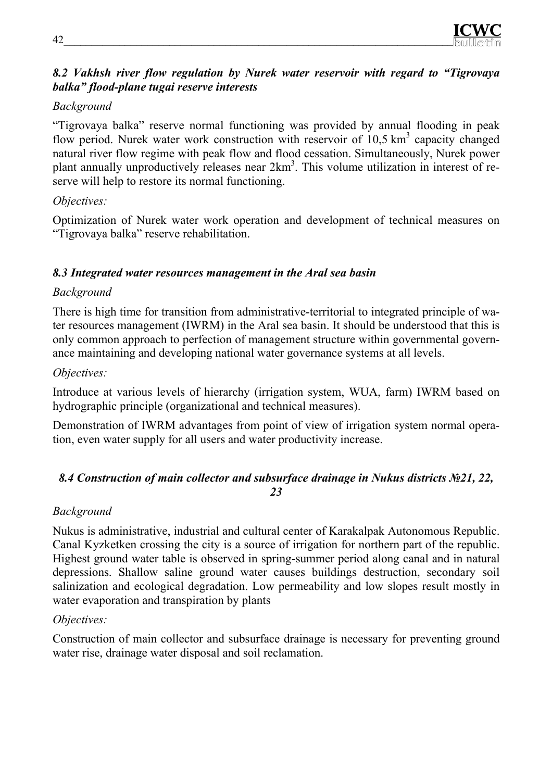

#### *8.2 Vakhsh river flow regulation by Nurek water reservoir with regard to "Tigrovaya balka" flood-plane tugai reserve interests*

#### *Background*

"Tigrovaya balka" reserve normal functioning was provided by annual flooding in peak flow period. Nurek water work construction with reservoir of  $10,5 \text{ km}^3$  capacity changed natural river flow regime with peak flow and flood cessation. Simultaneously, Nurek power plant annually unproductively releases near 2km<sup>3</sup>. This volume utilization in interest of reserve will help to restore its normal functioning.

#### *Objectives:*

Optimization of Nurek water work operation and development of technical measures on "Tigrovaya balka" reserve rehabilitation.

#### *8.3 Integrated water resources management in the Aral sea basin*

#### *Background*

There is high time for transition from administrative-territorial to integrated principle of water resources management (IWRM) in the Aral sea basin. It should be understood that this is only common approach to perfection of management structure within governmental governance maintaining and developing national water governance systems at all levels.

#### *Objectives:*

Introduce at various levels of hierarchy (irrigation system, WUA, farm) IWRM based on hydrographic principle (organizational and technical measures).

Demonstration of IWRM advantages from point of view of irrigation system normal operation, even water supply for all users and water productivity increase.

#### *8.4 Construction of main collector and subsurface drainage in Nukus districts №21, 22, 23*

#### *Background*

Nukus is administrative, industrial and cultural center of Karakalpak Autonomous Republic. Canal Kyzketken crossing the city is a source of irrigation for northern part of the republic. Highest ground water table is observed in spring-summer period along canal and in natural depressions. Shallow saline ground water causes buildings destruction, secondary soil salinization and ecological degradation. Low permeability and low slopes result mostly in water evaporation and transpiration by plants

#### *Objectives:*

Construction of main collector and subsurface drainage is necessary for preventing ground water rise, drainage water disposal and soil reclamation.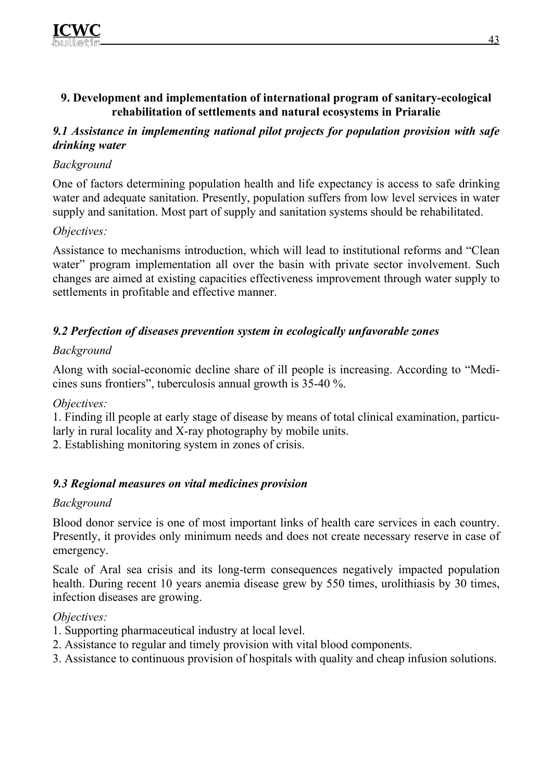#### **9. Development and implementation of international program of sanitary-ecological rehabilitation of settlements and natural ecosystems in Priaralie**

### *9.1 Assistance in implementing national pilot projects for population provision with safe drinking water*

# *Background*

One of factors determining population health and life expectancy is access to safe drinking water and adequate sanitation. Presently, population suffers from low level services in water supply and sanitation. Most part of supply and sanitation systems should be rehabilitated.

## *Objectives:*

Assistance to mechanisms introduction, which will lead to institutional reforms and "Clean water" program implementation all over the basin with private sector involvement. Such changes are aimed at existing capacities effectiveness improvement through water supply to settlements in profitable and effective manner.

# *9.2 Perfection of diseases prevention system in ecologically unfavorable zones*

## *Background*

Along with social-economic decline share of ill people is increasing. According to "Medicines suns frontiers", tuberculosis annual growth is 35-40 %.

#### *Objectives:*

1. Finding ill people at early stage of disease by means of total clinical examination, particularly in rural locality and X-ray photography by mobile units.

2. Establishing monitoring system in zones of crisis.

# *9.3 Regional measures on vital medicines provision*

#### *Background*

Blood donor service is one of most important links of health care services in each country. Presently, it provides only minimum needs and does not create necessary reserve in case of emergency.

Scale of Aral sea crisis and its long-term consequences negatively impacted population health. During recent 10 years anemia disease grew by 550 times, urolithiasis by 30 times, infection diseases are growing.

#### *Objectives:*

- 1. Supporting pharmaceutical industry at local level.
- 2. Assistance to regular and timely provision with vital blood components.
- 3. Assistance to continuous provision of hospitals with quality and cheap infusion solutions.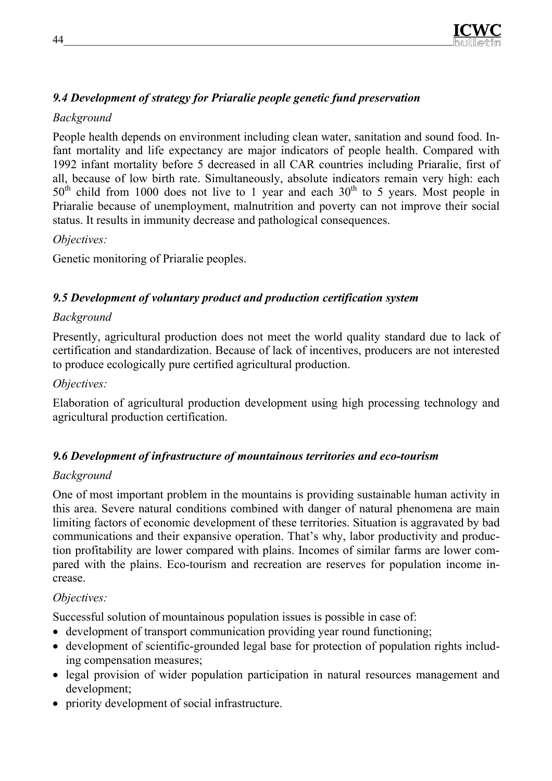

# *9.4 Development of strategy for Priaralie people genetic fund preservation*

## *Background*

People health depends on environment including clean water, sanitation and sound food. Infant mortality and life expectancy are major indicators of people health. Compared with 1992 infant mortality before 5 decreased in all CAR countries including Priaralie, first of all, because of low birth rate. Simultaneously, absolute indicators remain very high: each  $50<sup>th</sup>$  child from 1000 does not live to 1 year and each  $30<sup>th</sup>$  to 5 years. Most people in Priaralie because of unemployment, malnutrition and poverty can not improve their social status. It results in immunity decrease and pathological consequences.

## *Objectives:*

Genetic monitoring of Priaralie peoples.

# *9.5 Development of voluntary product and production certification system*

## *Background*

Presently, agricultural production does not meet the world quality standard due to lack of certification and standardization. Because of lack of incentives, producers are not interested to produce ecologically pure certified agricultural production.

### *Objectives:*

Elaboration of agricultural production development using high processing technology and agricultural production certification.

#### *9.6 Development of infrastructure of mountainous territories and eco-tourism*

#### *Background*

One of most important problem in the mountains is providing sustainable human activity in this area. Severe natural conditions combined with danger of natural phenomena are main limiting factors of economic development of these territories. Situation is aggravated by bad communications and their expansive operation. That's why, labor productivity and production profitability are lower compared with plains. Incomes of similar farms are lower compared with the plains. Eco-tourism and recreation are reserves for population income increase.

# *Objectives:*

Successful solution of mountainous population issues is possible in case of:

- development of transport communication providing year round functioning;
- development of scientific-grounded legal base for protection of population rights including compensation measures;
- legal provision of wider population participation in natural resources management and development;
- priority development of social infrastructure.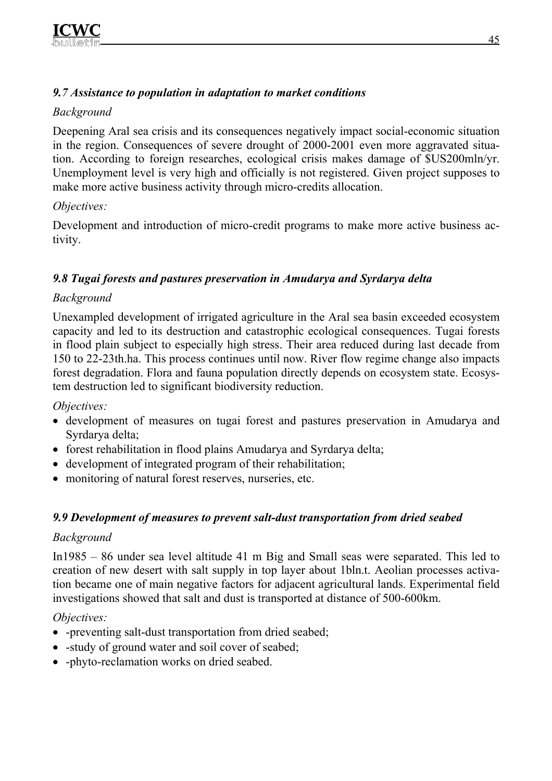## *9.7 Assistance to population in adaptation to market conditions*

# *Background*

Deepening Aral sea crisis and its consequences negatively impact social-economic situation in the region. Consequences of severe drought of 2000-2001 even more aggravated situation. According to foreign researches, ecological crisis makes damage of \$US200mln/yr. Unemployment level is very high and officially is not registered. Given project supposes to make more active business activity through micro-credits allocation.

# *Objectives:*

Development and introduction of micro-credit programs to make more active business activity.

# *9.8 Tugai forests and pastures preservation in Amudarya and Syrdarya delta*

# *Background*

Unexampled development of irrigated agriculture in the Aral sea basin exceeded ecosystem capacity and led to its destruction and catastrophic ecological consequences. Tugai forests in flood plain subject to especially high stress. Their area reduced during last decade from 150 to 22-23th.ha. This process continues until now. River flow regime change also impacts forest degradation. Flora and fauna population directly depends on ecosystem state. Ecosystem destruction led to significant biodiversity reduction.

*Objectives:*

- development of measures on tugai forest and pastures preservation in Amudarya and Syrdarya delta;
- forest rehabilitation in flood plains Amudarya and Syrdarya delta;
- development of integrated program of their rehabilitation;
- monitoring of natural forest reserves, nurseries, etc.

# *9.9 Development of measures to prevent salt-dust transportation from dried seabed*

# *Background*

In1985 – 86 under sea level altitude 41 m Big and Small seas were separated. This led to creation of new desert with salt supply in top layer about 1bln.t. Aeolian processes activation became one of main negative factors for adjacent agricultural lands. Experimental field investigations showed that salt and dust is transported at distance of 500-600km.

# *Objectives:*

- -preventing salt-dust transportation from dried seabed;
- -study of ground water and soil cover of seabed;
- -phyto-reclamation works on dried seabed.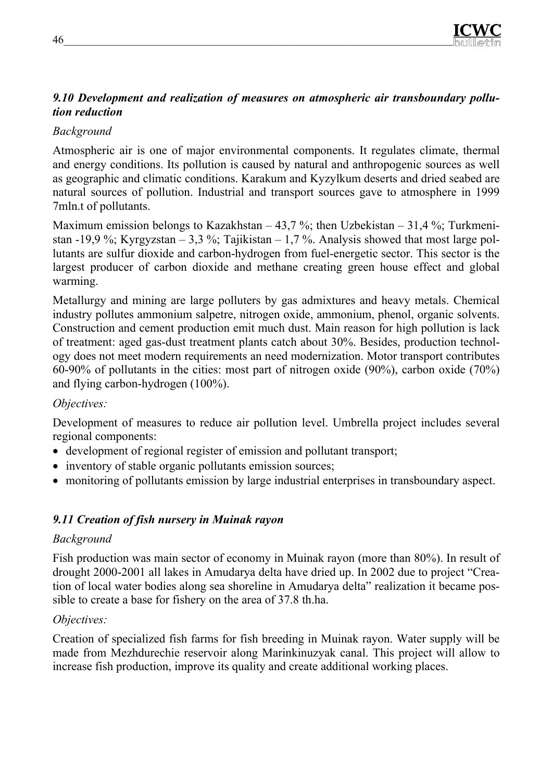# *9.10 Development and realization of measures on atmospheric air transboundary pollution reduction*

# *Background*

Atmospheric air is one of major environmental components. It regulates climate, thermal and energy conditions. Its pollution is caused by natural and anthropogenic sources as well as geographic and climatic conditions. Karakum and Kyzylkum deserts and dried seabed are natural sources of pollution. Industrial and transport sources gave to atmosphere in 1999 7mln.t of pollutants.

Maximum emission belongs to Kazakhstan – 43,7 %; then Uzbekistan – 31,4 %; Turkmenistan -19,9 %; Kyrgyzstan – 3,3 %; Tajikistan – 1,7 %. Analysis showed that most large pollutants are sulfur dioxide and carbon-hydrogen from fuel-energetic sector. This sector is the largest producer of carbon dioxide and methane creating green house effect and global warming.

Metallurgy and mining are large polluters by gas admixtures and heavy metals. Chemical industry pollutes ammonium salpetre, nitrogen oxide, ammonium, phenol, organic solvents. Construction and cement production emit much dust. Main reason for high pollution is lack of treatment: aged gas-dust treatment plants catch about 30%. Besides, production technology does not meet modern requirements an need modernization. Motor transport contributes 60-90% of pollutants in the cities: most part of nitrogen oxide (90%), carbon oxide (70%) and flying carbon-hydrogen (100%).

#### *Objectives:*

Development of measures to reduce air pollution level. Umbrella project includes several regional components:

- development of regional register of emission and pollutant transport;
- inventory of stable organic pollutants emission sources;
- monitoring of pollutants emission by large industrial enterprises in transboundary aspect.

# *9.11 Creation of fish nursery in Muinak rayon*

#### *Background*

Fish production was main sector of economy in Muinak rayon (more than 80%). In result of drought 2000-2001 all lakes in Amudarya delta have dried up. In 2002 due to project "Creation of local water bodies along sea shoreline in Amudarya delta" realization it became possible to create a base for fishery on the area of 37.8 th.ha.

# *Objectives:*

Creation of specialized fish farms for fish breeding in Muinak rayon. Water supply will be made from Mezhdurechie reservoir along Marinkinuzyak canal. This project will allow to increase fish production, improve its quality and create additional working places.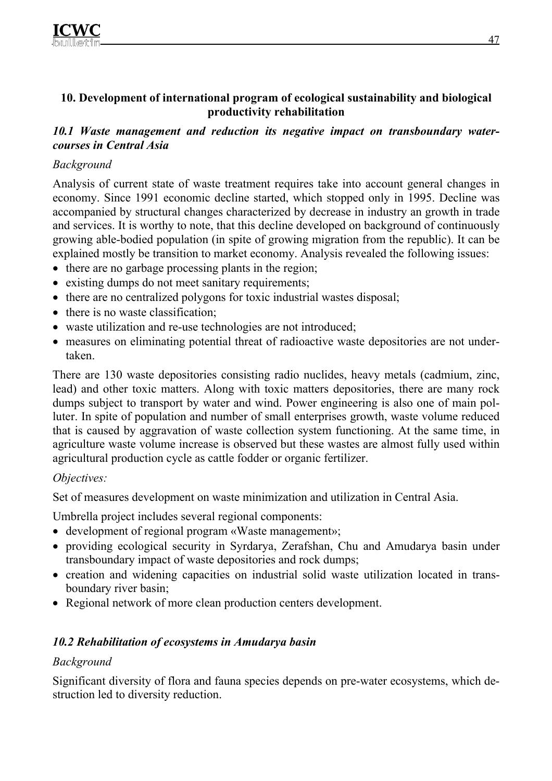#### **10. Development of international program of ecological sustainability and biological productivity rehabilitation**

#### *10.1 Waste management and reduction its negative impact on transboundary watercourses in Central Asia*

# *Background*

Analysis of current state of waste treatment requires take into account general changes in economy. Since 1991 economic decline started, which stopped only in 1995. Decline was accompanied by structural changes characterized by decrease in industry an growth in trade and services. It is worthy to note, that this decline developed on background of continuously growing able-bodied population (in spite of growing migration from the republic). It can be explained mostly be transition to market economy. Analysis revealed the following issues:

- there are no garbage processing plants in the region;
- existing dumps do not meet sanitary requirements;
- there are no centralized polygons for toxic industrial wastes disposal;
- there is no waste classification;
- waste utilization and re-use technologies are not introduced;
- measures on eliminating potential threat of radioactive waste depositories are not undertaken.

There are 130 waste depositories consisting radio nuclides, heavy metals (cadmium, zinc, lead) and other toxic matters. Along with toxic matters depositories, there are many rock dumps subject to transport by water and wind. Power engineering is also one of main polluter. In spite of population and number of small enterprises growth, waste volume reduced that is caused by aggravation of waste collection system functioning. At the same time, in agriculture waste volume increase is observed but these wastes are almost fully used within agricultural production cycle as cattle fodder or organic fertilizer.

#### *Objectives:*

Set of measures development on waste minimization and utilization in Central Asia.

Umbrella project includes several regional components:

- development of regional program «Waste management»;
- providing ecological security in Syrdarya, Zerafshan, Chu and Amudarya basin under transboundary impact of waste depositories and rock dumps;
- creation and widening capacities on industrial solid waste utilization located in transboundary river basin;
- Regional network of more clean production centers development.

# *10.2 Rehabilitation of ecosystems in Amudarya basin*

# *Background*

Significant diversity of flora and fauna species depends on pre-water ecosystems, which destruction led to diversity reduction.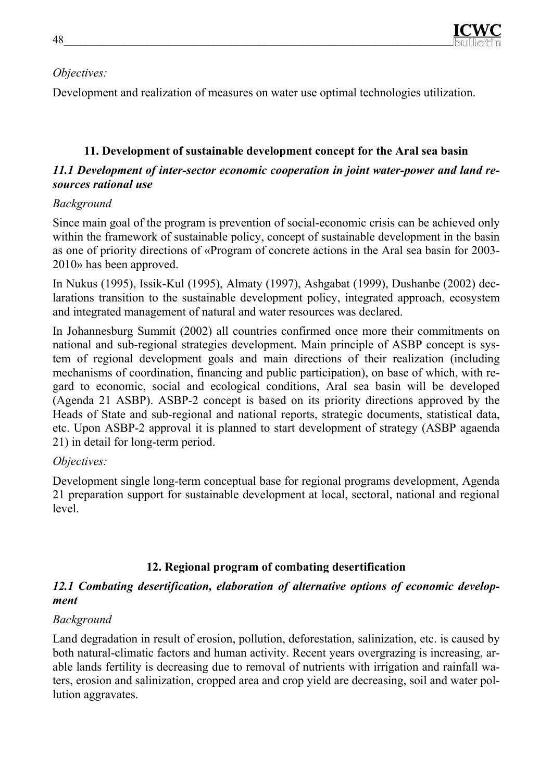# *Objectives:*

Development and realization of measures on water use optimal technologies utilization.

# **11. Development of sustainable development concept for the Aral sea basin**

## *11.1 Development of inter-sector economic cooperation in joint water-power and land resources rational use*

# *Background*

Since main goal of the program is prevention of social-economic crisis can be achieved only within the framework of sustainable policy, concept of sustainable development in the basin as one of priority directions of «Program of concrete actions in the Aral sea basin for 2003- 2010» has been approved.

In Nukus (1995), Issik-Kul (1995), Almaty (1997), Ashgabat (1999), Dushanbe (2002) declarations transition to the sustainable development policy, integrated approach, ecosystem and integrated management of natural and water resources was declared.

In Johannesburg Summit (2002) all countries confirmed once more their commitments on national and sub-regional strategies development. Main principle of ASBP concept is system of regional development goals and main directions of their realization (including mechanisms of coordination, financing and public participation), on base of which, with regard to economic, social and ecological conditions, Aral sea basin will be developed (Agenda 21 ASBP). ASBP-2 concept is based on its priority directions approved by the Heads of State and sub-regional and national reports, strategic documents, statistical data, etc. Upon ASBP-2 approval it is planned to start development of strategy (ASBP agaenda 21) in detail for long-term period.

# *Objectives:*

Development single long-term conceptual base for regional programs development, Agenda 21 preparation support for sustainable development at local, sectoral, national and regional level.

# **12. Regional program of combating desertification**

## *12.1 Combating desertification, elaboration of alternative options of economic development*

# *Background*

Land degradation in result of erosion, pollution, deforestation, salinization, etc. is caused by both natural-climatic factors and human activity. Recent years overgrazing is increasing, arable lands fertility is decreasing due to removal of nutrients with irrigation and rainfall waters, erosion and salinization, cropped area and crop yield are decreasing, soil and water pollution aggravates.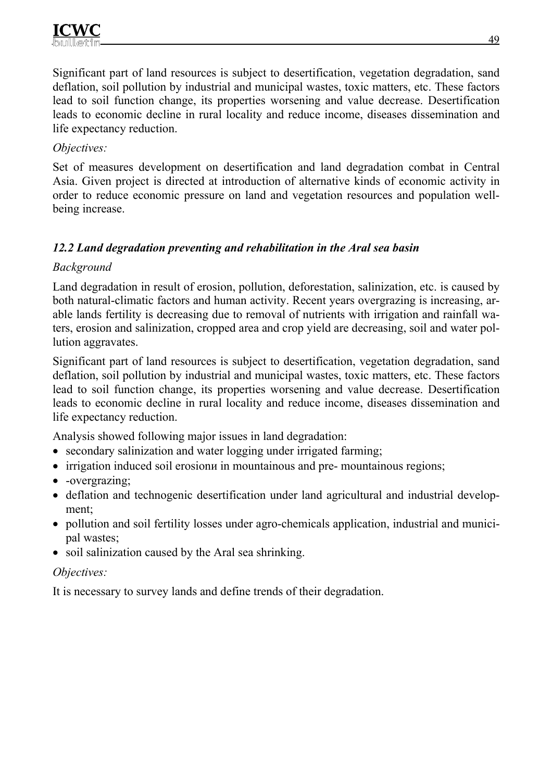Significant part of land resources is subject to desertification, vegetation degradation, sand deflation, soil pollution by industrial and municipal wastes, toxic matters, etc. These factors lead to soil function change, its properties worsening and value decrease. Desertification leads to economic decline in rural locality and reduce income, diseases dissemination and life expectancy reduction.

## *Objectives:*

Set of measures development on desertification and land degradation combat in Central Asia. Given project is directed at introduction of alternative kinds of economic activity in order to reduce economic pressure on land and vegetation resources and population wellbeing increase.

# *12.2 Land degradation preventing and rehabilitation in the Aral sea basin*

#### *Background*

Land degradation in result of erosion, pollution, deforestation, salinization, etc. is caused by both natural-climatic factors and human activity. Recent years overgrazing is increasing, arable lands fertility is decreasing due to removal of nutrients with irrigation and rainfall waters, erosion and salinization, cropped area and crop yield are decreasing, soil and water pollution aggravates.

Significant part of land resources is subject to desertification, vegetation degradation, sand deflation, soil pollution by industrial and municipal wastes, toxic matters, etc. These factors lead to soil function change, its properties worsening and value decrease. Desertification leads to economic decline in rural locality and reduce income, diseases dissemination and life expectancy reduction.

Analysis showed following major issues in land degradation:

- secondary salinization and water logging under irrigated farming;
- irrigation induced soil erosion in mountainous and pre- mountainous regions;
- -overgrazing;
- deflation and technogenic desertification under land agricultural and industrial development;
- pollution and soil fertility losses under agro-chemicals application, industrial and municipal wastes;
- soil salinization caused by the Aral sea shrinking.

#### *Objectives:*

It is necessary to survey lands and define trends of their degradation.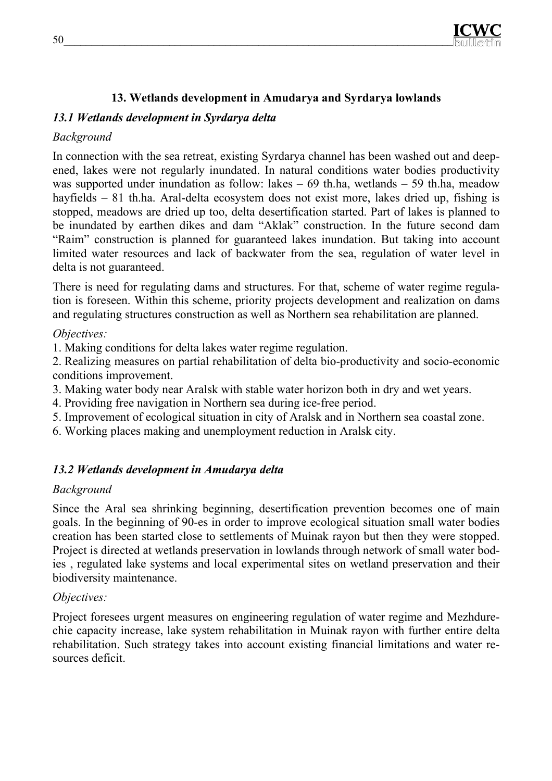

## **13. Wetlands development in Amudarya and Syrdarya lowlands**

#### *13.1 Wetlands development in Syrdarya delta*

#### *Background*

In connection with the sea retreat, existing Syrdarya channel has been washed out and deepened, lakes were not regularly inundated. In natural conditions water bodies productivity was supported under inundation as follow: lakes – 69 th.ha, wetlands – 59 th.ha, meadow hayfields – 81 th.ha. Aral-delta ecosystem does not exist more, lakes dried up, fishing is stopped, meadows are dried up too, delta desertification started. Part of lakes is planned to be inundated by earthen dikes and dam "Aklak" construction. In the future second dam "Raim" construction is planned for guaranteed lakes inundation. But taking into account limited water resources and lack of backwater from the sea, regulation of water level in delta is not guaranteed.

There is need for regulating dams and structures. For that, scheme of water regime regulation is foreseen. Within this scheme, priority projects development and realization on dams and regulating structures construction as well as Northern sea rehabilitation are planned.

#### *Objectives:*

1. Making conditions for delta lakes water regime regulation.

2. Realizing measures on partial rehabilitation of delta bio-productivity and socio-economic conditions improvement.

- 3. Making water body near Aralsk with stable water horizon both in dry and wet years.
- 4. Providing free navigation in Northern sea during ice-free period.
- 5. Improvement of ecological situation in city of Aralsk and in Northern sea coastal zone.
- 6. Working places making and unemployment reduction in Aralsk city.

#### *13.2 Wetlands development in Amudarya delta*

#### *Background*

Since the Aral sea shrinking beginning, desertification prevention becomes one of main goals. In the beginning of 90-es in order to improve ecological situation small water bodies creation has been started close to settlements of Muinak rayon but then they were stopped. Project is directed at wetlands preservation in lowlands through network of small water bodies , regulated lake systems and local experimental sites on wetland preservation and their biodiversity maintenance.

#### *Objectives:*

Project foresees urgent measures on engineering regulation of water regime and Mezhdurechie capacity increase, lake system rehabilitation in Muinak rayon with further entire delta rehabilitation. Such strategy takes into account existing financial limitations and water resources deficit.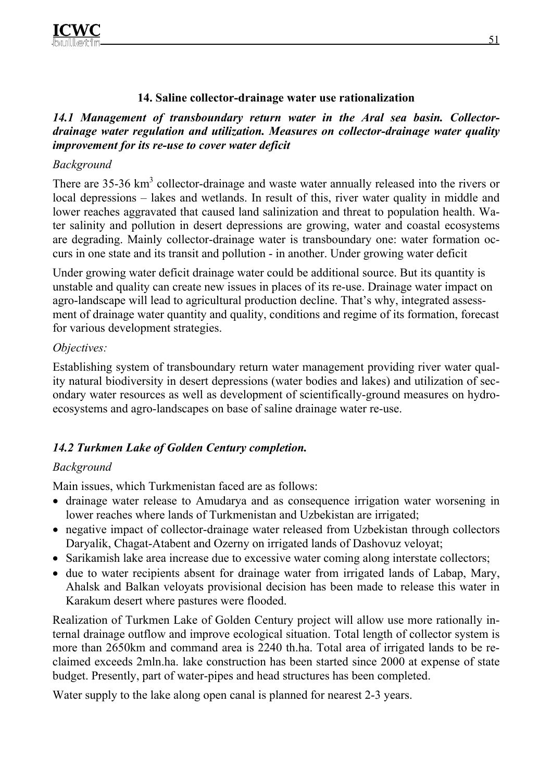#### **14. Saline collector-drainage water use rationalization**

#### *14.1 Management of transboundary return water in the Aral sea basin. Collectordrainage water regulation and utilization. Measures on collector-drainage water quality improvement for its re-use to cover water deficit*

#### *Background*

There are  $35-36 \text{ km}^3$  collector-drainage and waste water annually released into the rivers or local depressions – lakes and wetlands. In result of this, river water quality in middle and lower reaches aggravated that caused land salinization and threat to population health. Water salinity and pollution in desert depressions are growing, water and coastal ecosystems are degrading. Mainly collector-drainage water is transboundary one: water formation occurs in one state and its transit and pollution - in another. Under growing water deficit

Under growing water deficit drainage water could be additional source. But its quantity is unstable and quality can create new issues in places of its re-use. Drainage water impact on agro-landscape will lead to agricultural production decline. That's why, integrated assessment of drainage water quantity and quality, conditions and regime of its formation, forecast for various development strategies.

#### *Objectives:*

Establishing system of transboundary return water management providing river water quality natural biodiversity in desert depressions (water bodies and lakes) and utilization of secondary water resources as well as development of scientifically-ground measures on hydroecosystems and agro-landscapes on base of saline drainage water re-use.

# *14.2 Turkmen Lake of Golden Century completion.*

#### *Background*

Main issues, which Turkmenistan faced are as follows:

- drainage water release to Amudarya and as consequence irrigation water worsening in lower reaches where lands of Turkmenistan and Uzbekistan are irrigated;
- negative impact of collector-drainage water released from Uzbekistan through collectors Daryalik, Chagat-Atabent and Ozerny on irrigated lands of Dashovuz veloyat;
- Sarikamish lake area increase due to excessive water coming along interstate collectors;
- due to water recipients absent for drainage water from irrigated lands of Labap, Mary, Ahalsk and Balkan veloyats provisional decision has been made to release this water in Karakum desert where pastures were flooded.

Realization of Turkmen Lake of Golden Century project will allow use more rationally internal drainage outflow and improve ecological situation. Total length of collector system is more than 2650km and command area is 2240 th.ha. Total area of irrigated lands to be reclaimed exceeds 2mln.ha. lake construction has been started since 2000 at expense of state budget. Presently, part of water-pipes and head structures has been completed.

Water supply to the lake along open canal is planned for nearest 2-3 years.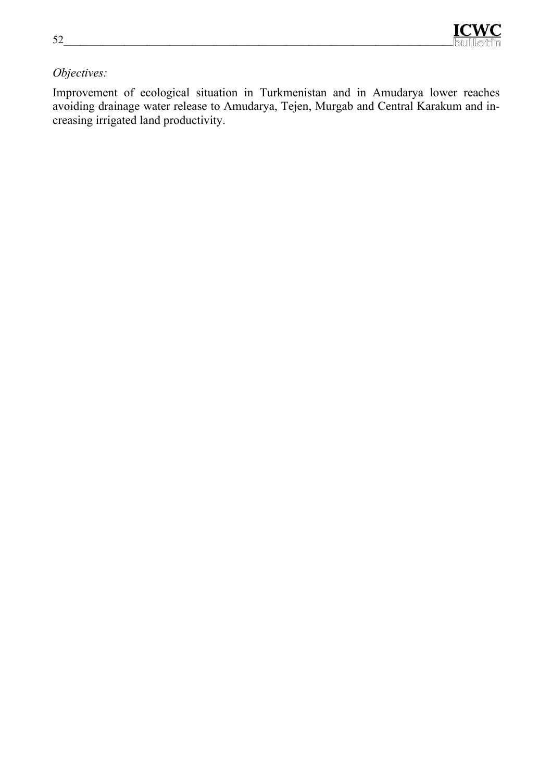# *Objectives:*

Improvement of ecological situation in Turkmenistan and in Amudarya lower reaches avoiding drainage water release to Amudarya, Tejen, Murgab and Central Karakum and increasing irrigated land productivity.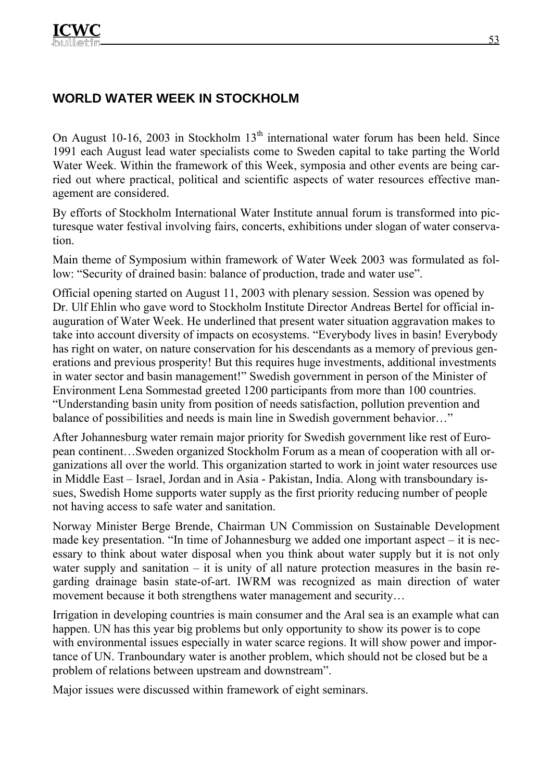# **WORLD WATER WEEK IN STOCKHOLM**

On August 10-16, 2003 in Stockholm  $13<sup>th</sup>$  international water forum has been held. Since 1991 each August lead water specialists come to Sweden capital to take parting the World Water Week. Within the framework of this Week, symposia and other events are being carried out where practical, political and scientific aspects of water resources effective management are considered.

By efforts of Stockholm International Water Institute annual forum is transformed into picturesque water festival involving fairs, concerts, exhibitions under slogan of water conservation.

Main theme of Symposium within framework of Water Week 2003 was formulated as follow: "Security of drained basin: balance of production, trade and water use".

Official opening started on August 11, 2003 with plenary session. Session was opened by Dr. Ulf Ehlin who gave word to Stockholm Institute Director Andreas Bertel for official inauguration of Water Week. He underlined that present water situation aggravation makes to take into account diversity of impacts on ecosystems. "Everybody lives in basin! Everybody has right on water, on nature conservation for his descendants as a memory of previous generations and previous prosperity! But this requires huge investments, additional investments in water sector and basin management!" Swedish government in person of the Minister of Environment Lena Sommestad greeted 1200 participants from more than 100 countries. "Understanding basin unity from position of needs satisfaction, pollution prevention and balance of possibilities and needs is main line in Swedish government behavior..."

After Johannesburg water remain major priority for Swedish government like rest of European continent…Sweden organized Stockholm Forum as a mean of cooperation with all organizations all over the world. This organization started to work in joint water resources use in Middle East – Israel, Jordan and in Asia - Pakistan, India. Along with transboundary issues, Swedish Home supports water supply as the first priority reducing number of people not having access to safe water and sanitation.

Norway Minister Berge Brende, Chairman UN Commission on Sustainable Development made key presentation. "In time of Johannesburg we added one important aspect – it is necessary to think about water disposal when you think about water supply but it is not only water supply and sanitation – it is unity of all nature protection measures in the basin regarding drainage basin state-of-art. IWRM was recognized as main direction of water movement because it both strengthens water management and security…

Irrigation in developing countries is main consumer and the Aral sea is an example what can happen. UN has this year big problems but only opportunity to show its power is to cope with environmental issues especially in water scarce regions. It will show power and importance of UN. Tranboundary water is another problem, which should not be closed but be a problem of relations between upstream and downstream".

Major issues were discussed within framework of eight seminars.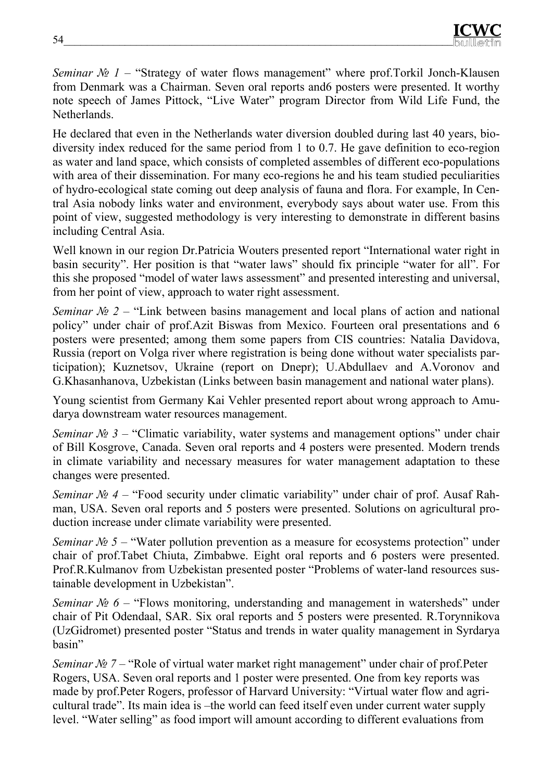*Seminar № 1* – "Strategy of water flows management" where prof.Torkil Jonch-Klausen from Denmark was a Chairman. Seven oral reports and6 posters were presented. It worthy note speech of James Pittock, "Live Water" program Director from Wild Life Fund, the Netherlands.

He declared that even in the Netherlands water diversion doubled during last 40 years, biodiversity index reduced for the same period from 1 to 0.7. He gave definition to eco-region as water and land space, which consists of completed assembles of different eco-populations with area of their dissemination. For many eco-regions he and his team studied peculiarities of hydro-ecological state coming out deep analysis of fauna and flora. For example, In Central Asia nobody links water and environment, everybody says about water use. From this point of view, suggested methodology is very interesting to demonstrate in different basins including Central Asia.

Well known in our region Dr.Patricia Wouters presented report "International water right in basin security". Her position is that "water laws" should fix principle "water for all". For this she proposed "model of water laws assessment" and presented interesting and universal, from her point of view, approach to water right assessment.

*Seminar № 2* – "Link between basins management and local plans of action and national policy" under chair of prof.Azit Biswas from Mexico. Fourteen oral presentations and 6 posters were presented; among them some papers from CIS countries: Natalia Davidova, Russia (report on Volga river where registration is being done without water specialists participation); Kuznetsov, Ukraine (report on Dnepr); U.Abdullaev and A.Voronov and G.Khasanhanova, Uzbekistan (Links between basin management and national water plans).

Young scientist from Germany Kai Vehler presented report about wrong approach to Amudarya downstream water resources management.

*Seminar №* 3 – "Climatic variability, water systems and management options" under chair of Bill Kosgrove, Canada. Seven oral reports and 4 posters were presented. Modern trends in climate variability and necessary measures for water management adaptation to these changes were presented.

*Seminar №* 4 – "Food security under climatic variability" under chair of prof. Ausaf Rahman, USA. Seven oral reports and 5 posters were presented. Solutions on agricultural production increase under climate variability were presented.

*Seminar №* 5 – "Water pollution prevention as a measure for ecosystems protection" under chair of prof.Tabet Chiuta, Zimbabwe. Eight oral reports and 6 posters were presented. Prof.R.Kulmanov from Uzbekistan presented poster "Problems of water-land resources sustainable development in Uzbekistan".

*Seminar №* 6 – "Flows monitoring, understanding and management in watersheds" under chair of Pit Odendaal, SAR. Six oral reports and 5 posters were presented. R.Torynnikova (UzGidromet) presented poster "Status and trends in water quality management in Syrdarya basin"

*Seminar № 7* – "Role of virtual water market right management" under chair of prof.Peter Rogers, USA. Seven oral reports and 1 poster were presented. One from key reports was made by prof.Peter Rogers, professor of Harvard University: "Virtual water flow and agricultural trade". Its main idea is –the world can feed itself even under current water supply level. "Water selling" as food import will amount according to different evaluations from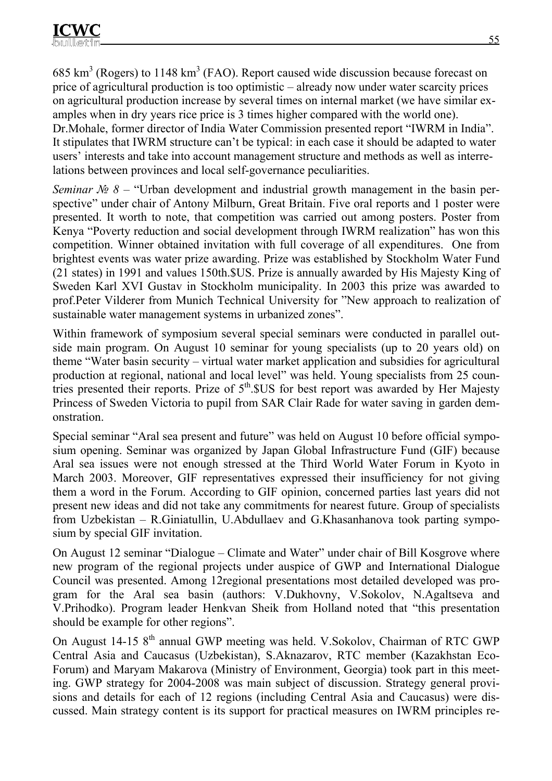685  $\text{km}^3$  (Rogers) to 1148  $\text{km}^3$  (FAO). Report caused wide discussion because forecast on price of agricultural production is too optimistic – already now under water scarcity prices on agricultural production increase by several times on internal market (we have similar examples when in dry years rice price is 3 times higher compared with the world one). Dr.Mohale, former director of India Water Commission presented report "IWRM in India". It stipulates that IWRM structure can't be typical: in each case it should be adapted to water users' interests and take into account management structure and methods as well as interrelations between provinces and local self-governance peculiarities.

*Seminar №* 8 – "Urban development and industrial growth management in the basin perspective" under chair of Antony Milburn, Great Britain. Five oral reports and 1 poster were presented. It worth to note, that competition was carried out among posters. Poster from Kenya "Poverty reduction and social development through IWRM realization" has won this competition. Winner obtained invitation with full coverage of all expenditures. One from brightest events was water prize awarding. Prize was established by Stockholm Water Fund (21 states) in 1991 and values 150th.\$US. Prize is annually awarded by His Majesty King of Sweden Karl XVI Gustav in Stockholm municipality. In 2003 this prize was awarded to prof.Peter Vilderer from Munich Technical University for "New approach to realization of sustainable water management systems in urbanized zones".

Within framework of symposium several special seminars were conducted in parallel outside main program. On August 10 seminar for young specialists (up to 20 years old) on theme "Water basin security – virtual water market application and subsidies for agricultural production at regional, national and local level" was held. Young specialists from 25 countries presented their reports. Prize of 5<sup>th</sup>.\$US for best report was awarded by Her Majesty Princess of Sweden Victoria to pupil from SAR Clair Rade for water saving in garden demonstration.

Special seminar "Aral sea present and future" was held on August 10 before official symposium opening. Seminar was organized by Japan Global Infrastructure Fund (GIF) because Aral sea issues were not enough stressed at the Third World Water Forum in Kyoto in March 2003. Moreover, GIF representatives expressed their insufficiency for not giving them a word in the Forum. According to GIF opinion, concerned parties last years did not present new ideas and did not take any commitments for nearest future. Group of specialists from Uzbekistan – R.Giniatullin, U.Abdullaev and G.Khasanhanova took parting symposium by special GIF invitation.

On August 12 seminar "Dialogue – Climate and Water" under chair of Bill Kosgrove where new program of the regional projects under auspice of GWP and International Dialogue Council was presented. Among 12regional presentations most detailed developed was program for the Aral sea basin (authors: V.Dukhovny, V.Sokolov, N.Agaltseva and V.Prihodko). Program leader Henkvan Sheik from Holland noted that "this presentation should be example for other regions".

On August 14-15 8<sup>th</sup> annual GWP meeting was held. V.Sokolov, Chairman of RTC GWP Central Asia and Caucasus (Uzbekistan), S.Aknazarov, RTC member (Kazakhstan Eco-Forum) and Maryam Makarova (Ministry of Environment, Georgia) took part in this meeting. GWP strategy for 2004-2008 was main subject of discussion. Strategy general provisions and details for each of 12 regions (including Central Asia and Caucasus) were discussed. Main strategy content is its support for practical measures on IWRM principles re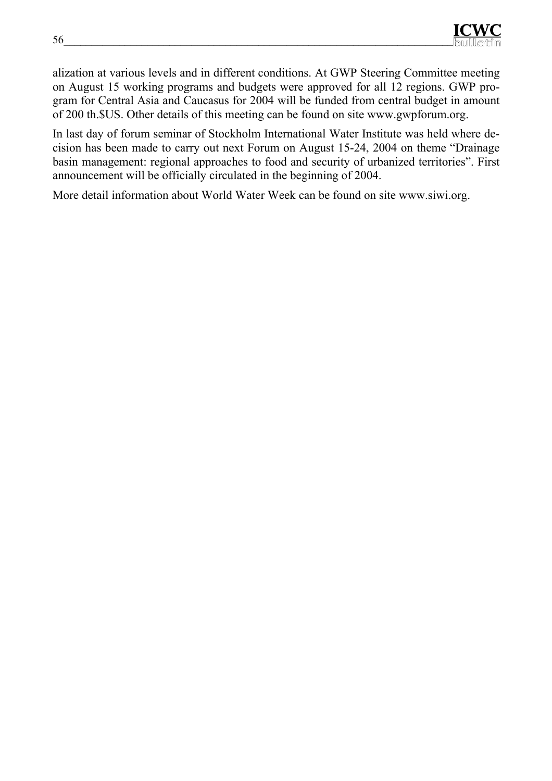alization at various levels and in different conditions. At GWP Steering Committee meeting on August 15 working programs and budgets were approved for all 12 regions. GWP program for Central Asia and Caucasus for 2004 will be funded from central budget in amount of 200 th.\$US. Other details of this meeting can be found on site www.gwpforum.org.

In last day of forum seminar of Stockholm International Water Institute was held where decision has been made to carry out next Forum on August 15-24, 2004 on theme "Drainage basin management: regional approaches to food and security of urbanized territories". First announcement will be officially circulated in the beginning of 2004.

More detail information about World Water Week can be found on site www.siwi.org.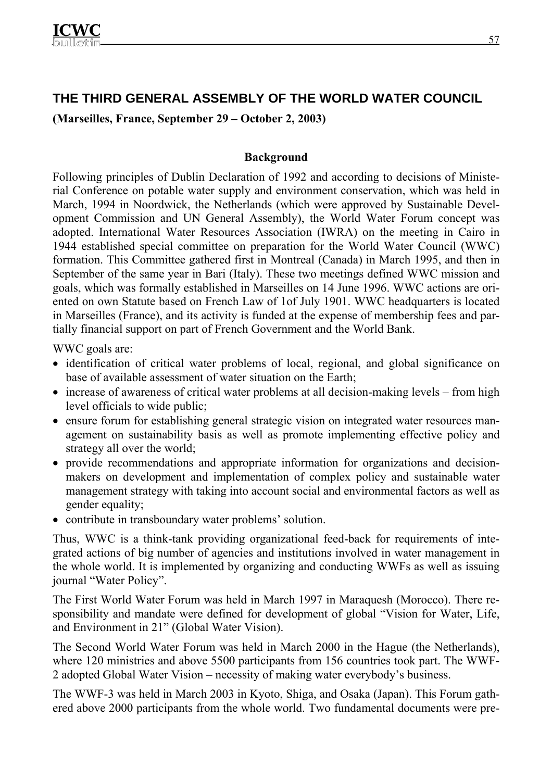# **THE THIRD GENERAL ASSEMBLY OF THE WORLD WATER COUNCIL**

**(Marseilles, France, September 29 – October 2, 2003)** 

### **Background**

Following principles of Dublin Declaration of 1992 and according to decisions of Ministerial Conference on potable water supply and environment conservation, which was held in March, 1994 in Noordwick, the Netherlands (which were approved by Sustainable Development Commission and UN General Assembly), the World Water Forum concept was adopted. International Water Resources Association (IWRA) on the meeting in Cairo in 1944 established special committee on preparation for the World Water Council (WWC) formation. This Committee gathered first in Montreal (Canada) in March 1995, and then in September of the same year in Bari (Italy). These two meetings defined WWC mission and goals, which was formally established in Marseilles on 14 June 1996. WWC actions are oriented on own Statute based on French Law of 1of July 1901. WWC headquarters is located in Marseilles (France), and its activity is funded at the expense of membership fees and partially financial support on part of French Government and the World Bank.

WWC goals are:

- identification of critical water problems of local, regional, and global significance on base of available assessment of water situation on the Earth;
- increase of awareness of critical water problems at all decision-making levels from high level officials to wide public;
- ensure forum for establishing general strategic vision on integrated water resources management on sustainability basis as well as promote implementing effective policy and strategy all over the world;
- provide recommendations and appropriate information for organizations and decisionmakers on development and implementation of complex policy and sustainable water management strategy with taking into account social and environmental factors as well as gender equality;
- contribute in transboundary water problems' solution.

Thus, WWC is a think-tank providing organizational feed-back for requirements of integrated actions of big number of agencies and institutions involved in water management in the whole world. It is implemented by organizing and conducting WWFs as well as issuing journal "Water Policy".

The First World Water Forum was held in March 1997 in Maraquesh (Morocco). There responsibility and mandate were defined for development of global "Vision for Water, Life, and Environment in 21" (Global Water Vision).

The Second World Water Forum was held in March 2000 in the Hague (the Netherlands), where 120 ministries and above 5500 participants from 156 countries took part. The WWF-2 adopted Global Water Vision – necessity of making water everybody's business.

The WWF-3 was held in March 2003 in Kyoto, Shiga, and Osaka (Japan). This Forum gathered above 2000 participants from the whole world. Two fundamental documents were pre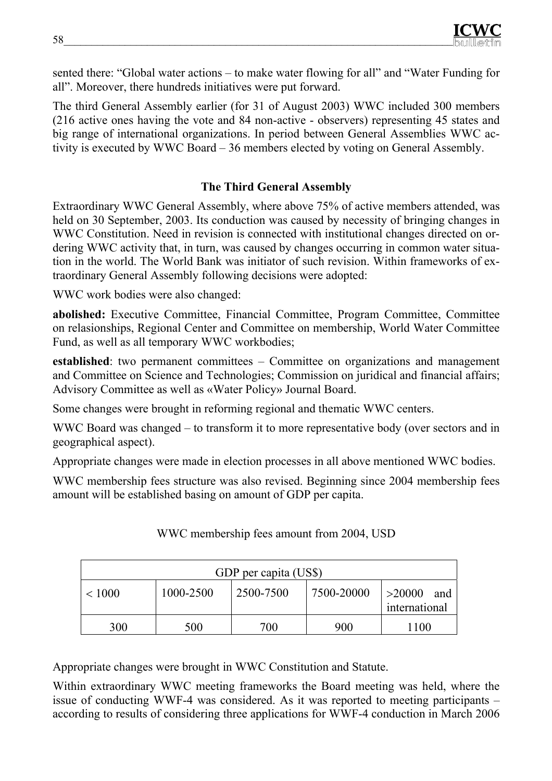sented there: "Global water actions – to make water flowing for all" and "Water Funding for all". Moreover, there hundreds initiatives were put forward.

The third General Assembly earlier (for 31 of August 2003) WWC included 300 members (216 active ones having the vote and 84 non-active - observers) representing 45 states and big range of international organizations. In period between General Assemblies WWC activity is executed by WWC Board – 36 members elected by voting on General Assembly.

# **The Third General Assembly**

Extraordinary WWC General Assembly, where above 75% of active members attended, was held on 30 September, 2003. Its conduction was caused by necessity of bringing changes in WWC Constitution. Need in revision is connected with institutional changes directed on ordering WWC activity that, in turn, was caused by changes occurring in common water situation in the world. The World Bank was initiator of such revision. Within frameworks of extraordinary General Assembly following decisions were adopted:

WWC work bodies were also changed:

**abolished:** Executive Committee, Financial Committee, Program Committee, Committee on relasionships, Regional Center and Committee on membership, World Water Committee Fund, as well as all temporary WWC workbodies;

**established**: two permanent committees – Committee on organizations and management and Committee on Science and Technologies; Commission on juridical and financial affairs; Advisory Committee as well as «Water Policy» Journal Board.

Some changes were brought in reforming regional and thematic WWC centers.

WWC Board was changed – to transform it to more representative body (over sectors and in geographical aspect).

Appropriate changes were made in election processes in all above mentioned WWC bodies.

WWC membership fees structure was also revised. Beginning since 2004 membership fees amount will be established basing on amount of GDP per capita.

| GDP per capita (US\$) |           |           |            |                                |
|-----------------------|-----------|-----------|------------|--------------------------------|
| < 1000                | 1000-2500 | 2500-7500 | 7500-20000 | >20000<br>and<br>international |
| 300                   | 500       | 700       | 900        | 1100                           |

WWC membership fees amount from 2004, USD

Appropriate changes were brought in WWC Constitution and Statute.

Within extraordinary WWC meeting frameworks the Board meeting was held, where the issue of conducting WWF-4 was considered. As it was reported to meeting participants – according to results of considering three applications for WWF-4 conduction in March 2006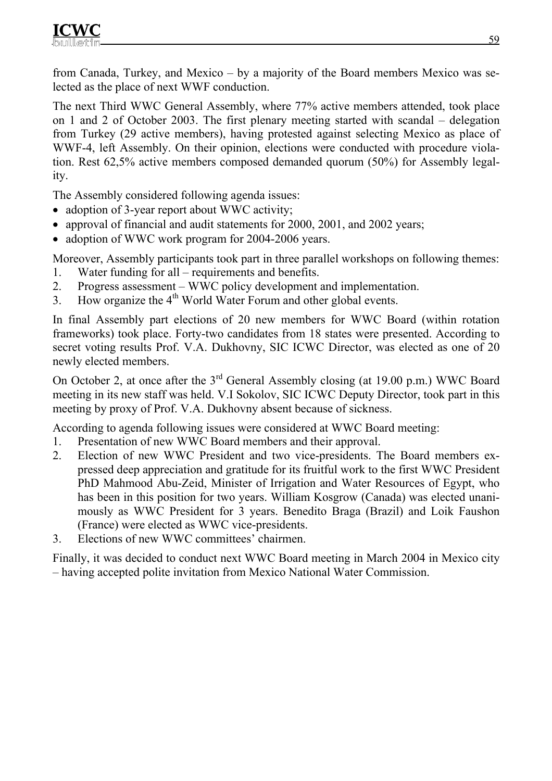from Canada, Turkey, and Mexico – by a majority of the Board members Mexico was selected as the place of next WWF conduction.

The next Third WWC General Assembly, where 77% active members attended, took place on 1 and 2 of October 2003. The first plenary meeting started with scandal – delegation from Turkey (29 active members), having protested against selecting Mexico as place of WWF-4, left Assembly. On their opinion, elections were conducted with procedure violation. Rest 62,5% active members composed demanded quorum (50%) for Assembly legality.

The Assembly considered following agenda issues:

- adoption of 3-year report about WWC activity;
- approval of financial and audit statements for 2000, 2001, and 2002 years;
- adoption of WWC work program for 2004-2006 years.

Moreover, Assembly participants took part in three parallel workshops on following themes: 1. Water funding for all – requirements and benefits.

- 2. Progress assessment WWC policy development and implementation.
- 3. How organize the  $4<sup>th</sup>$  World Water Forum and other global events.

In final Assembly part elections of 20 new members for WWC Board (within rotation frameworks) took place. Forty-two candidates from 18 states were presented. According to secret voting results Prof. V.A. Dukhovny, SIC ICWC Director, was elected as one of 20 newly elected members.

On October 2, at once after the 3<sup>rd</sup> General Assembly closing (at 19.00 p.m.) WWC Board meeting in its new staff was held. V.I Sokolov, SIC ICWC Deputy Director, took part in this meeting by proxy of Prof. V.A. Dukhovny absent because of sickness.

According to agenda following issues were considered at WWC Board meeting:

- 1. Presentation of new WWC Board members and their approval.
- 2. Election of new WWC President and two vice-presidents. The Board members expressed deep appreciation and gratitude for its fruitful work to the first WWC President PhD Mahmood Abu-Zeid, Minister of Irrigation and Water Resources of Egypt, who has been in this position for two years. William Kosgrow (Canada) was elected unanimously as WWC President for 3 years. Benedito Braga (Brazil) and Loik Faushon (France) were elected as WWC vice-presidents.
- 3. Elections of new WWC committees' chairmen.

Finally, it was decided to conduct next WWC Board meeting in March 2004 in Mexico city – having accepted polite invitation from Mexico National Water Commission.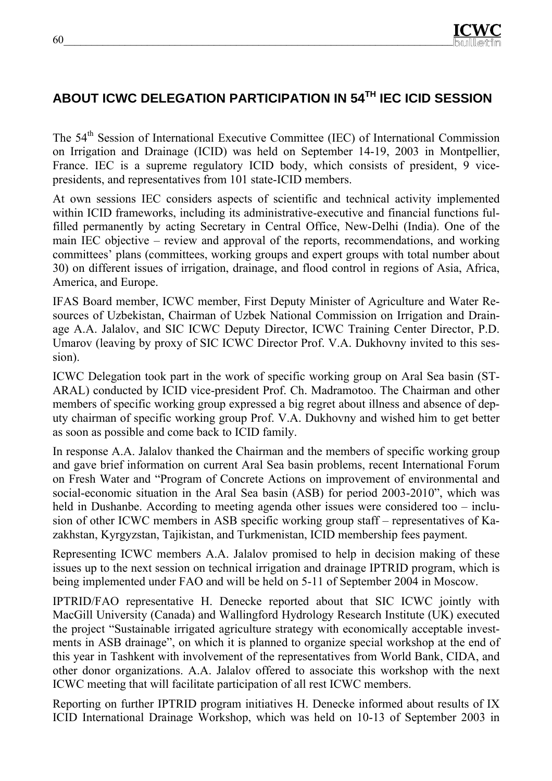# **ABOUT ICWC DELEGATION PARTICIPATION IN 54TH IEC ICID SESSION**

The 54<sup>th</sup> Session of International Executive Committee (IEC) of International Commission on Irrigation and Drainage (ICID) was held on September 14-19, 2003 in Montpellier, France. IEC is a supreme regulatory ICID body, which consists of president, 9 vicepresidents, and representatives from 101 state-ICID members.

At own sessions IEC considers aspects of scientific and technical activity implemented within ICID frameworks, including its administrative-executive and financial functions fulfilled permanently by acting Secretary in Central Office, New-Delhi (India). One of the main IEC objective – review and approval of the reports, recommendations, and working committees' plans (committees, working groups and expert groups with total number about 30) on different issues of irrigation, drainage, and flood control in regions of Asia, Africa, America, and Europe.

IFAS Board member, ICWC member, First Deputy Minister of Agriculture and Water Resources of Uzbekistan, Chairman of Uzbek National Commission on Irrigation and Drainage A.A. Jalalov, and SIC ICWC Deputy Director, ICWC Training Center Director, P.D. Umarov (leaving by proxy of SIC ICWC Director Prof. V.A. Dukhovny invited to this session).

ICWC Delegation took part in the work of specific working group on Aral Sea basin (ST-ARAL) conducted by ICID vice-president Prof. Ch. Madramotoo. The Chairman and other members of specific working group expressed a big regret about illness and absence of deputy chairman of specific working group Prof. V.A. Dukhovny and wished him to get better as soon as possible and come back to ICID family.

In response A.A. Jalalov thanked the Chairman and the members of specific working group and gave brief information on current Aral Sea basin problems, recent International Forum on Fresh Water and "Program of Concrete Actions on improvement of environmental and social-economic situation in the Aral Sea basin (ASB) for period 2003-2010", which was held in Dushanbe. According to meeting agenda other issues were considered too – inclusion of other ICWC members in ASB specific working group staff – representatives of Kazakhstan, Kyrgyzstan, Tajikistan, and Turkmenistan, ICID membership fees payment.

Representing ICWC members A.A. Jalalov promised to help in decision making of these issues up to the next session on technical irrigation and drainage IPTRID program, which is being implemented under FAO and will be held on 5-11 of September 2004 in Moscow.

IPTRID/FAO representative H. Denecke reported about that SIC ICWC jointly with MacGill University (Canada) and Wallingford Hydrology Research Institute (UK) executed the project "Sustainable irrigated agriculture strategy with economically acceptable investments in ASB drainage", on which it is planned to organize special workshop at the end of this year in Tashkent with involvement of the representatives from World Bank, CIDA, and other donor organizations. A.A. Jalalov offered to associate this workshop with the next ICWC meeting that will facilitate participation of all rest ICWC members.

Reporting on further IPTRID program initiatives H. Denecke informed about results of IX ICID International Drainage Workshop, which was held on 10-13 of September 2003 in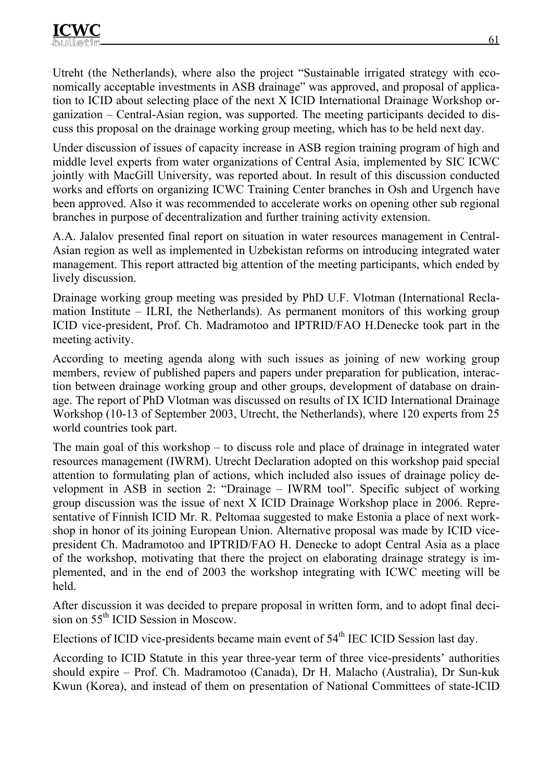Utreht (the Netherlands), where also the project "Sustainable irrigated strategy with economically acceptable investments in ASB drainage" was approved, and proposal of application to ICID about selecting place of the next X ICID International Drainage Workshop organization – Central-Asian region, was supported. The meeting participants decided to discuss this proposal on the drainage working group meeting, which has to be held next day.

Under discussion of issues of capacity increase in ASB region training program of high and middle level experts from water organizations of Central Asia, implemented by SIC ICWC jointly with MacGill University, was reported about. In result of this discussion conducted works and efforts on organizing ICWC Training Center branches in Osh and Urgench have been approved. Also it was recommended to accelerate works on opening other sub regional branches in purpose of decentralization and further training activity extension.

A.A. Jalalov presented final report on situation in water resources management in Central-Asian region as well as implemented in Uzbekistan reforms on introducing integrated water management. This report attracted big attention of the meeting participants, which ended by lively discussion.

Drainage working group meeting was presided by PhD U.F. Vlotman (International Reclamation Institute – ILRI, the Netherlands). As permanent monitors of this working group ICID vice-president, Prof. Ch. Madramotoo and IPTRID/FAO H.Denecke took part in the meeting activity.

According to meeting agenda along with such issues as joining of new working group members, review of published papers and papers under preparation for publication, interaction between drainage working group and other groups, development of database on drainage. The report of PhD Vlotman was discussed on results of IX ICID International Drainage Workshop (10-13 of September 2003, Utrecht, the Netherlands), where 120 experts from 25 world countries took part.

The main goal of this workshop – to discuss role and place of drainage in integrated water resources management (IWRM). Utrecht Declaration adopted on this workshop paid special attention to formulating plan of actions, which included also issues of drainage policy development in ASB in section 2: "Drainage – IWRM tool". Specific subject of working group discussion was the issue of next X ICID Drainage Workshop place in 2006. Representative of Finnish ICID Mr. R. Peltomaa suggested to make Estonia a place of next workshop in honor of its joining European Union. Alternative proposal was made by ICID vicepresident Ch. Madramotoo and IPTRID/FAO H. Denecke to adopt Central Asia as a place of the workshop, motivating that there the project on elaborating drainage strategy is implemented, and in the end of 2003 the workshop integrating with ICWC meeting will be held.

After discussion it was decided to prepare proposal in written form, and to adopt final decision on 55<sup>th</sup> ICID Session in Moscow.

Elections of ICID vice-presidents became main event of  $54<sup>th</sup>$  IEC ICID Session last day.

According to ICID Statute in this year three-year term of three vice-presidents' authorities should expire – Prof. Ch. Madramotoo (Canada), Dr H. Malacho (Australia), Dr Sun-kuk Kwun (Korea), and instead of them on presentation of National Committees of state-ICID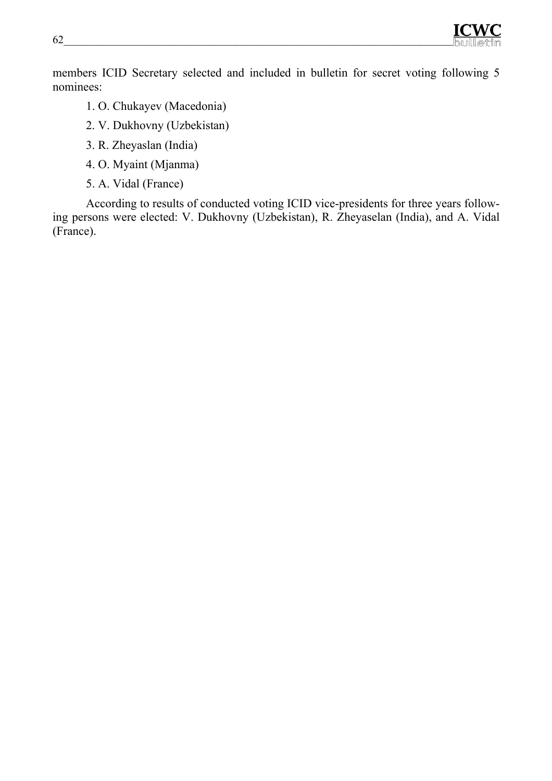

members ICID Secretary selected and included in bulletin for secret voting following 5 nominees:

- 1. О. Chukayev (Macedonia)
- 2. V. Dukhovny (Uzbekistan)
- 3. R. Zheyaslan (India)
- 4. О. Myaint (Mjanma)
- 5. А. Vidal (France)

According to results of conducted voting ICID vice-presidents for three years following persons were elected: V. Dukhovny (Uzbekistan), R. Zheyaselan (India), and A. Vidal (France).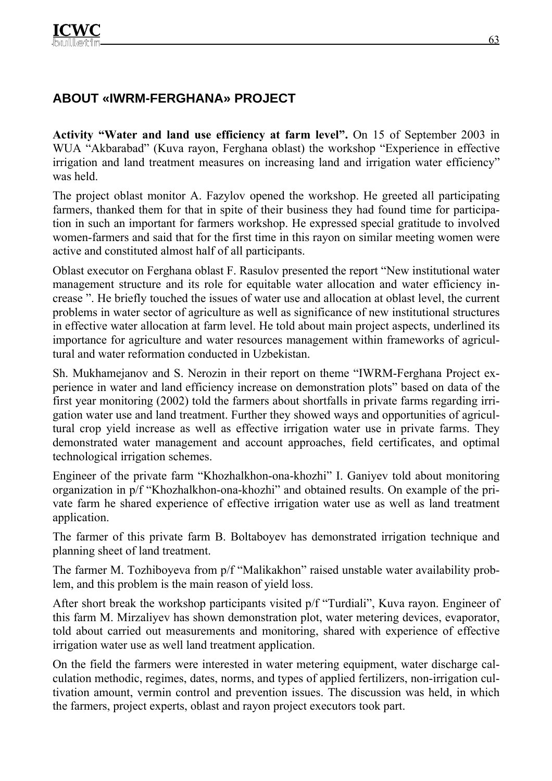# **ABOUT «IWRM-FERGHANA» PROJECT**

**Activity "Water and land use efficiency at farm level".** On 15 of September 2003 in WUA "Akbarabad" (Kuva rayon, Ferghana oblast) the workshop "Experience in effective irrigation and land treatment measures on increasing land and irrigation water efficiency" was held.

The project oblast monitor A. Fazylov opened the workshop. He greeted all participating farmers, thanked them for that in spite of their business they had found time for participation in such an important for farmers workshop. He expressed special gratitude to involved women-farmers and said that for the first time in this rayon on similar meeting women were active and constituted almost half of all participants.

Oblast executor on Ferghana oblast F. Rasulov presented the report "New institutional water management structure and its role for equitable water allocation and water efficiency increase ". He briefly touched the issues of water use and allocation at oblast level, the current problems in water sector of agriculture as well as significance of new institutional structures in effective water allocation at farm level. He told about main project aspects, underlined its importance for agriculture and water resources management within frameworks of agricultural and water reformation conducted in Uzbekistan.

Sh. Mukhamejanov and S. Nerozin in their report on theme "IWRM-Ferghana Project experience in water and land efficiency increase on demonstration plots" based on data of the first year monitoring (2002) told the farmers about shortfalls in private farms regarding irrigation water use and land treatment. Further they showed ways and opportunities of agricultural crop yield increase as well as effective irrigation water use in private farms. They demonstrated water management and account approaches, field certificates, and optimal technological irrigation schemes.

Engineer of the private farm "Khozhalkhon-ona-khozhi" I. Ganiyev told about monitoring organization in p/f "Khozhalkhon-ona-khozhi" and obtained results. On example of the private farm he shared experience of effective irrigation water use as well as land treatment application.

The farmer of this private farm B. Boltaboyev has demonstrated irrigation technique and planning sheet of land treatment.

The farmer M. Tozhiboyeva from p/f "Malikakhon" raised unstable water availability problem, and this problem is the main reason of yield loss.

After short break the workshop participants visited p/f "Turdiali", Kuva rayon. Engineer of this farm M. Mirzaliyev has shown demonstration plot, water metering devices, evaporator, told about carried out measurements and monitoring, shared with experience of effective irrigation water use as well land treatment application.

On the field the farmers were interested in water metering equipment, water discharge calculation methodic, regimes, dates, norms, and types of applied fertilizers, non-irrigation cultivation amount, vermin control and prevention issues. The discussion was held, in which the farmers, project experts, oblast and rayon project executors took part.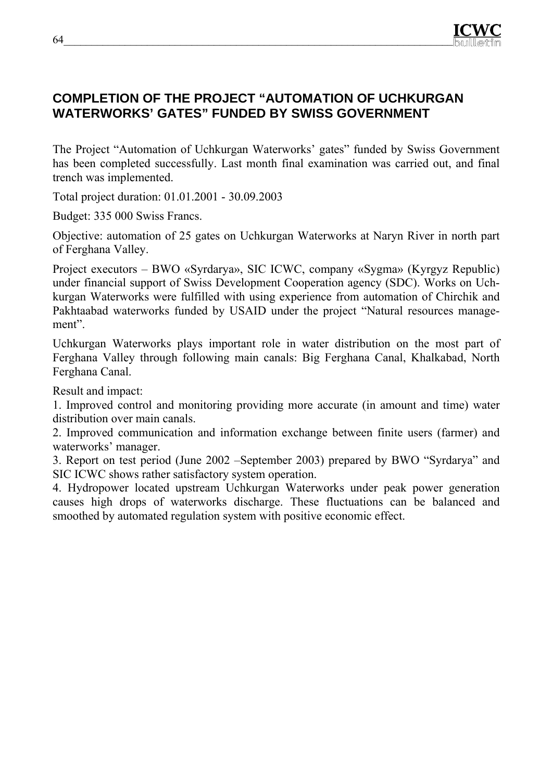

# **COMPLETION OF THE PROJECT "AUTOMATION OF UCHKURGAN WATERWORKS' GATES" FUNDED BY SWISS GOVERNMENT**

The Project "Automation of Uchkurgan Waterworks' gates" funded by Swiss Government has been completed successfully. Last month final examination was carried out, and final trench was implemented.

Total project duration: 01.01.2001 - 30.09.2003

Budget: 335 000 Swiss Francs.

Objective: automation of 25 gates on Uchkurgan Waterworks at Naryn River in north part of Ferghana Valley.

Project executors – BWO «Syrdarya», SIC ICWC, company «Sygma» (Kyrgyz Republic) under financial support of Swiss Development Cooperation agency (SDC). Works on Uchkurgan Waterworks were fulfilled with using experience from automation of Chirchik and Pakhtaabad waterworks funded by USAID under the project "Natural resources management".

Uchkurgan Waterworks plays important role in water distribution on the most part of Ferghana Valley through following main canals: Big Ferghana Canal, Khalkabad, North Ferghana Canal.

Result and impact:

1. Improved control and monitoring providing more accurate (in amount and time) water distribution over main canals.

2. Improved communication and information exchange between finite users (farmer) and waterworks' manager.

3. Report on test period (June 2002 –September 2003) prepared by BWO "Syrdarya" and SIC ICWC shows rather satisfactory system operation.

4. Hydropower located upstream Uchkurgan Waterworks under peak power generation causes high drops of waterworks discharge. These fluctuations can be balanced and smoothed by automated regulation system with positive economic effect.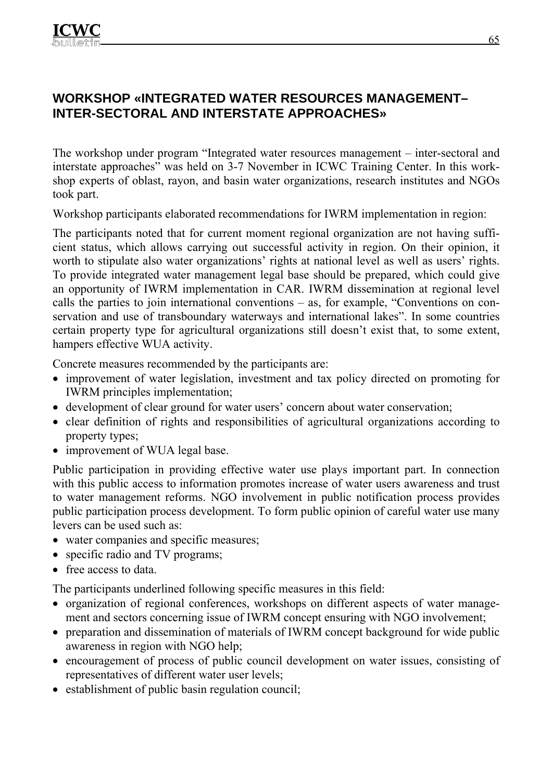# **WORKSHOP «INTEGRATED WATER RESOURCES MANAGEMENT– INTER-SECTORAL AND INTERSTATE APPROACHES»**

The workshop under program "Integrated water resources management – inter-sectoral and interstate approaches" was held on 3-7 November in ICWC Training Center. In this workshop experts of oblast, rayon, and basin water organizations, research institutes and NGOs took part.

Workshop participants elaborated recommendations for IWRM implementation in region:

The participants noted that for current moment regional organization are not having sufficient status, which allows carrying out successful activity in region. On their opinion, it worth to stipulate also water organizations' rights at national level as well as users' rights. To provide integrated water management legal base should be prepared, which could give an opportunity of IWRM implementation in CAR. IWRM dissemination at regional level calls the parties to join international conventions – as, for example, "Conventions on conservation and use of transboundary waterways and international lakes". In some countries certain property type for agricultural organizations still doesn't exist that, to some extent, hampers effective WUA activity.

Concrete measures recommended by the participants are:

- improvement of water legislation, investment and tax policy directed on promoting for IWRM principles implementation;
- development of clear ground for water users' concern about water conservation;
- clear definition of rights and responsibilities of agricultural organizations according to property types;
- improvement of WUA legal base.

Public participation in providing effective water use plays important part. In connection with this public access to information promotes increase of water users awareness and trust to water management reforms. NGO involvement in public notification process provides public participation process development. To form public opinion of careful water use many levers can be used such as:

- water companies and specific measures;
- specific radio and TV programs;
- free access to data.

The participants underlined following specific measures in this field:

- organization of regional conferences, workshops on different aspects of water management and sectors concerning issue of IWRM concept ensuring with NGO involvement;
- preparation and dissemination of materials of IWRM concept background for wide public awareness in region with NGO help;
- encouragement of process of public council development on water issues, consisting of representatives of different water user levels;
- establishment of public basin regulation council;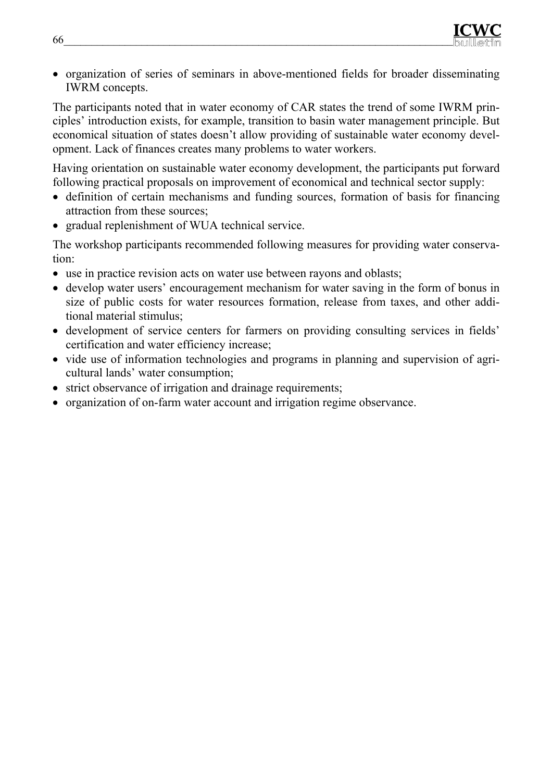• organization of series of seminars in above-mentioned fields for broader disseminating IWRM concepts.

The participants noted that in water economy of CAR states the trend of some IWRM principles' introduction exists, for example, transition to basin water management principle. But economical situation of states doesn't allow providing of sustainable water economy development. Lack of finances creates many problems to water workers.

Having orientation on sustainable water economy development, the participants put forward following practical proposals on improvement of economical and technical sector supply:

- definition of certain mechanisms and funding sources, formation of basis for financing attraction from these sources;
- gradual replenishment of WUA technical service.

The workshop participants recommended following measures for providing water conservation:

- use in practice revision acts on water use between rayons and oblasts;
- develop water users' encouragement mechanism for water saving in the form of bonus in size of public costs for water resources formation, release from taxes, and other additional material stimulus;
- development of service centers for farmers on providing consulting services in fields' certification and water efficiency increase;
- vide use of information technologies and programs in planning and supervision of agricultural lands' water consumption;
- strict observance of irrigation and drainage requirements;
- organization of on-farm water account and irrigation regime observance.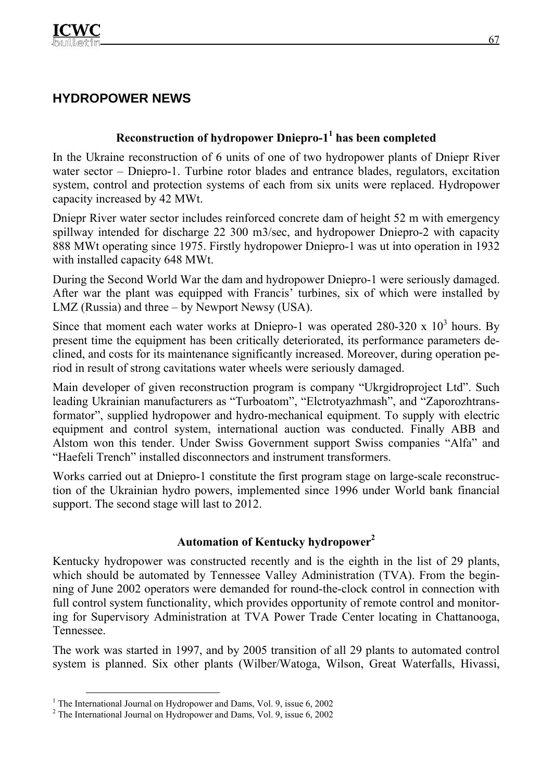# **HYDROPOWER NEWS**

## **Reconstruction of hydropower Dniepro-11 has been completed**

In the Ukraine reconstruction of 6 units of one of two hydropower plants of Dniepr River water sector – Dniepro-1. Turbine rotor blades and entrance blades, regulators, excitation system, control and protection systems of each from six units were replaced. Hydropower capacity increased by 42 MWt.

Dniepr River water sector includes reinforced concrete dam of height 52 m with emergency spillway intended for discharge 22 300 m3/sec, and hydropower Dniepro-2 with capacity 888 MWt operating since 1975. Firstly hydropower Dniepro-1 was ut into operation in 1932 with installed capacity 648 MWt.

During the Second World War the dam and hydropower Dniepro-1 were seriously damaged. After war the plant was equipped with Francis' turbines, six of which were installed by LMZ (Russia) and three – by Newport Newsy (USA).

Since that moment each water works at Dniepro-1 was operated  $280-320 \times 10^3$  hours. By present time the equipment has been critically deteriorated, its performance parameters declined, and costs for its maintenance significantly increased. Moreover, during operation period in result of strong cavitations water wheels were seriously damaged.

Main developer of given reconstruction program is company "Ukrgidroproject Ltd". Such leading Ukrainian manufacturers as "Turboatom", "Elctrotyazhmash", and "Zaporozhtransformator", supplied hydropower and hydro-mechanical equipment. To supply with electric equipment and control system, international auction was conducted. Finally ABB and Alstom won this tender. Under Swiss Government support Swiss companies "Alfa" and "Haefeli Trench" installed disconnectors and instrument transformers.

Works carried out at Dniepro-1 constitute the first program stage on large-scale reconstruction of the Ukrainian hydro powers, implemented since 1996 under World bank financial support. The second stage will last to 2012.

# **Automation of Kentucky hydropower<sup>2</sup>**

Kentucky hydropower was constructed recently and is the eighth in the list of 29 plants, which should be automated by Tennessee Valley Administration (TVA). From the beginning of June 2002 operators were demanded for round-the-clock control in connection with full control system functionality, which provides opportunity of remote control and monitoring for Supervisory Administration at TVA Power Trade Center locating in Chattanooga, Tennessee.

The work was started in 1997, and by 2005 transition of all 29 plants to automated control system is planned. Six other plants (Wilber/Watoga, Wilson, Great Waterfalls, Hivassi,

 <sup>1</sup> The International Journal on Hydropower and Dams, Vol. 9, issue 6, 2002

<sup>&</sup>lt;sup>2</sup> The International Journal on Hydropower and Dams, Vol. 9, issue 6, 2002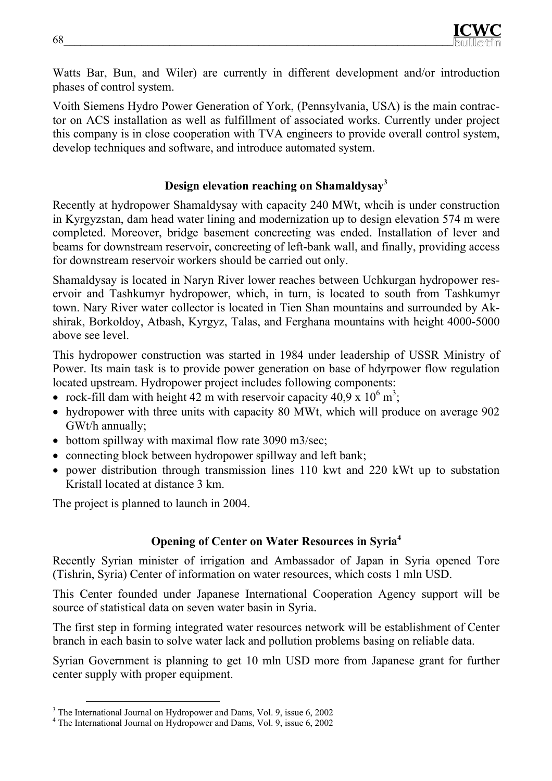Watts Bar, Bun, and Wiler) are currently in different development and/or introduction phases of control system.

Voith Siemens Hydro Power Generation of York, (Pennsylvania, USA) is the main contractor on ACS installation as well as fulfillment of associated works. Currently under project this company is in close cooperation with TVA engineers to provide overall control system, develop techniques and software, and introduce automated system.

# **Design elevation reaching on Shamaldysay3**

Recently at hydropower Shamaldysay with capacity 240 MWt, whcih is under construction in Kyrgyzstan, dam head water lining and modernization up to design elevation 574 m were completed. Moreover, bridge basement concreeting was ended. Installation of lever and beams for downstream reservoir, concreeting of left-bank wall, and finally, providing access for downstream reservoir workers should be carried out only.

Shamaldysay is located in Naryn River lower reaches between Uchkurgan hydropower reservoir and Tashkumyr hydropower, which, in turn, is located to south from Tashkumyr town. Nary River water collector is located in Tien Shan mountains and surrounded by Akshirak, Borkoldoy, Atbash, Kyrgyz, Talas, and Ferghana mountains with height 4000-5000 above see level.

This hydropower construction was started in 1984 under leadership of USSR Ministry of Power. Its main task is to provide power generation on base of hdyrpower flow regulation located upstream. Hydropower project includes following components:

- rock-fill dam with height 42 m with reservoir capacity 40,9 x  $10^6$  m<sup>3</sup>;
- hydropower with three units with capacity 80 MWt, which will produce on average 902 GWt/h annually;
- bottom spillway with maximal flow rate 3090 m3/sec;
- connecting block between hydropower spillway and left bank;
- power distribution through transmission lines 110 kwt and 220 kWt up to substation Kristall located at distance 3 km.

The project is planned to launch in 2004.

# **Opening of Center on Water Resources in Syria4**

Recently Syrian minister of irrigation and Ambassador of Japan in Syria opened Tore (Tishrin, Syria) Center of information on water resources, which costs 1 mln USD.

This Center founded under Japanese International Cooperation Agency support will be source of statistical data on seven water basin in Syria.

The first step in forming integrated water resources network will be establishment of Center branch in each basin to solve water lack and pollution problems basing on reliable data.

Syrian Government is planning to get 10 mln USD more from Japanese grant for further center supply with proper equipment.

<sup>&</sup>lt;sup>3</sup> The International Journal on Hydropower and Dams, Vol. 9, issue 6, 2002

<sup>&</sup>lt;sup>4</sup> The International Journal on Hydropower and Dams, Vol. 9, issue 6, 2002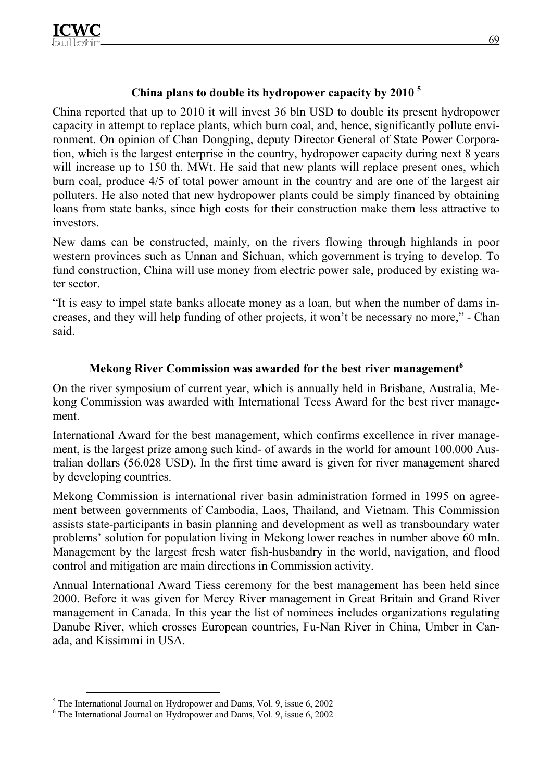# **China plans to double its hydropower capacity by 2010 5**

China reported that up to 2010 it will invest 36 bln USD to double its present hydropower capacity in attempt to replace plants, which burn coal, and, hence, significantly pollute environment. On opinion of Chan Dongping, deputy Director General of State Power Corporation, which is the largest enterprise in the country, hydropower capacity during next 8 years will increase up to 150 th. MWt. He said that new plants will replace present ones, which burn coal, produce 4/5 of total power amount in the country and are one of the largest air polluters. He also noted that new hydropower plants could be simply financed by obtaining loans from state banks, since high costs for their construction make them less attractive to investors.

New dams can be constructed, mainly, on the rivers flowing through highlands in poor western provinces such as Unnan and Sichuan, which government is trying to develop. To fund construction, China will use money from electric power sale, produced by existing water sector.

"It is easy to impel state banks allocate money as a loan, but when the number of dams increases, and they will help funding of other projects, it won't be necessary no more," - Chan said.

## **Mekong River Commission was awarded for the best river management**<sup>6</sup>

On the river symposium of current year, which is annually held in Brisbane, Australia, Mekong Commission was awarded with International Teess Award for the best river management.

International Award for the best management, which confirms excellence in river management, is the largest prize among such kind- of awards in the world for amount 100.000 Australian dollars (56.028 USD). In the first time award is given for river management shared by developing countries.

Mekong Commission is international river basin administration formed in 1995 on agreement between governments of Cambodia, Laos, Thailand, and Vietnam. This Commission assists state-participants in basin planning and development as well as transboundary water problems' solution for population living in Mekong lower reaches in number above 60 mln. Management by the largest fresh water fish-husbandry in the world, navigation, and flood control and mitigation are main directions in Commission activity.

Annual International Award Tiess ceremony for the best management has been held since 2000. Before it was given for Mercy River management in Great Britain and Grand River management in Canada. In this year the list of nominees includes organizations regulating Danube River, which crosses European countries, Fu-Nan River in China, Umber in Canada, and Kissimmi in USA.

 <sup>5</sup> The International Journal on Hydropower and Dams, Vol. 9, issue 6, 2002

<sup>6</sup> The International Journal on Hydropower and Dams, Vol. 9, issue 6, 2002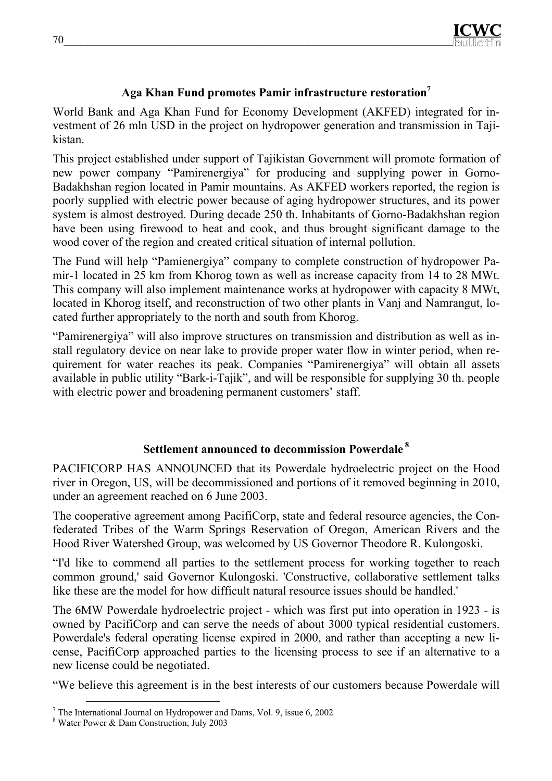# **Aga Khan Fund promotes Pamir infrastructure restoration7**

World Bank and Aga Khan Fund for Economy Development (AKFED) integrated for investment of 26 mln USD in the project on hydropower generation and transmission in Tajikistan.

This project established under support of Tajikistan Government will promote formation of new power company "Pamirenergiya" for producing and supplying power in Gorno-Badakhshan region located in Pamir mountains. As AKFED workers reported, the region is poorly supplied with electric power because of aging hydropower structures, and its power system is almost destroyed. During decade 250 th. Inhabitants of Gorno-Badakhshan region have been using firewood to heat and cook, and thus brought significant damage to the wood cover of the region and created critical situation of internal pollution.

The Fund will help "Pamienergiya" company to complete construction of hydropower Pamir-1 located in 25 km from Khorog town as well as increase capacity from 14 to 28 MWt. This company will also implement maintenance works at hydropower with capacity 8 MWt, located in Khorog itself, and reconstruction of two other plants in Vanj and Namrangut, located further appropriately to the north and south from Khorog.

"Pamirenergiya" will also improve structures on transmission and distribution as well as install regulatory device on near lake to provide proper water flow in winter period, when requirement for water reaches its peak. Companies "Pamirenergiya" will obtain all assets available in public utility "Bark-i-Tajik", and will be responsible for supplying 30 th. people with electric power and broadening permanent customers' staff.

# **Settlement announced to decommission Powerdale 8**

PACIFICORP HAS ANNOUNCED that its Powerdale hydroelectric project on the Hood river in Oregon, US, will be decommissioned and portions of it removed beginning in 2010, under an agreement reached on 6 June 2003.

The cooperative agreement among PacifiCorp, state and federal resource agencies, the Confederated Tribes of the Warm Springs Reservation of Oregon, American Rivers and the Hood River Watershed Group, was welcomed by US Governor Theodore R. Kulongoski.

"I'd like to commend all parties to the settlement process for working together to reach common ground,' said Governor Kulongoski. 'Constructive, collaborative settlement talks like these are the model for how difficult natural resource issues should be handled.'

The 6MW Powerdale hydroelectric project - which was first put into operation in 1923 - is owned by PacifiCorp and can serve the needs of about 3000 typical residential customers. Powerdale's federal operating license expired in 2000, and rather than accepting a new license, PacifiCorp approached parties to the licensing process to see if an alternative to a new license could be negotiated.

"We believe this agreement is in the best interests of our customers because Powerdale will

 <sup>7</sup> The International Journal on Hydropower and Dams, Vol. 9, issue 6, 2002

<sup>8</sup> Water Power & Dam Construction, July 2003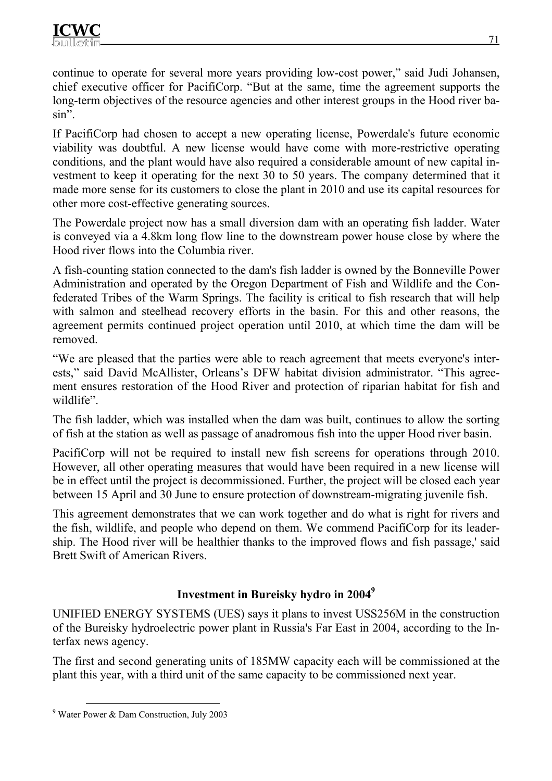continue to operate for several more years providing low-cost power," said Judi Johansen, chief executive officer for PacifiCorp. "But at the same, time the agreement supports the long-term objectives of the resource agencies and other interest groups in the Hood river basin".

If PacifiCorp had chosen to accept a new operating license, Powerdale's future economic viability was doubtful. A new license would have come with more-restrictive operating conditions, and the plant would have also required a considerable amount of new capital investment to keep it operating for the next 30 to 50 years. The company determined that it made more sense for its customers to close the plant in 2010 and use its capital resources for other more cost-effective generating sources.

The Powerdale project now has a small diversion dam with an operating fish ladder. Water is conveyed via a 4.8km long flow line to the downstream power house close by where the Hood river flows into the Columbia river.

A fish-counting station connected to the dam's fish ladder is owned by the Bonneville Power Administration and operated by the Oregon Department of Fish and Wildlife and the Confederated Tribes of the Warm Springs. The facility is critical to fish research that will help with salmon and steelhead recovery efforts in the basin. For this and other reasons, the agreement permits continued project operation until 2010, at which time the dam will be removed.

"We are pleased that the parties were able to reach agreement that meets everyone's interests," said David McAllister, Orleans's DFW habitat division administrator. "This agreement ensures restoration of the Hood River and protection of riparian habitat for fish and wildlife".

The fish ladder, which was installed when the dam was built, continues to allow the sorting of fish at the station as well as passage of anadromous fish into the upper Hood river basin.

PacifiCorp will not be required to install new fish screens for operations through 2010. However, all other operating measures that would have been required in a new license will be in effect until the project is decommissioned. Further, the project will be closed each year between 15 April and 30 June to ensure protection of downstream-migrating juvenile fish.

This agreement demonstrates that we can work together and do what is right for rivers and the fish, wildlife, and people who depend on them. We commend PacifiCorp for its leadership. The Hood river will be healthier thanks to the improved flows and fish passage,' said Brett Swift of American Rivers.

# **Investment in Bureisky hydro in 20049**

UNIFIED ENERGY SYSTEMS (UES) says it plans to invest USS256M in the construction of the Bureisky hydroelectric power plant in Russia's Far East in 2004, according to the Interfax news agency.

The first and second generating units of 185MW capacity each will be commissioned at the plant this year, with a third unit of the same capacity to be commissioned next year.

 <sup>9</sup> Water Power & Dam Construction, July 2003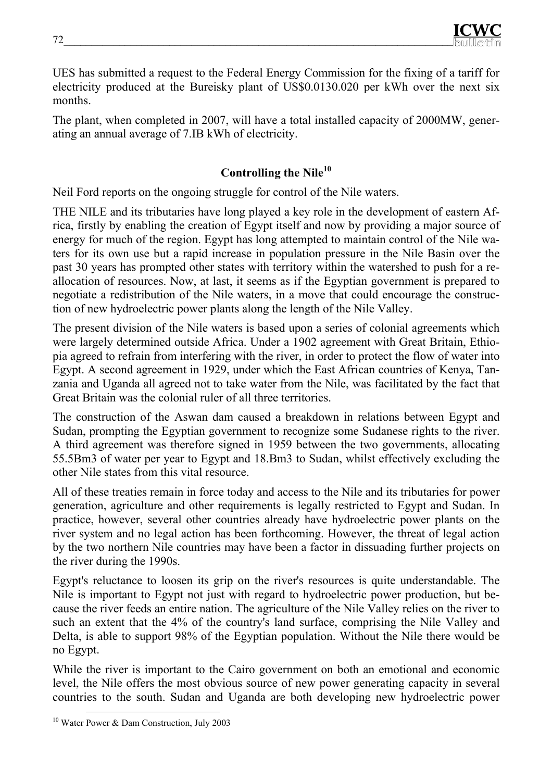UES has submitted a request to the Federal Energy Commission for the fixing of a tariff for electricity produced at the Bureisky plant of US\$0.0130.020 per kWh over the next six months.

The plant, when completed in 2007, will have a total installed capacity of 2000MW, generating an annual average of 7.IB kWh of electricity.

# **Controlling the Nile10**

Neil Ford reports on the ongoing struggle for control of the Nile waters.

THE NILE and its tributaries have long played a key role in the development of eastern Africa, firstly by enabling the creation of Egypt itself and now by providing a major source of energy for much of the region. Egypt has long attempted to maintain control of the Nile waters for its own use but a rapid increase in population pressure in the Nile Basin over the past 30 years has prompted other states with territory within the watershed to push for a reallocation of resources. Now, at last, it seems as if the Egyptian government is prepared to negotiate a redistribution of the Nile waters, in a move that could encourage the construction of new hydroelectric power plants along the length of the Nile Valley.

The present division of the Nile waters is based upon a series of colonial agreements which were largely determined outside Africa. Under a 1902 agreement with Great Britain, Ethiopia agreed to refrain from interfering with the river, in order to protect the flow of water into Egypt. A second agreement in 1929, under which the East African countries of Kenya, Tanzania and Uganda all agreed not to take water from the Nile, was facilitated by the fact that Great Britain was the colonial ruler of all three territories.

The construction of the Aswan dam caused a breakdown in relations between Egypt and Sudan, prompting the Egyptian government to recognize some Sudanese rights to the river. A third agreement was therefore signed in 1959 between the two governments, allocating 55.5Bm3 of water per year to Egypt and 18.Bm3 to Sudan, whilst effectively excluding the other Nile states from this vital resource.

All of these treaties remain in force today and access to the Nile and its tributaries for power generation, agriculture and other requirements is legally restricted to Egypt and Sudan. In practice, however, several other countries already have hydroelectric power plants on the river system and no legal action has been forthcoming. However, the threat of legal action by the two northern Nile countries may have been a factor in dissuading further projects on the river during the 1990s.

Egypt's reluctance to loosen its grip on the river's resources is quite understandable. The Nile is important to Egypt not just with regard to hydroelectric power production, but because the river feeds an entire nation. The agriculture of the Nile Valley relies on the river to such an extent that the 4% of the country's land surface, comprising the Nile Valley and Delta, is able to support 98% of the Egyptian population. Without the Nile there would be no Egypt.

While the river is important to the Cairo government on both an emotional and economic level, the Nile offers the most obvious source of new power generating capacity in several countries to the south. Sudan and Uganda are both developing new hydroelectric power

<sup>&</sup>lt;sup>10</sup> Water Power & Dam Construction, July 2003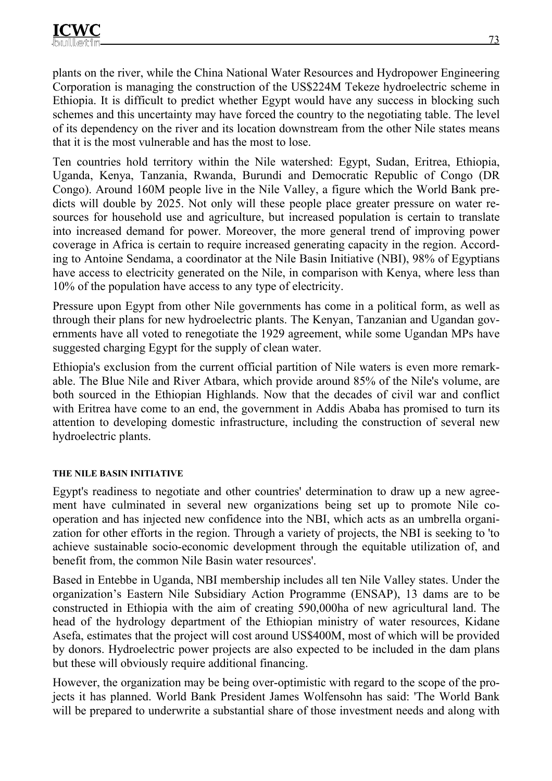plants on the river, while the China National Water Resources and Hydropower Engineering Corporation is managing the construction of the US\$224M Tekeze hydroelectric scheme in Ethiopia. It is difficult to predict whether Egypt would have any success in blocking such schemes and this uncertainty may have forced the country to the negotiating table. The level of its dependency on the river and its location downstream from the other Nile states means that it is the most vulnerable and has the most to lose.

Ten countries hold territory within the Nile watershed: Egypt, Sudan, Eritrea, Ethiopia, Uganda, Kenya, Tanzania, Rwanda, Burundi and Democratic Republic of Congo (DR Congo). Around 160M people live in the Nile Valley, a figure which the World Bank predicts will double by 2025. Not only will these people place greater pressure on water resources for household use and agriculture, but increased population is certain to translate into increased demand for power. Moreover, the more general trend of improving power coverage in Africa is certain to require increased generating capacity in the region. According to Antoine Sendama, a coordinator at the Nile Basin Initiative (NBI), 98% of Egyptians have access to electricity generated on the Nile, in comparison with Kenya, where less than 10% of the population have access to any type of electricity.

Pressure upon Egypt from other Nile governments has come in a political form, as well as through their plans for new hydroelectric plants. The Kenyan, Tanzanian and Ugandan governments have all voted to renegotiate the 1929 agreement, while some Ugandan MPs have suggested charging Egypt for the supply of clean water.

Ethiopia's exclusion from the current official partition of Nile waters is even more remarkable. The Blue Nile and River Atbara, which provide around 85% of the Nile's volume, are both sourced in the Ethiopian Highlands. Now that the decades of civil war and conflict with Eritrea have come to an end, the government in Addis Ababa has promised to turn its attention to developing domestic infrastructure, including the construction of several new hydroelectric plants.

#### **THE NILE BASIN INITIATIVE**

Egypt's readiness to negotiate and other countries' determination to draw up a new agreement have culminated in several new organizations being set up to promote Nile cooperation and has injected new confidence into the NBI, which acts as an umbrella organization for other efforts in the region. Through a variety of projects, the NBI is seeking to 'to achieve sustainable socio-economic development through the equitable utilization of, and benefit from, the common Nile Basin water resources'.

Based in Entebbe in Uganda, NBI membership includes all ten Nile Valley states. Under the organization's Eastern Nile Subsidiary Action Programme (ENSAP), 13 dams are to be constructed in Ethiopia with the aim of creating 590,000ha of new agricultural land. The head of the hydrology department of the Ethiopian ministry of water resources, Kidane Asefa, estimates that the project will cost around US\$400M, most of which will be provided by donors. Hydroelectric power projects are also expected to be included in the dam plans but these will obviously require additional financing.

However, the organization may be being over-optimistic with regard to the scope of the projects it has planned. World Bank President James Wolfensohn has said: 'The World Bank will be prepared to underwrite a substantial share of those investment needs and along with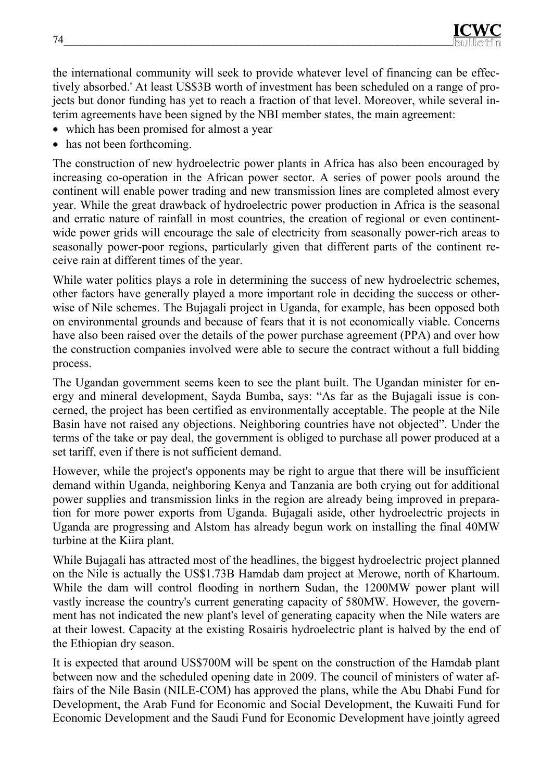the international community will seek to provide whatever level of financing can be effectively absorbed.' At least US\$3B worth of investment has been scheduled on a range of projects but donor funding has yet to reach a fraction of that level. Moreover, while several interim agreements have been signed by the NBI member states, the main agreement:

- which has been promised for almost a year
- has not been forthcoming.

The construction of new hydroelectric power plants in Africa has also been encouraged by increasing co-operation in the African power sector. A series of power pools around the continent will enable power trading and new transmission lines are completed almost every year. While the great drawback of hydroelectric power production in Africa is the seasonal and erratic nature of rainfall in most countries, the creation of regional or even continentwide power grids will encourage the sale of electricity from seasonally power-rich areas to seasonally power-poor regions, particularly given that different parts of the continent receive rain at different times of the year.

While water politics plays a role in determining the success of new hydroelectric schemes, other factors have generally played a more important role in deciding the success or otherwise of Nile schemes. The Bujagali project in Uganda, for example, has been opposed both on environmental grounds and because of fears that it is not economically viable. Concerns have also been raised over the details of the power purchase agreement (PPA) and over how the construction companies involved were able to secure the contract without a full bidding process.

The Ugandan government seems keen to see the plant built. The Ugandan minister for energy and mineral development, Sayda Bumba, says: "As far as the Bujagali issue is concerned, the project has been certified as environmentally acceptable. The people at the Nile Basin have not raised any objections. Neighboring countries have not objected". Under the terms of the take or pay deal, the government is obliged to purchase all power produced at a set tariff, even if there is not sufficient demand.

However, while the project's opponents may be right to argue that there will be insufficient demand within Uganda, neighboring Kenya and Tanzania are both crying out for additional power supplies and transmission links in the region are already being improved in preparation for more power exports from Uganda. Bujagali aside, other hydroelectric projects in Uganda are progressing and Alstom has already begun work on installing the final 40MW turbine at the Kiira plant.

While Bujagali has attracted most of the headlines, the biggest hydroelectric project planned on the Nile is actually the US\$1.73B Hamdab dam project at Merowe, north of Khartoum. While the dam will control flooding in northern Sudan, the 1200MW power plant will vastly increase the country's current generating capacity of 580MW. However, the government has not indicated the new plant's level of generating capacity when the Nile waters are at their lowest. Capacity at the existing Rosairis hydroelectric plant is halved by the end of the Ethiopian dry season.

It is expected that around US\$700M will be spent on the construction of the Hamdab plant between now and the scheduled opening date in 2009. The council of ministers of water affairs of the Nile Basin (NILE-COM) has approved the plans, while the Abu Dhabi Fund for Development, the Arab Fund for Economic and Social Development, the Kuwaiti Fund for Economic Development and the Saudi Fund for Economic Development have jointly agreed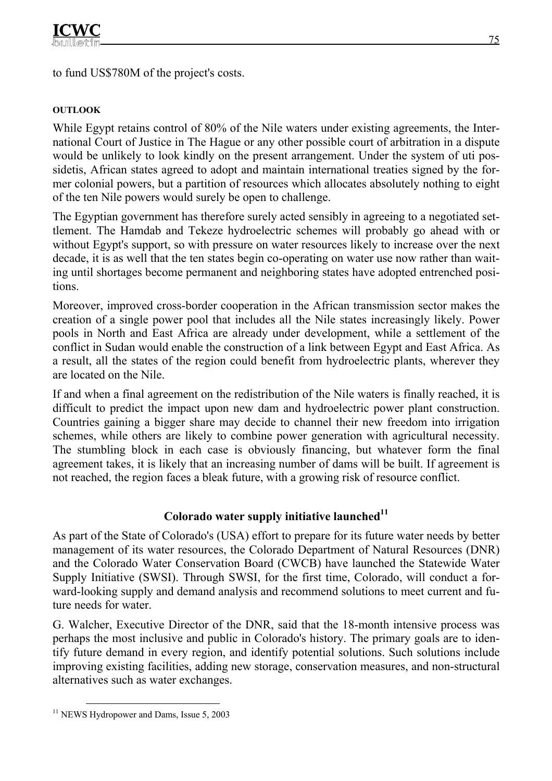to fund US\$780M of the project's costs.

## **OUTLOOK**

While Egypt retains control of 80% of the Nile waters under existing agreements, the International Court of Justice in The Hague or any other possible court of arbitration in a dispute would be unlikely to look kindly on the present arrangement. Under the system of uti possidetis, African states agreed to adopt and maintain international treaties signed by the former colonial powers, but a partition of resources which allocates absolutely nothing to eight of the ten Nile powers would surely be open to challenge.

The Egyptian government has therefore surely acted sensibly in agreeing to a negotiated settlement. The Hamdab and Tekeze hydroelectric schemes will probably go ahead with or without Egypt's support, so with pressure on water resources likely to increase over the next decade, it is as well that the ten states begin co-operating on water use now rather than waiting until shortages become permanent and neighboring states have adopted entrenched positions.

Moreover, improved cross-border cooperation in the African transmission sector makes the creation of a single power pool that includes all the Nile states increasingly likely. Power pools in North and East Africa are already under development, while a settlement of the conflict in Sudan would enable the construction of a link between Egypt and East Africa. As a result, all the states of the region could benefit from hydroelectric plants, wherever they are located on the Nile.

If and when a final agreement on the redistribution of the Nile waters is finally reached, it is difficult to predict the impact upon new dam and hydroelectric power plant construction. Countries gaining a bigger share may decide to channel their new freedom into irrigation schemes, while others are likely to combine power generation with agricultural necessity. The stumbling block in each case is obviously financing, but whatever form the final agreement takes, it is likely that an increasing number of dams will be built. If agreement is not reached, the region faces a bleak future, with a growing risk of resource conflict.

## Colorado water supply initiative launched<sup>11</sup>

As part of the State of Colorado's (USA) effort to prepare for its future water needs by better management of its water resources, the Colorado Department of Natural Resources (DNR) and the Colorado Water Conservation Board (CWCB) have launched the Statewide Water Supply Initiative (SWSI). Through SWSI, for the first time, Colorado, will conduct a forward-looking supply and demand analysis and recommend solutions to meet current and future needs for water.

G. Walcher, Executive Director of the DNR, said that the 18-month intensive process was perhaps the most inclusive and public in Colorado's history. The primary goals are to identify future demand in every region, and identify potential solutions. Such solutions include improving existing facilities, adding new storage, conservation measures, and non-structural alternatives such as water exchanges.

<sup>&</sup>lt;sup>11</sup> NEWS Hydropower and Dams, Issue 5, 2003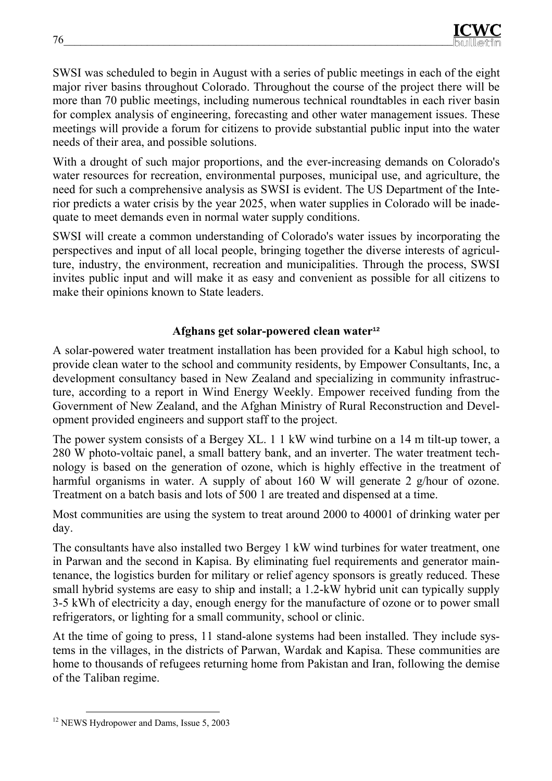SWSI was scheduled to begin in August with a series of public meetings in each of the eight major river basins throughout Colorado. Throughout the course of the project there will be more than 70 public meetings, including numerous technical roundtables in each river basin for complex analysis of engineering, forecasting and other water management issues. These meetings will provide a forum for citizens to provide substantial public input into the water needs of their area, and possible solutions.

With a drought of such major proportions, and the ever-increasing demands on Colorado's water resources for recreation, environmental purposes, municipal use, and agriculture, the need for such a comprehensive analysis as SWSI is evident. The US Department of the Interior predicts a water crisis by the year 2025, when water supplies in Colorado will be inadequate to meet demands even in normal water supply conditions.

SWSI will create a common understanding of Colorado's water issues by incorporating the perspectives and input of all local people, bringing together the diverse interests of agriculture, industry, the environment, recreation and municipalities. Through the process, SWSI invites public input and will make it as easy and convenient as possible for all citizens to make their opinions known to State leaders.

## **Аfghans get solar-powered clean water<sup>12</sup>**

A solar-powered water treatment installation has been provided for a Kabul high school, to provide clean water to the school and community residents, by Empower Consultants, Inc, a development consultancy based in New Zealand and specializing in community infrastructure, according to a report in Wind Energy Weekly. Empower received funding from the Government of New Zealand, and the Afghan Ministry of Rural Reconstruction and Development provided engineers and support staff to the project.

The power system consists of a Bergey XL. 1 1 kW wind turbine on a 14 m tilt-up tower, a 280 W photo-voltaic panel, a small battery bank, and an inverter. The water treatment technology is based on the generation of ozone, which is highly effective in the treatment of harmful organisms in water. A supply of about 160 W will generate 2 g/hour of ozone. Treatment on a batch basis and lots of 500 1 are treated and dispensed at a time.

Most communities are using the system to treat around 2000 to 40001 of drinking water per day.

The consultants have also installed two Bergey 1 kW wind turbines for water treatment, one in Parwan and the second in Kapisa. By eliminating fuel requirements and generator maintenance, the logistics burden for military or relief agency sponsors is greatly reduced. These small hybrid systems are easy to ship and install; a 1.2-kW hybrid unit can typically supply 3-5 kWh of electricity a day, enough energy for the manufacture of ozone or to power small refrigerators, or lighting for a small community, school or clinic.

At the time of going to press, 11 stand-alone systems had been installed. They include systems in the villages, in the districts of Parwan, Wardak and Kapisa. These communities are home to thousands of refugees returning home from Pakistan and Iran, following the demise of the Taliban regime.

<sup>&</sup>lt;sup>12</sup> NEWS Hydropower and Dams, Issue 5, 2003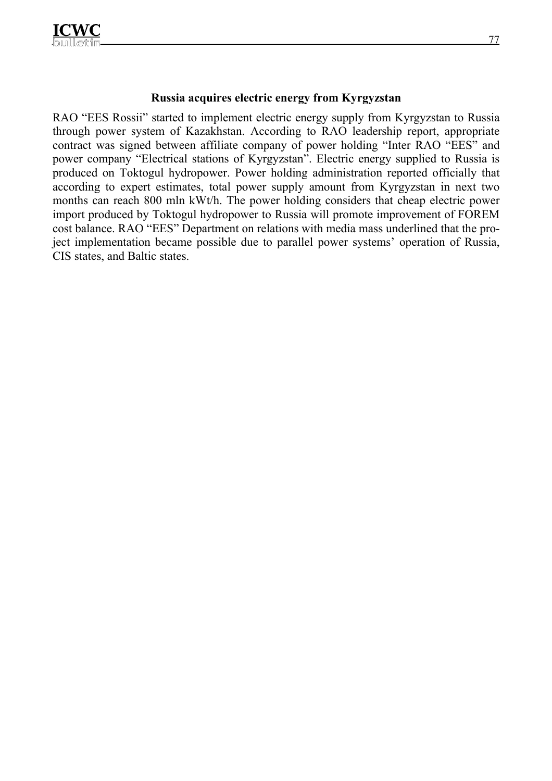## **Russia acquires electric energy from Kyrgyzstan**

RAO "EES Rossii" started to implement electric energy supply from Kyrgyzstan to Russia through power system of Kazakhstan. According to RAO leadership report, appropriate contract was signed between affiliate company of power holding "Inter RAO "EES" and power company "Electrical stations of Kyrgyzstan". Electric energy supplied to Russia is produced on Toktogul hydropower. Power holding administration reported officially that according to expert estimates, total power supply amount from Kyrgyzstan in next two months can reach 800 mln kWt/h. The power holding considers that cheap electric power import produced by Toktogul hydropower to Russia will promote improvement of FOREM cost balance. RAO "EES" Department on relations with media mass underlined that the project implementation became possible due to parallel power systems' operation of Russia, CIS states, and Baltic states.